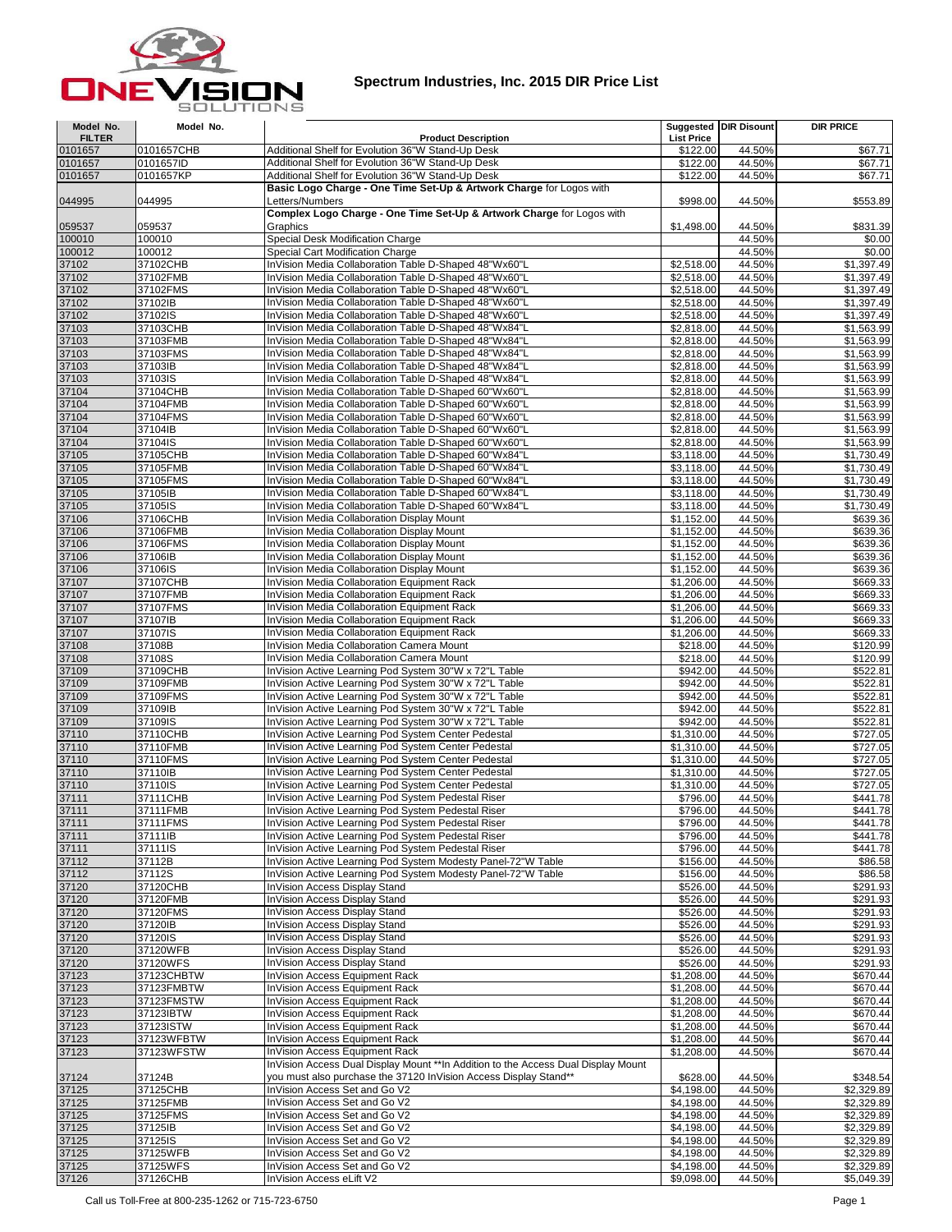

## **Spectrum Industries, Inc. 2015 DIR Price List**

| Model No.          | Model No.            |                                                                                                                              |                          | <b>Suggested DIR Disount</b> | <b>DIR PRICE</b>         |
|--------------------|----------------------|------------------------------------------------------------------------------------------------------------------------------|--------------------------|------------------------------|--------------------------|
| <b>FILTER</b>      |                      | <b>Product Description</b>                                                                                                   | <b>List Price</b>        |                              |                          |
| 0101657            | 0101657CHB           | Additional Shelf for Evolution 36"W Stand-Up Desk                                                                            | \$122.00                 | 44.50%                       | \$67.71                  |
| 0101657<br>0101657 | 0101657ID            | Additional Shelf for Evolution 36"W Stand-Up Desk<br>Additional Shelf for Evolution 36"W Stand-Up Desk                       | \$122.00                 | 44.50%<br>44.50%             | \$67.71<br>\$67.71       |
|                    | 0101657KP            | Basic Logo Charge - One Time Set-Up & Artwork Charge for Logos with                                                          | \$122.00                 |                              |                          |
| 044995             | 044995               | Letters/Numbers                                                                                                              | \$998.00                 | 44.50%                       | \$553.89                 |
|                    | 059537               | Complex Logo Charge - One Time Set-Up & Artwork Charge for Logos with<br>Graphics                                            | \$1,498.00               | 44.50%                       | \$831.39                 |
| 059537<br>100010   | 100010               | Special Desk Modification Charge                                                                                             |                          | 44.50%                       | \$0.00                   |
| 100012             | 100012               | Special Cart Modification Charge                                                                                             |                          | 44.50%                       | \$0.00                   |
| 37102              | 37102CHB             | InVision Media Collaboration Table D-Shaped 48"Wx60"L                                                                        | \$2,518.00               | 44.50%                       | \$1,397.49               |
| 37102              | 37102FMB             | InVision Media Collaboration Table D-Shaped 48"Wx60"L                                                                        | \$2,518.00               | 44.50%                       | \$1,397.49               |
| 37102              | 37102FMS             | InVision Media Collaboration Table D-Shaped 48"Wx60"L                                                                        | \$2,518.00               | 44.50%                       | \$1,397.49               |
| 37102              | 37102IB              | InVision Media Collaboration Table D-Shaped 48"Wx60"L                                                                        | \$2,518.00               | 44.50%                       | \$1,397.49               |
| 37102              | 37102IS              | InVision Media Collaboration Table D-Shaped 48"Wx60"L                                                                        | \$2,518.00               | 44.50%                       | \$1,397.49               |
| 37103              | 37103CHB             | InVision Media Collaboration Table D-Shaped 48"Wx84"L                                                                        | \$2,818.00               | 44.50%                       | \$1,563.99               |
| 37103              | 37103FMB             | InVision Media Collaboration Table D-Shaped 48"Wx84"L                                                                        | \$2,818.00               | 44.50%                       | \$1,563.99               |
| 37103              | 37103FMS             | InVision Media Collaboration Table D-Shaped 48"Wx84"L                                                                        | \$2,818.00               | 44.50%                       | \$1,563.99               |
| 37103              | 37103IB              | InVision Media Collaboration Table D-Shaped 48"Wx84"L                                                                        | \$2,818.00               | 44.50%                       | \$1,563.99               |
| 37103              | 37103IS              | InVision Media Collaboration Table D-Shaped 48"Wx84"L                                                                        | \$2,818.00               | 44.50%                       | \$1,563.99               |
| 37104<br>37104     | 37104CHB             | InVision Media Collaboration Table D-Shaped 60"Wx60"L<br>InVision Media Collaboration Table D-Shaped 60"Wx60"L               | \$2,818.00               | 44.50%<br>44.50%             | \$1,563.99               |
| 37104              | 37104FMB<br>37104FMS | InVision Media Collaboration Table D-Shaped 60"Wx60"L                                                                        | \$2,818.00<br>\$2,818.00 | 44.50%                       | \$1,563.99<br>\$1,563.99 |
| 37104              | 37104IB              | InVision Media Collaboration Table D-Shaped 60"Wx60"L                                                                        | \$2,818.00               | 44.50%                       | \$1,563.99               |
| 37104              | 37104IS              | InVision Media Collaboration Table D-Shaped 60"Wx60"L                                                                        | \$2,818.00               | 44.50%                       | \$1,563.99               |
| 37105              | 37105CHB             | InVision Media Collaboration Table D-Shaped 60"Wx84"L                                                                        | \$3,118.00               | 44.50%                       | \$1,730.49               |
| 37105              | 37105FMB             | InVision Media Collaboration Table D-Shaped 60"Wx84"L                                                                        | \$3,118.00               | 44.50%                       | \$1,730.49               |
| 37105              | 37105FMS             | InVision Media Collaboration Table D-Shaped 60"Wx84"L                                                                        | \$3,118.00               | 44.50%                       | \$1,730.49               |
| 37105              | 37105IB              | InVision Media Collaboration Table D-Shaped 60"Wx84"L                                                                        | \$3,118.00               | 44.50%                       | \$1,730.49               |
| 37105              | 37105IS              | InVision Media Collaboration Table D-Shaped 60"Wx84"L                                                                        | \$3,118.00               | 44.50%                       | \$1,730.49               |
| 37106              | 37106CHB             | InVision Media Collaboration Display Mount                                                                                   | \$1,152.00               | 44.50%                       | \$639.36                 |
| 37106              | 37106FMB             | InVision Media Collaboration Display Mount                                                                                   | \$1,152.00               | 44.50%                       | \$639.36                 |
| 37106              | 37106FMS             | InVision Media Collaboration Display Mount                                                                                   | \$1,152.00               | 44.50%                       | \$639.36                 |
| 37106              | 37106IB              | InVision Media Collaboration Display Mount                                                                                   | \$1,152.00               | 44.50%                       | \$639.36                 |
| 37106              | 37106IS              | InVision Media Collaboration Display Mount                                                                                   | \$1,152.00               | 44.50%                       | \$639.36                 |
| 37107              | 37107CHB             | InVision Media Collaboration Equipment Rack                                                                                  | \$1,206.00               | 44.50%                       | \$669.33                 |
| 37107              | 37107FMB             | InVision Media Collaboration Equipment Rack                                                                                  | \$1,206.00               | 44.50%                       | \$669.33                 |
| 37107              | 37107FMS             | InVision Media Collaboration Equipment Rack                                                                                  | \$1,206.00               | 44.50%                       | \$669.33                 |
| 37107              | 37107IB              | InVision Media Collaboration Equipment Rack                                                                                  | \$1,206.00               | 44.50%                       | \$669.33                 |
| 37107              | 37107IS              | InVision Media Collaboration Equipment Rack                                                                                  | \$1,206.00               | 44.50%                       | \$669.33                 |
| 37108              | 37108B               | InVision Media Collaboration Camera Mount                                                                                    | \$218.00                 | 44.50%                       | \$120.99                 |
| 37108              | 37108S               | InVision Media Collaboration Camera Mount                                                                                    | \$218.00                 | 44.50%                       | \$120.99                 |
| 37109              | 37109CHB             | InVision Active Learning Pod System 30"W x 72"L Table                                                                        | \$942.00                 | 44.50%                       | \$522.81                 |
| 37109              | 37109FMB             | InVision Active Learning Pod System 30"W x 72"L Table                                                                        | \$942.00                 | 44.50%                       | \$522.81                 |
| 37109              | 37109FMS             | InVision Active Learning Pod System 30"W x 72"L Table                                                                        | \$942.00                 | 44.50%                       | \$522.81                 |
| 37109              | 37109IB              | InVision Active Learning Pod System 30"W x 72"L Table                                                                        | \$942.00                 | 44.50%                       | \$522.81                 |
| 37109              | 37109IS              | InVision Active Learning Pod System 30"W x 72"L Table                                                                        | \$942.00                 | 44.50%                       | \$522.81                 |
| 37110              | 37110CHB             | InVision Active Learning Pod System Center Pedestal                                                                          | \$1,310.00               | 44.50%                       | \$727.05                 |
| 37110              | 37110FMB             | InVision Active Learning Pod System Center Pedestal                                                                          | \$1,310.00               | 44.50%                       | \$727.05                 |
| 37110              | 37110FMS             | InVision Active Learning Pod System Center Pedestal                                                                          | \$1,310.00               | 44.50%                       | \$727.05                 |
| 37110              | 37110IB              | InVision Active Learning Pod System Center Pedestal                                                                          | \$1,310.00               | 44.50%                       | \$727.05                 |
| 37110              | 37110IS              | InVision Active Learning Pod System Center Pedestal                                                                          | \$1,310.00               | 44.50%                       | \$727.05                 |
| 37111              | 37111CHB             | InVision Active Learning Pod System Pedestal Riser                                                                           | \$796.00                 | 44.50%                       | \$441.78                 |
| 37111              | 37111FMB             | InVision Active Learning Pod System Pedestal Riser                                                                           | \$796.00                 | 44.50%                       | \$441.78                 |
| 37111              | 37111FMS             | InVision Active Learning Pod System Pedestal Riser                                                                           | \$796.00                 | 44.50%                       | \$441.78                 |
| 37111              | 37111IB              | InVision Active Learning Pod System Pedestal Riser                                                                           | \$796.00                 | 44.50%                       | \$441.78                 |
| 37111              | 37111IS              | InVision Active Learning Pod System Pedestal Riser                                                                           | \$796.00                 | 44.50%<br>44.50%             | \$441.78                 |
| 37112<br>37112     | 37112B<br>37112S     | InVision Active Learning Pod System Modesty Panel-72"W Table<br>InVision Active Learning Pod System Modesty Panel-72"W Table | \$156.00<br>\$156.00     | 44.50%                       | \$86.58<br>\$86.58       |
| 37120              | 37120CHB             | InVision Access Display Stand                                                                                                | \$526.00                 | 44.50%                       | \$291.93                 |
| 37120              | 37120FMB             | InVision Access Display Stand                                                                                                | \$526.00                 | 44.50%                       | \$291.93                 |
| 37120              | 37120FMS             | InVision Access Display Stand                                                                                                | \$526.00                 | 44.50%                       | \$291.93                 |
| 37120              | 37120IB              | InVision Access Display Stand                                                                                                | \$526.00                 | 44.50%                       | \$291.93                 |
| 37120              | 37120IS              | InVision Access Display Stand                                                                                                | \$526.00                 | 44.50%                       | \$291.93                 |
| 37120              | 37120WFB             | InVision Access Display Stand                                                                                                | \$526.00                 | 44.50%                       | \$291.93                 |
| 37120              | 37120WFS             | InVision Access Display Stand                                                                                                | \$526.00                 | 44.50%                       | \$291.93                 |
| 37123              | 37123CHBTW           | InVision Access Equipment Rack                                                                                               | \$1,208.00               | 44.50%                       | \$670.44                 |
| 37123              | 37123FMBTW           | InVision Access Equipment Rack                                                                                               | \$1,208.00               | 44.50%                       | \$670.44                 |
| 37123              | 37123FMSTW           | InVision Access Equipment Rack                                                                                               | \$1,208.00               | 44.50%                       | \$670.44                 |
| 37123              | 37123IBTW            | InVision Access Equipment Rack                                                                                               | \$1,208.00               | 44.50%                       | \$670.44                 |
| 37123              | 37123ISTW            | InVision Access Equipment Rack                                                                                               | \$1,208.00               | 44.50%                       | \$670.44                 |
| 37123              | 37123WFBTW           | InVision Access Equipment Rack                                                                                               | \$1,208.00               | 44.50%                       | \$670.44                 |
| 37123              | 37123WFSTW           | InVision Access Equipment Rack                                                                                               | \$1,208.00               | 44.50%                       | \$670.44                 |
|                    |                      | InVision Access Dual Display Mount **In Addition to the Access Dual Display Mount                                            |                          |                              |                          |
| 37124              | 37124B               | you must also purchase the 37120 InVision Access Display Stand**                                                             | \$628.00                 | 44.50%                       | \$348.54                 |
| 37125              | 37125CHB             | InVision Access Set and Go V2                                                                                                | \$4,198.00               | 44.50%                       | \$2,329.89               |
| 37125              | 37125FMB             | InVision Access Set and Go V2                                                                                                | \$4,198.00               | 44.50%                       | \$2,329.89               |
| 37125              | 37125FMS             | InVision Access Set and Go V2                                                                                                | \$4,198.00               | 44.50%                       | \$2,329.89               |
| 37125              | 37125IB              | InVision Access Set and Go V2                                                                                                | \$4,198.00               | 44.50%                       | \$2,329.89               |
| 37125              | 37125IS              | InVision Access Set and Go V2                                                                                                | \$4,198.00               | 44.50%                       | \$2,329.89               |
| 37125              | 37125WFB             | InVision Access Set and Go V2                                                                                                | \$4,198.00               | 44.50%                       | \$2,329.89               |
| 37125              | 37125WFS             | InVision Access Set and Go V2                                                                                                | \$4,198.00               | 44.50%                       | \$2,329.89               |
| 37126              | 37126CHB             | InVision Access eLift V2                                                                                                     | \$9,098.00               | 44.50%                       | \$5,049.39               |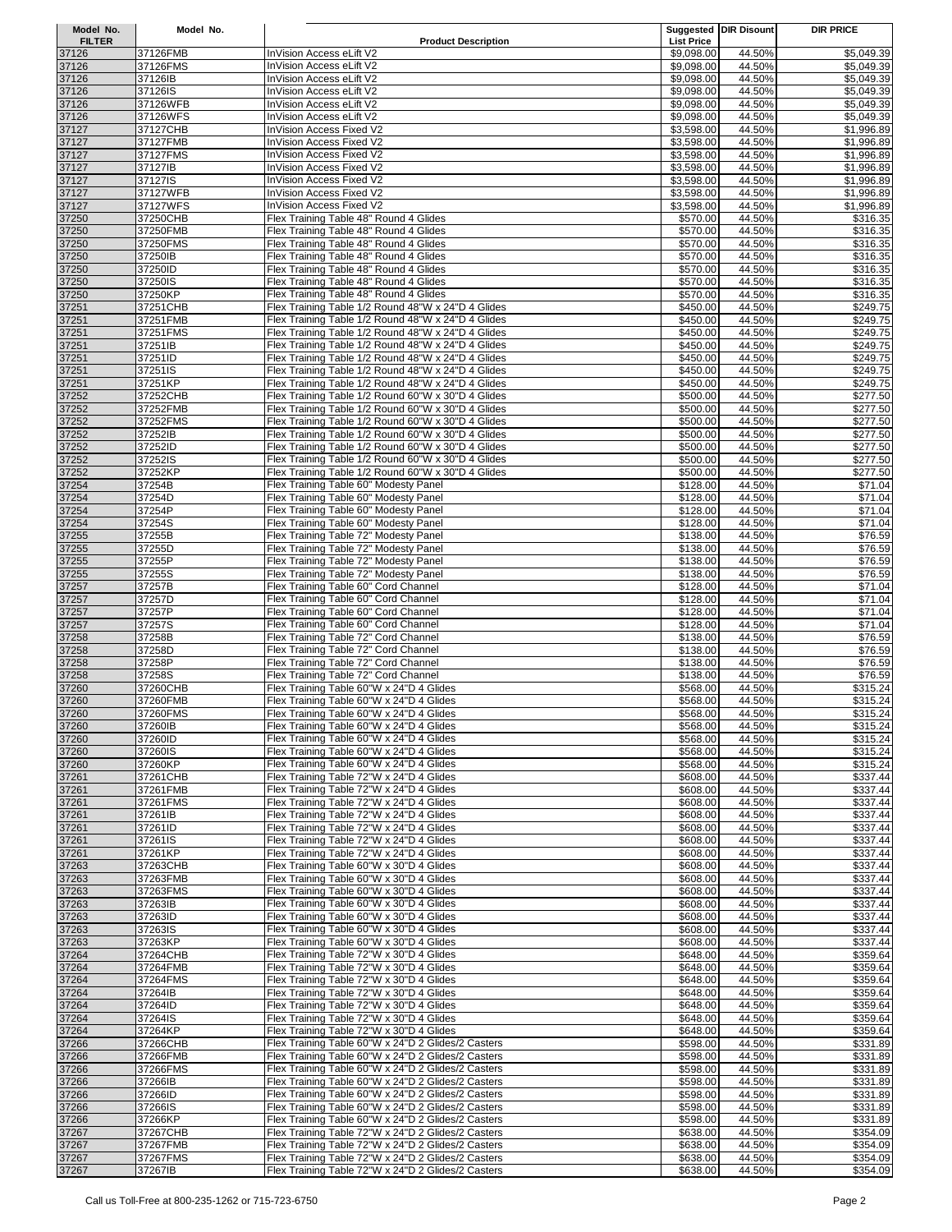| Model No.              | Model No.            |                                                                                                          |                                 | <b>Suggested DIR Disount</b> | <b>DIR PRICE</b>         |
|------------------------|----------------------|----------------------------------------------------------------------------------------------------------|---------------------------------|------------------------------|--------------------------|
| <b>FILTER</b><br>37126 | 37126FMB             | <b>Product Description</b><br>InVision Access eLift V2                                                   | <b>List Price</b><br>\$9,098.00 | 44.50%                       | \$5,049.39               |
| 37126                  | 37126FMS             | InVision Access eLift V2                                                                                 | \$9,098.00                      | 44.50%                       | \$5,049.39               |
| 37126                  | 37126 <sub>B</sub>   | InVision Access eLift V2                                                                                 | \$9,098.00                      | 44.50%                       | \$5,049.39               |
| 37126                  | 37126IS              | InVision Access eLift V2                                                                                 | \$9,098.00                      | 44.50%                       | \$5,049.39               |
| 37126                  | 37126WFB             | InVision Access eLift V2                                                                                 | \$9,098.00                      | 44.50%                       | \$5,049.39               |
| 37126                  | 37126WFS             | InVision Access eLift V2                                                                                 | \$9.098.00                      | 44.50%                       | \$5,049.39               |
| 37127                  | 37127CHB             | <b>InVision Access Fixed V2</b>                                                                          | \$3,598.00                      | 44.50%                       | \$1,996.89               |
| 37127                  | 37127FMB             | InVision Access Fixed V2                                                                                 | \$3,598.00                      | 44.50%                       | \$1,996.89               |
| 37127<br>37127         | 37127FMS<br>37127IB  | InVision Access Fixed V2<br>InVision Access Fixed V2                                                     | \$3,598.00<br>\$3,598.00        | 44.50%<br>44.50%             | \$1,996.89<br>\$1,996.89 |
| 37127                  | 37127IS              | InVision Access Fixed V2                                                                                 | \$3,598.00                      | 44.50%                       | \$1,996.89               |
| 37127                  | 37127WFB             | InVision Access Fixed V2                                                                                 | \$3,598.00                      | 44.50%                       | \$1,996.89               |
| 37127                  | 37127WFS             | InVision Access Fixed V2                                                                                 | \$3,598.00                      | 44.50%                       | \$1,996.89               |
| 37250                  | 37250CHB             | Flex Training Table 48" Round 4 Glides                                                                   | \$570.00                        | 44.50%                       | \$316.35                 |
| 37250                  | 37250FMB             | Flex Training Table 48" Round 4 Glides                                                                   | \$570.00                        | 44.50%                       | \$316.35                 |
| 37250                  | 37250FMS             | Flex Training Table 48" Round 4 Glides                                                                   | \$570.00                        | 44.50%                       | \$316.35                 |
| 37250<br>37250         | 37250IB<br>37250ID   | Flex Training Table 48" Round 4 Glides<br>Flex Training Table 48" Round 4 Glides                         | \$570.00<br>\$570.00            | 44.50%<br>44.50%             | \$316.35<br>\$316.35     |
| 37250                  | 37250IS              | Flex Training Table 48" Round 4 Glides                                                                   | \$570.00                        | 44.50%                       | \$316.35                 |
| 37250                  | 37250KP              | Flex Training Table 48" Round 4 Glides                                                                   | \$570.00                        | 44.50%                       | \$316.35                 |
| 37251                  | 37251CHB             | Flex Training Table 1/2 Round 48"W x 24"D 4 Glides                                                       | \$450.00                        | 44.50%                       | \$249.75                 |
| 37251                  | 37251FMB             | Flex Training Table 1/2 Round 48"W x 24"D 4 Glides                                                       | \$450.00                        | 44.50%                       | \$249.75                 |
| 37251                  | 37251FMS             | Flex Training Table 1/2 Round 48"W x 24"D 4 Glides                                                       | \$450.00                        | 44.50%                       | \$249.75                 |
| 37251                  | 37251IB<br>37251ID   | Flex Training Table 1/2 Round 48"W x 24"D 4 Glides                                                       | \$450.00                        | 44.50%                       | \$249.75<br>3249.75      |
| 37251<br>37251         | 37251IS              | Flex Training Table 1/2 Round 48"W x 24"D 4 Glides<br>Flex Training Table 1/2 Round 48"W x 24"D 4 Glides | \$450.00<br>\$450.00            | 44.50%<br>44.50%             | \$249.75                 |
| 37251                  | 37251KP              | Flex Training Table 1/2 Round 48"W x 24"D 4 Glides                                                       | \$450.00                        | 44.50%                       | 3249.75                  |
| 37252                  | 37252CHB             | Flex Training Table 1/2 Round 60"W x 30"D 4 Glides                                                       | \$500.00                        | 44.50%                       | \$277.50                 |
| 37252                  | 37252FMB             | Flex Training Table 1/2 Round 60"W x 30"D 4 Glides                                                       | \$500.00                        | 44.50%                       | \$277.50                 |
| 37252                  | 37252FMS             | Flex Training Table 1/2 Round 60"W x 30"D 4 Glides                                                       | \$500.00                        | 44.50%                       | \$277.50                 |
| 37252                  | 37252IB              | Flex Training Table 1/2 Round 60"W x 30"D 4 Glides<br>Flex Training Table 1/2 Round 60"W x 30"D 4 Glides | \$500.00<br>\$500.00            | 44.50%                       | \$277.50                 |
| 37252<br>37252         | 37252ID<br>37252IS   | Flex Training Table 1/2 Round 60"W x 30"D 4 Glides                                                       | \$500.00                        | 44.50%<br>44.50%             | \$277.50<br>\$277.50     |
| 37252                  | 37252KP              | Flex Training Table 1/2 Round 60"W x 30"D 4 Glides                                                       | \$500.00                        | 44.50%                       | \$277.50                 |
| 37254                  | 37254B               | Flex Training Table 60" Modesty Panel                                                                    | \$128.00                        | 44.50%                       | \$71.04                  |
| 37254                  | 37254D               | Flex Training Table 60" Modesty Panel                                                                    | \$128.00                        | 44.50%                       | \$71.04                  |
| 37254                  | 37254P               | Flex Training Table 60" Modesty Panel                                                                    | \$128.00                        | 44.50%                       | \$71.04                  |
| 37254<br>37255         | 37254S<br>37255B     | Flex Training Table 60" Modesty Panel<br>Flex Training Table 72" Modesty Panel                           | \$128.00<br>\$138.00            | 44.50%<br>44.50%             | \$71.04<br>\$76.59       |
| 37255                  | 37255D               | Flex Training Table 72" Modesty Panel                                                                    | \$138.00                        | 44.50%                       | \$76.59                  |
| 37255                  | 37255P               | Flex Training Table 72" Modesty Panel                                                                    | \$138.00                        | 44.50%                       | \$76.59                  |
| 37255                  | 37255S               | Flex Training Table 72" Modesty Panel                                                                    | \$138.00                        | 44.50%                       | \$76.59                  |
| 37257                  | 37257B               | Flex Training Table 60" Cord Channel                                                                     | \$128.00                        | 44.50%                       | \$71.04                  |
| 37257                  | 37257D               | Flex Training Table 60" Cord Channel                                                                     | \$128.00                        | 44.50%                       | \$71.04                  |
| 37257<br>37257         | 37257P<br>37257S     | Flex Training Table 60" Cord Channel<br>Flex Training Table 60" Cord Channel                             | \$128.00<br>\$128.00            | 44.50%<br>44.50%             | \$71.04<br>\$71.04       |
| 37258                  | 37258B               | Flex Training Table 72" Cord Channel                                                                     | \$138.00                        | 44.50%                       | \$76.59                  |
| 37258                  | 37258D               | Flex Training Table 72" Cord Channel                                                                     | \$138.00                        | 44.50%                       | \$76.59                  |
| 37258                  | 37258P               | Flex Training Table 72" Cord Channel                                                                     | \$138.00                        | 44.50%                       | \$76.59                  |
| 37258                  | 37258S               | Flex Training Table 72" Cord Channel                                                                     | \$138.00                        | 44.50%                       | \$76.59                  |
| 37260<br>37260         | 37260CHB<br>37260FMB | Flex Training Table 60"W x 24"D 4 Glides<br>Flex Training Table 60"W x 24"D 4 Glides                     | \$568.00<br>\$568.00            | 44.50%<br>44.50%             | \$315.24<br>\$315.24     |
| 37260                  | 37260FMS             | Flex Training Table 60"W x 24"D 4 Glides                                                                 | \$568.00                        | 44.50%                       | \$315.24                 |
| 37260                  | 37260IB              | Flex Training Table 60"W x 24"D 4 Glides                                                                 | \$568.00                        | 44.50%                       | \$315.24                 |
| 37260                  | 37260ID              | Flex Training Table 60"W x 24"D 4 Glides                                                                 | \$568.00                        | 44.50%                       | \$315.24                 |
| 37260                  | 37260IS              | Flex Training Table 60"W x 24"D 4 Glides                                                                 | \$568.00                        | 44.50%                       | \$315.24                 |
| 37260                  | 37260KP              | Flex Training Table 60"W x 24"D 4 Glides                                                                 | \$568.00                        | 44.50%                       | \$315.24                 |
| 37261<br>37261         | 37261CHB<br>37261FMB | Flex Training Table 72"W x 24"D 4 Glides<br>Flex Training Table 72"W x 24"D 4 Glides                     | \$608.00<br>\$608.00            | 44.50%<br>44.50%             | \$337.44<br>\$337.44     |
| 37261                  | 37261FMS             | Flex Training Table 72"W x 24"D 4 Glides                                                                 | \$608.00                        | 44.50%                       | \$337.44                 |
| 37261                  | 37261IB              | Flex Training Table 72"W x 24"D 4 Glides                                                                 | \$608.00                        | 44.50%                       | \$337.44                 |
| 37261                  | 37261ID              | Flex Training Table 72"W x 24"D 4 Glides                                                                 | \$608.00                        | 44.50%                       | \$337.44                 |
| 37261                  | 37261IS              | Flex Training Table 72"W x 24"D 4 Glides                                                                 | \$608.00                        | 44.50%                       | \$337.44                 |
| 37261                  | 37261KP<br>37263CHB  | Flex Training Table 72"W x 24"D 4 Glides<br>Flex Training Table 60"W x 30"D 4 Glides                     | \$608.00                        | 44.50%                       | \$337.44                 |
| 37263<br>37263         | 37263FMB             | Flex Training Table 60"W x 30"D 4 Glides                                                                 | \$608.00<br>\$608.00            | 44.50%<br>44.50%             | \$337.44<br>\$337.44     |
| 37263                  | 37263FMS             | Flex Training Table 60"W x 30"D 4 Glides                                                                 | \$608.00                        | 44.50%                       | \$337.44                 |
| 37263                  | 37263IB              | Flex Training Table 60"W x 30"D 4 Glides                                                                 | \$608.00                        | 44.50%                       | \$337.44                 |
| 37263                  | 37263ID              | Flex Training Table 60"W x 30"D 4 Glides                                                                 | \$608.00                        | 44.50%                       | \$337.44                 |
| 37263                  | 37263IS              | Flex Training Table 60"W x 30"D 4 Glides                                                                 | \$608.00                        | 44.50%                       | \$337.44                 |
| 37263<br>37264         | 37263KP<br>37264CHB  | Flex Training Table 60"W x 30"D 4 Glides<br>Flex Training Table 72"W x 30"D 4 Glides                     | \$608.00<br>\$648.00            | 44.50%<br>44.50%             | \$337.44<br>\$359.64     |
| 37264                  | 37264FMB             | Flex Training Table 72"W x 30"D 4 Glides                                                                 | \$648.00                        | 44.50%                       | \$359.64                 |
| 37264                  | 37264FMS             | Flex Training Table 72"W x 30"D 4 Glides                                                                 | \$648.00                        | 44.50%                       | \$359.64                 |
| 37264                  | 37264IB              | Flex Training Table 72"W x 30"D 4 Glides                                                                 | \$648.00                        | 44.50%                       | \$359.64                 |
| 37264                  | 37264ID              | Flex Training Table 72"W x 30"D 4 Glides                                                                 | \$648.00                        | 44.50%                       | \$359.64                 |
| 37264                  | 37264IS<br>37264KP   | Flex Training Table 72"W x 30"D 4 Glides                                                                 | \$648.00                        | 44.50%<br>44.50%             | \$359.64                 |
| 37264<br>37266         | 37266CHB             | Flex Training Table 72"W x 30"D 4 Glides<br>Flex Training Table 60"W x 24"D 2 Glides/2 Casters           | \$648.00<br>\$598.00            | 44.50%                       | \$359.64<br>\$331.89     |
| 37266                  | 37266FMB             | Flex Training Table 60"W x 24"D 2 Glides/2 Casters                                                       | \$598.00                        | 44.50%                       | \$331.89                 |
| 37266                  | 37266FMS             | Flex Training Table 60"W x 24"D 2 Glides/2 Casters                                                       | \$598.00                        | 44.50%                       | \$331.89                 |
| 37266                  | 37266IB              | Flex Training Table 60"W x 24"D 2 Glides/2 Casters                                                       | \$598.00                        | 44.50%                       | \$331.89                 |
| 37266                  | 37266ID              | Flex Training Table 60"W x 24"D 2 Glides/2 Casters<br>Flex Training Table 60"W x 24"D 2 Glides/2 Casters | \$598.00                        | 44.50%<br>44.50%             | \$331.89<br>\$331.89     |
| 37266<br>37266         | 37266IS<br>37266KP   | Flex Training Table 60"W x 24"D 2 Glides/2 Casters                                                       | \$598.00<br>\$598.00            | 44.50%                       | \$331.89                 |
| 37267                  | 37267CHB             | Flex Training Table 72"W x 24"D 2 Glides/2 Casters                                                       | \$638.00                        | 44.50%                       | \$354.09                 |
| 37267                  | 37267FMB             | Flex Training Table 72"W x 24"D 2 Glides/2 Casters                                                       | \$638.00                        | 44.50%                       | \$354.09                 |
| 37267                  | 37267FMS             | Flex Training Table 72"W x 24"D 2 Glides/2 Casters                                                       | \$638.00                        | 44.50%                       | \$354.09                 |
| 37267                  | 37267IB              | Flex Training Table 72"W x 24"D 2 Glides/2 Casters                                                       | \$638.00                        | 44.50%                       | \$354.09                 |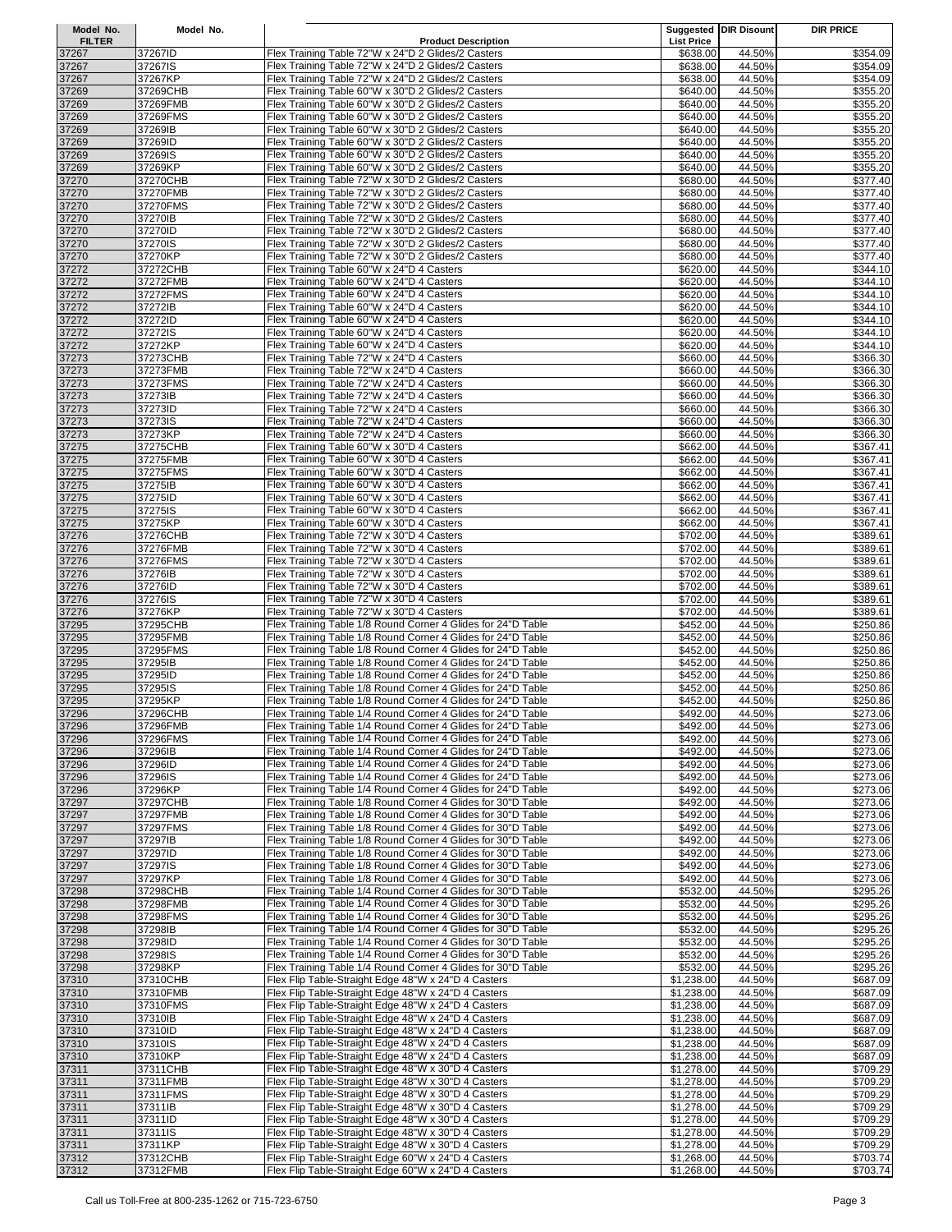| Model No.              | Model No.            |                                                                                                                              |                               | <b>Suggested DIR Disount</b> | <b>DIR PRICE</b>     |
|------------------------|----------------------|------------------------------------------------------------------------------------------------------------------------------|-------------------------------|------------------------------|----------------------|
| <b>FILTER</b><br>37267 |                      | <b>Product Description</b><br>Flex Training Table 72"W x 24"D 2 Glides/2 Casters                                             | <b>List Price</b><br>\$638.00 | 44.50%                       | \$354.09             |
| 37267                  | 37267ID<br>37267IS   | Flex Training Table 72"W x 24"D 2 Glides/2 Casters                                                                           | \$638.00                      | 44.50%                       | \$354.09             |
| 37267                  | 37267KP              | Flex Training Table 72"W x 24"D 2 Glides/2 Casters                                                                           | \$638.00                      | 44.50%                       | \$354.09             |
| 37269                  | 37269CHB             | Flex Training Table 60"W x 30"D 2 Glides/2 Casters                                                                           | \$640.00                      | 44.50%                       | \$355.20             |
| 37269                  | 37269FMB             | Flex Training Table 60"W x 30"D 2 Glides/2 Casters                                                                           | \$640.00                      | 44.50%                       | \$355.20             |
| 37269                  | 37269FMS             | Flex Training Table 60"W x 30"D 2 Glides/2 Casters                                                                           | \$640.00                      | 44.50%                       | \$355.20             |
| 37269                  | 37269IB              | Flex Training Table 60"W x 30"D 2 Glides/2 Casters                                                                           | \$640.00                      | 44.50%                       | \$355.20             |
| 37269<br>37269         | 37269ID<br>37269IS   | Flex Training Table 60"W x 30"D 2 Glides/2 Casters<br>Flex Training Table 60"W x 30"D 2 Glides/2 Casters                     | \$640.00<br>\$640.00          | 44.50%<br>44.50%             | \$355.20<br>\$355.20 |
| 37269                  | 37269KP              | Flex Training Table 60"W x 30"D 2 Glides/2 Casters                                                                           | \$640.00                      | 44.50%                       | \$355.20             |
| 37270                  | 37270CHB             | Flex Training Table 72"W x 30"D 2 Glides/2 Casters                                                                           | \$680.00                      | 44.50%                       | \$377.40             |
| 37270                  | 37270FMB             | Flex Training Table 72"W x 30"D 2 Glides/2 Casters                                                                           | \$680.00                      | 44.50%                       | \$377.40             |
| 37270                  | 37270FMS             | Flex Training Table 72"W x 30"D 2 Glides/2 Casters                                                                           | \$680.00                      | 44.50%                       | \$377.40             |
| 37270                  | 37270IB              | Flex Training Table 72"W x 30"D 2 Glides/2 Casters                                                                           | \$680.00                      | 44.50%                       | \$377.40             |
| 37270                  | 37270ID              | Flex Training Table 72"W x 30"D 2 Glides/2 Casters                                                                           | \$680.00                      | 44.50%                       | \$377.40             |
| 37270                  | 37270IS              | Flex Training Table 72"W x 30"D 2 Glides/2 Casters                                                                           | \$680.00                      | 44.50%                       | \$377.40             |
| 37270<br>37272         | 37270KP<br>37272CHB  | Flex Training Table 72"W x 30"D 2 Glides/2 Casters<br>Flex Training Table 60"W x 24"D 4 Casters                              | \$680.00<br>\$620.00          | 44.50%<br>44.50%             | \$377.40<br>\$344.10 |
| 37272                  | 37272FMB             | Flex Training Table 60"W x 24"D 4 Casters                                                                                    | \$620.00                      | 44.50%                       | \$344.10             |
| 37272                  | 37272FMS             | Flex Training Table 60"W x 24"D 4 Casters                                                                                    | \$620.00                      | 44.50%                       | \$344.10             |
| 37272                  | 37272IB              | Flex Training Table 60"W x 24"D 4 Casters                                                                                    | \$620.00                      | 44.50%                       | \$344.10             |
| 37272                  | 37272ID              | Flex Training Table 60"W x 24"D 4 Casters                                                                                    | \$620.00                      | 44.50%                       | \$344.10             |
| 37272                  | 37272IS              | Flex Training Table 60"W x 24"D 4 Casters                                                                                    | \$620.00                      | 44.50%                       | \$344.10             |
| 37272                  | 37272KP              | Flex Training Table 60"W x 24"D 4 Casters                                                                                    | \$620.00                      | 44.50%                       | \$344.10             |
| 37273                  | 37273CHB             | Flex Training Table 72"W x 24"D 4 Casters                                                                                    | \$660.00                      | 44.50%                       | \$366.30             |
| 37273<br>37273         | 37273FMB<br>37273FMS | Flex Training Table 72"W x 24"D 4 Casters<br>Flex Training Table 72"W x 24"D 4 Casters                                       | \$660.00<br>\$660.00          | 44.50%<br>44.50%             | \$366.30<br>\$366.30 |
| 37273                  | 37273IB              | Flex Training Table 72"W x 24"D 4 Casters                                                                                    | \$660.00                      | 44.50%                       | \$366.30             |
| 37273                  | 37273ID              | Flex Training Table 72"W x 24"D 4 Casters                                                                                    | \$660.00                      | 44.50%                       | \$366.30             |
| 37273                  | 37273IS              | Flex Training Table 72"W x 24"D 4 Casters                                                                                    | \$660.00                      | 44.50%                       | \$366.30             |
| 37273                  | 37273KP              | Flex Training Table 72"W x 24"D 4 Casters                                                                                    | \$660.00                      | 44.50%                       | \$366.30             |
| 37275                  | 37275CHB             | Flex Training Table 60"W x 30"D 4 Casters                                                                                    | \$662.00                      | 44.50%                       | \$367.41             |
| 37275                  | 37275FMB             | Flex Training Table 60"W x 30"D 4 Casters                                                                                    | \$662.00                      | 44.50%                       | \$367.41             |
| 37275                  | 37275FMS             | Flex Training Table 60"W x 30"D 4 Casters                                                                                    | \$662.00                      | 44.50%                       | \$367.41             |
| 37275<br>37275         | 37275IB<br>37275ID   | Flex Training Table 60"W x 30"D 4 Casters<br>Flex Training Table 60"W x 30"D 4 Casters                                       | \$662.00<br>\$662.00          | 44.50%<br>44.50%             | \$367.41<br>\$367.41 |
| 37275                  | 37275IS              | Flex Training Table 60"W x 30"D 4 Casters                                                                                    | \$662.00                      | 44.50%                       | \$367.41             |
| 37275                  | 37275KP              | Flex Training Table 60"W x 30"D 4 Casters                                                                                    | \$662.00                      | 44.50%                       | \$367.41             |
| 37276                  | 37276CHB             | Flex Training Table 72"W x 30"D 4 Casters                                                                                    | \$702.00                      | 44.50%                       | \$389.61             |
| 37276                  | 37276FMB             | Flex Training Table 72"W x 30"D 4 Casters                                                                                    | \$702.00                      | 44.50%                       | \$389.61             |
| 37276                  | 37276FMS             | Flex Training Table 72"W x 30"D 4 Casters                                                                                    | \$702.00                      | 44.50%                       | \$389.61             |
| 37276                  | 37276IB              | Flex Training Table 72"W x 30"D 4 Casters                                                                                    | \$702.00                      | 44.50%                       | \$389.61             |
| 37276                  | 37276ID<br>37276IS   | Flex Training Table 72"W x 30"D 4 Casters<br>Flex Training Table 72"W x 30"D 4 Casters                                       | \$702.00                      | 44.50%<br>44.50%             | \$389.61             |
| 37276<br>37276         | 37276KP              | Flex Training Table 72"W x 30"D 4 Casters                                                                                    | \$702.00<br>\$702.00          | 44.50%                       | \$389.61<br>\$389.61 |
| 37295                  | 37295CHB             | Flex Training Table 1/8 Round Corner 4 Glides for 24"D Table                                                                 | \$452.00                      | 44.50%                       | \$250.86             |
| 37295                  | 37295FMB             | Flex Training Table 1/8 Round Corner 4 Glides for 24"D Table                                                                 | \$452.00                      | 44.50%                       | \$250.86             |
| 37295                  | 37295FMS             | Flex Training Table 1/8 Round Corner 4 Glides for 24"D Table                                                                 | \$452.00                      | 44.50%                       | \$250.86             |
| 37295                  | 37295IB              | Flex Training Table 1/8 Round Corner 4 Glides for 24"D Table                                                                 | \$452.00                      | 44.50%                       | \$250.86             |
| 37295                  | 37295ID              | Flex Training Table 1/8 Round Corner 4 Glides for 24"D Table                                                                 | \$452.00                      | 44.50%                       | \$250.86             |
| 37295                  | 37295IS<br>37295KP   | Flex Training Table 1/8 Round Corner 4 Glides for 24"D Table                                                                 | \$452.00                      | 44.50%                       | \$250.86             |
| 37295<br>37296         | 37296CHB             | Flex Training Table 1/8 Round Corner 4 Glides for 24"D Table<br>Flex Training Table 1/4 Round Corner 4 Glides for 24"D Table | \$452.00<br>\$492.00          | 44.50%<br>44.50%             | \$250.86<br>\$273.06 |
| 37296                  | 37296FMB             | Flex Training Table 1/4 Round Corner 4 Glides for 24"D Table                                                                 | \$492.00                      | 44.50%                       | \$273.06             |
| 37296                  | 37296FMS             | Flex Training Table 1/4 Round Corner 4 Glides for 24"D Table                                                                 | \$492.00                      | 44.50%                       | \$273.06             |
| 37296                  | 37296IB              | Flex Training Table 1/4 Round Corner 4 Glides for 24"D Table                                                                 | \$492.00                      | 44.50%                       | \$273.06             |
| 37296                  | 37296ID              | Flex Training Table 1/4 Round Corner 4 Glides for 24"D Table                                                                 | \$492.00                      | 44.50%                       | \$273.06             |
| 37296                  | 37296IS              | Flex Training Table 1/4 Round Corner 4 Glides for 24"D Table                                                                 | \$492.00                      | 44.50%                       | \$273.06             |
| 37296                  | 37296KP              | Flex Training Table 1/4 Round Corner 4 Glides for 24"D Table<br>Flex Training Table 1/8 Round Corner 4 Glides for 30"D Table | \$492.00                      | 44.50%<br>44.50%             | \$273.06             |
| 37297<br>37297         | 37297CHB<br>37297FMB | Flex Training Table 1/8 Round Corner 4 Glides for 30"D Table                                                                 | \$492.00<br>\$492.00          | 44.50%                       | \$273.06<br>\$273.06 |
| 37297                  | 37297FMS             | Flex Training Table 1/8 Round Corner 4 Glides for 30"D Table                                                                 | \$492.00                      | 44.50%                       | \$273.06             |
| 37297                  | 37297IB              | Flex Training Table 1/8 Round Corner 4 Glides for 30"D Table                                                                 | \$492.00                      | 44.50%                       | \$273.06             |
| 37297                  | 37297ID              | Flex Training Table 1/8 Round Corner 4 Glides for 30"D Table                                                                 | \$492.00                      | 44.50%                       | \$273.06             |
| 37297                  | 37297IS              | Flex Training Table 1/8 Round Corner 4 Glides for 30"D Table                                                                 | \$492.00                      | 44.50%                       | \$273.06             |
| 37297                  | 37297KP              | Flex Training Table 1/8 Round Corner 4 Glides for 30"D Table                                                                 | \$492.00                      | 44.50%                       | \$273.06             |
| 37298<br>37298         | 37298CHB<br>37298FMB | Flex Training Table 1/4 Round Corner 4 Glides for 30"D Table<br>Flex Training Table 1/4 Round Corner 4 Glides for 30"D Table | \$532.00<br>\$532.00          | 44.50%<br>44.50%             | \$295.26<br>\$295.26 |
| 37298                  | 37298FMS             | Flex Training Table 1/4 Round Corner 4 Glides for 30"D Table                                                                 | \$532.00                      | 44.50%                       | \$295.26             |
| 37298                  | 37298IB              | Flex Training Table 1/4 Round Corner 4 Glides for 30"D Table                                                                 | \$532.00                      | 44.50%                       | \$295.26             |
| 37298                  | 37298ID              | Flex Training Table 1/4 Round Corner 4 Glides for 30"D Table                                                                 | \$532.00                      | 44.50%                       | \$295.26             |
| 37298                  | 37298IS              | Flex Training Table 1/4 Round Corner 4 Glides for 30"D Table                                                                 | \$532.00                      | 44.50%                       | \$295.26             |
| 37298                  | 37298KP              | Flex Training Table 1/4 Round Corner 4 Glides for 30"D Table                                                                 | \$532.00                      | 44.50%                       | \$295.26             |
| 37310                  | 37310CHB             | Flex Flip Table-Straight Edge 48"W x 24"D 4 Casters                                                                          | \$1,238.00                    | 44.50%                       | \$687.09             |
| 37310                  | 37310FMB             | Flex Flip Table-Straight Edge 48"W x 24"D 4 Casters                                                                          | \$1,238.00                    | 44.50%<br>44.50%             | \$687.09             |
| 37310<br>37310         | 37310FMS<br>37310IB  | Flex Flip Table-Straight Edge 48"W x 24"D 4 Casters<br>Flex Flip Table-Straight Edge 48"W x 24"D 4 Casters                   | \$1,238.00<br>\$1,238.00      | 44.50%                       | \$687.09<br>\$687.09 |
| 37310                  | 37310ID              | Flex Flip Table-Straight Edge 48"W x 24"D 4 Casters                                                                          | \$1,238.00                    | 44.50%                       | \$687.09             |
| 37310                  | 37310IS              | Flex Flip Table-Straight Edge 48"W x 24"D 4 Casters                                                                          | \$1,238.00                    | 44.50%                       | \$687.09             |
| 37310                  | 37310KP              | Flex Flip Table-Straight Edge 48"W x 24"D 4 Casters                                                                          | \$1,238.00                    | 44.50%                       | \$687.09             |
| 37311                  | 37311CHB             | Flex Flip Table-Straight Edge 48"W x 30"D 4 Casters                                                                          | \$1,278.00                    | 44.50%                       | \$709.29             |
| 37311                  | 37311FMB             | Flex Flip Table-Straight Edge 48"W x 30"D 4 Casters                                                                          | \$1,278.00                    | 44.50%                       | \$709.29             |
| 37311                  | 37311FMS<br>37311IB  | Flex Flip Table-Straight Edge 48"W x 30"D 4 Casters<br>Flex Flip Table-Straight Edge 48"W x 30"D 4 Casters                   | \$1,278.00                    | 44.50%<br>44.50%             | \$709.29<br>\$709.29 |
| 37311<br>37311         | 37311ID              | Flex Flip Table-Straight Edge 48"W x 30"D 4 Casters                                                                          | \$1,278.00<br>\$1,278.00      | 44.50%                       | \$709.29             |
| 37311                  | 37311IS              | Flex Flip Table-Straight Edge 48"W x 30"D 4 Casters                                                                          | \$1,278.00                    | 44.50%                       | \$709.29             |
| 37311                  | 37311KP              | Flex Flip Table-Straight Edge 48"W x 30"D 4 Casters                                                                          | \$1,278.00                    | 44.50%                       | \$709.29             |
| 37312                  | 37312CHB             | Flex Flip Table-Straight Edge 60"W x 24"D 4 Casters                                                                          | \$1,268.00                    | 44.50%                       | \$703.74             |
| 37312                  | 37312FMB             | Flex Flip Table-Straight Edge 60"W x 24"D 4 Casters                                                                          | \$1,268.00                    | 44.50%                       | \$703.74             |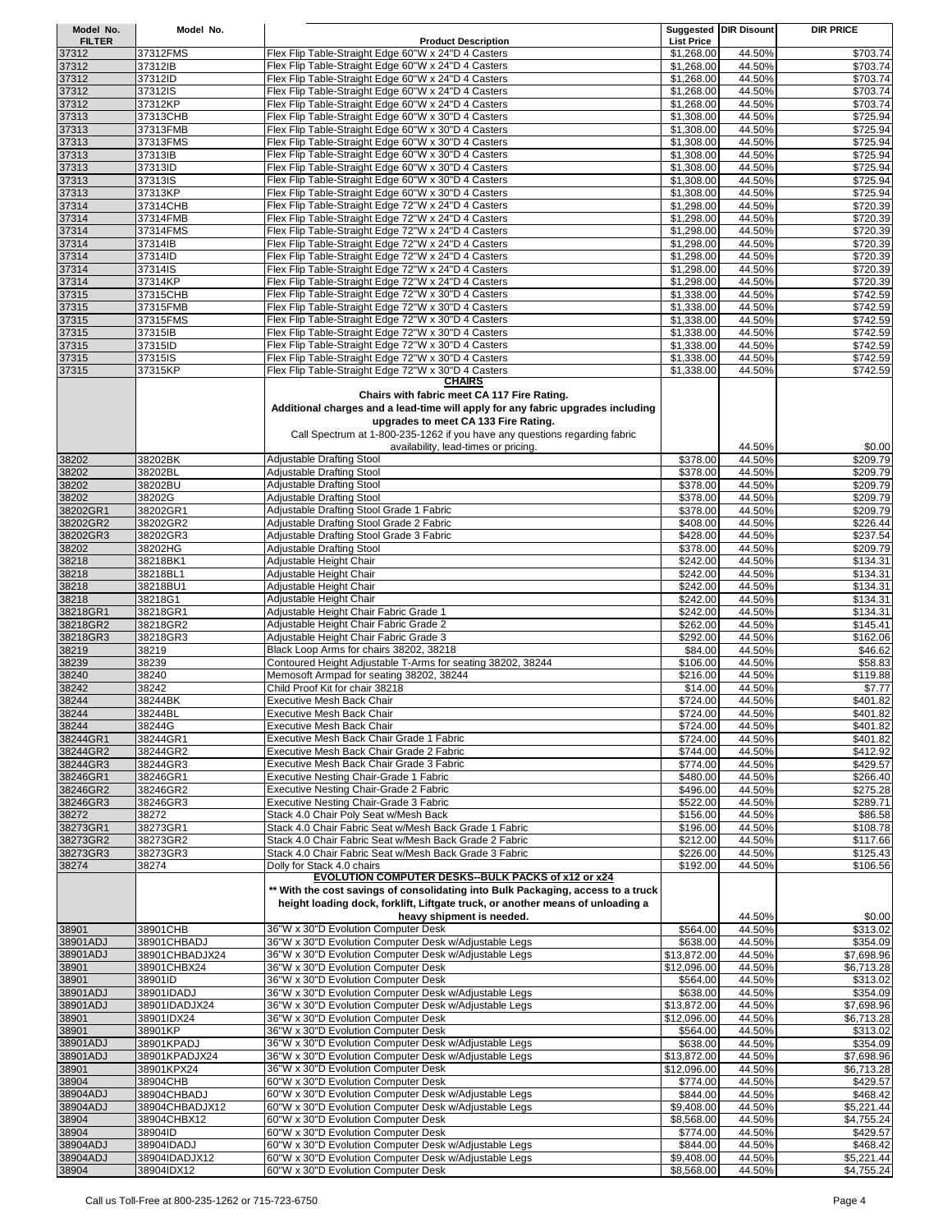| Model No.     | Model No.      |                                                                                  |                   | Suggested DIR Disount | <b>DIR PRICE</b> |
|---------------|----------------|----------------------------------------------------------------------------------|-------------------|-----------------------|------------------|
| <b>FILTER</b> |                | <b>Product Description</b>                                                       | <b>List Price</b> |                       |                  |
| 37312         | 37312FMS       | Flex Flip Table-Straight Edge 60"W x 24"D 4 Casters                              | \$1,268.00        | 44.50%                | \$703.74         |
| 37312         | 37312IB        | Flex Flip Table-Straight Edge 60"W x 24"D 4 Casters                              | \$1,268.00        | 44.50%                | \$703.74         |
| 37312         | 37312ID        | Flex Flip Table-Straight Edge 60"W x 24"D 4 Casters                              | \$1,268.00        | 44.50%                | \$703.74         |
| 37312         | 37312IS        | Flex Flip Table-Straight Edge 60"W x 24"D 4 Casters                              | \$1,268.00        | 44.50%                | \$703.74         |
| 37312         | 37312KP        | Flex Flip Table-Straight Edge 60"W x 24"D 4 Casters                              | \$1,268.00        | 44.50%                | \$703.74         |
| 37313         | 37313CHB       | Flex Flip Table-Straight Edge 60"W x 30"D 4 Casters                              | \$1,308.00        | 44.50%                | \$725.94         |
| 37313         | 37313FMB       | Flex Flip Table-Straight Edge 60"W x 30"D 4 Casters                              | \$1,308.00        | 44.50%                | \$725.94         |
| 37313         | 37313FMS       | Flex Flip Table-Straight Edge 60"W x 30"D 4 Casters                              | \$1,308.00        | 44.50%                | \$725.94         |
| 37313         | 37313IB        | Flex Flip Table-Straight Edge 60"W x 30"D 4 Casters                              | \$1,308.00        | 44.50%                | \$725.94         |
| 37313         | 37313ID        | Flex Flip Table-Straight Edge 60"W x 30"D 4 Casters                              | \$1,308.00        | 44.50%                | \$725.94         |
|               |                |                                                                                  |                   |                       |                  |
| 37313         | 37313IS        | Flex Flip Table-Straight Edge 60"W x 30"D 4 Casters                              | \$1,308.00        | 44.50%                | \$725.94         |
| 37313         | 37313KP        | Flex Flip Table-Straight Edge 60"W x 30"D 4 Casters                              | \$1,308.00        | 44.50%                | \$725.94         |
| 37314         | 37314CHB       | Flex Flip Table-Straight Edge 72"W x 24"D 4 Casters                              | \$1,298.00        | 44.50%                | \$720.39         |
| 37314         | 37314FMB       | Flex Flip Table-Straight Edge 72"W x 24"D 4 Casters                              | \$1,298.00        | 44.50%                | \$720.39         |
| 37314         | 37314FMS       | Flex Flip Table-Straight Edge 72"W x 24"D 4 Casters                              | \$1,298.00        | 44.50%                | \$720.39         |
| 37314         | 37314IB        | Flex Flip Table-Straight Edge 72"W x 24"D 4 Casters                              | \$1,298.00        | 44.50%                | \$720.39         |
| 37314         | 37314ID        | Flex Flip Table-Straight Edge 72"W x 24"D 4 Casters                              | \$1,298.00        | 44.50%                | \$720.39         |
| 37314         | 37314IS        | Flex Flip Table-Straight Edge 72"W x 24"D 4 Casters                              | \$1,298.00        | 44.50%                | \$720.39         |
| 37314         | 37314KP        | Flex Flip Table-Straight Edge 72"W x 24"D 4 Casters                              | \$1,298.00        | 44.50%                | \$720.39         |
| 37315         | 37315CHB       | Flex Flip Table-Straight Edge 72"W x 30"D 4 Casters                              | \$1,338.00        | 44.50%                | \$742.59         |
| 37315         | 37315FMB       | Flex Flip Table-Straight Edge 72"W x 30"D 4 Casters                              | \$1,338.00        | 44.50%                | \$742.59         |
| 37315         | 37315FMS       | Flex Flip Table-Straight Edge 72"W x 30"D 4 Casters                              | \$1,338.00        | 44.50%                | $\sqrt{$742.59}$ |
| 37315         | 37315IB        | Flex Flip Table-Straight Edge 72"W x 30"D 4 Casters                              | \$1,338.00        | 44.50%                | \$742.59         |
| 37315         | 37315ID        | Flex Flip Table-Straight Edge 72"W x 30"D 4 Casters                              | \$1,338.00        | 44.50%                | \$742.59         |
| 37315         | 37315IS        | Flex Flip Table-Straight Edge 72"W x 30"D 4 Casters                              | \$1,338.00        | 44.50%                | \$742.59         |
| 37315         | 37315KP        |                                                                                  |                   |                       |                  |
|               |                | Flex Flip Table-Straight Edge 72"W x 30"D 4 Casters<br>CHAIRS                    | \$1,338.00        | 44.50%                | \$742.59         |
|               |                |                                                                                  |                   |                       |                  |
|               |                | Chairs with fabric meet CA 117 Fire Rating.                                      |                   |                       |                  |
|               |                | Additional charges and a lead-time will apply for any fabric upgrades including  |                   |                       |                  |
|               |                | upgrades to meet CA 133 Fire Rating.                                             |                   |                       |                  |
|               |                | Call Spectrum at 1-800-235-1262 if you have any questions regarding fabric       |                   |                       |                  |
|               |                | availability, lead-times or pricing.                                             |                   | 44.50%                | \$0.00           |
| 38202         | 38202BK        | <b>Adjustable Drafting Stool</b>                                                 | \$378.00          | 44.50%                | \$209.79         |
| 38202         | 38202BL        | Adjustable Drafting Stool                                                        | \$378.00          | 44.50%                | \$209.79         |
| 38202         | 38202BU        | Adjustable Drafting Stool                                                        | \$378.00          | 44.50%                | \$209.79         |
| 38202         | 38202G         | Adjustable Drafting Stool                                                        | \$378.00          | 44.50%                | \$209.79         |
| 38202GR1      | 38202GR1       | Adjustable Drafting Stool Grade 1 Fabric                                         | \$378.00          | 44.50%                | \$209.79         |
| 38202GR2      | 38202GR2       | Adjustable Drafting Stool Grade 2 Fabric                                         | \$408.00          | 44.50%                | \$226.44         |
|               |                |                                                                                  |                   |                       |                  |
| 38202GR3      | 38202GR3       | Adjustable Drafting Stool Grade 3 Fabric                                         | \$428.00          | 44.50%                | \$237.54         |
| 38202         | 38202HG        | Adjustable Drafting Stool                                                        | \$378.00          | 44.50%                | \$209.79         |
| 38218         | 38218BK1       | Adjustable Height Chair                                                          | \$242.00          | 44.50%                | \$134.31         |
| 38218         | 38218BL1       | Adjustable Height Chair                                                          | \$242.00          | 44.50%                | \$134.31         |
| 38218         | 38218BU1       | Adjustable Height Chair                                                          | \$242.00          | 44.50%                | \$134.31         |
| 38218         | 38218G1        | Adjustable Height Chair                                                          | \$242.00          | 44.50%                | \$134.31         |
| 38218GR1      | 38218GR1       | Adjustable Height Chair Fabric Grade 1                                           | \$242.00          | 44.50%                | \$134.31         |
| 38218GR2      | 38218GR2       | Adjustable Height Chair Fabric Grade 2                                           | \$262.00          | 44.50%                | \$145.41         |
| 38218GR3      | 38218GR3       | Adjustable Height Chair Fabric Grade 3                                           | \$292.00          | 44.50%                | \$162.06         |
| 38219         | 38219          | Black Loop Arms for chairs 38202, 38218                                          | \$84.00           | 44.50%                | \$46.62          |
| 38239         | 38239          | Contoured Height Adjustable T-Arms for seating 38202, 38244                      | \$106.00          | 44.50%                | \$58.83          |
| 38240         | 38240          | Memosoft Armpad for seating 38202, 38244                                         | \$216.00          | 44.50%                | \$119.88         |
| 38242         | 38242          | Child Proof Kit for chair 38218                                                  | \$14.00           | 44.50%                | \$7.77           |
| 38244         | 38244BK        | <b>Executive Mesh Back Chair</b>                                                 | \$724.00          | 44.50%                | \$401.82         |
| 38244         | 38244BL        | <b>Executive Mesh Back Chair</b>                                                 | \$724.00          | 44.50%                | \$401.82         |
| 38244         | 38244G         | <b>Executive Mesh Back Chair</b>                                                 | \$724.00          | 44.50%                | \$401.82         |
| 38244GR1      | 38244GR1       | Executive Mesh Back Chair Grade 1 Fabric                                         | \$724.00          | 44.50%                | \$401.82         |
| 38244GR2      | 38244GR2       | Executive Mesh Back Chair Grade 2 Fabric                                         |                   | 44.50%                |                  |
|               |                | Executive Mesh Back Chair Grade 3 Fabric                                         | \$744.00          |                       | \$412.92         |
| 38244GR3      | 38244GR3       |                                                                                  | \$774.00          | 44.50%                | \$429.57         |
| 38246GR1      | 38246GR1       | Executive Nesting Chair-Grade 1 Fabric                                           | \$480.00          | 44.50%                | \$266.40         |
| 38246GR2      | 38246GR2       | Executive Nesting Chair-Grade 2 Fabric                                           | \$496.00          | 44.50%                | \$275.28         |
| 38246GR3      | 38246GR3       | Executive Nesting Chair-Grade 3 Fabric                                           | \$522.00          | 44.50%                | \$289.71         |
| 38272         | 38272          | Stack 4.0 Chair Poly Seat w/Mesh Back                                            | \$156.00          | 44.50%                | \$86.58          |
| 38273GR1      | 38273GR1       | Stack 4.0 Chair Fabric Seat w/Mesh Back Grade 1 Fabric                           | \$196.00          | 44.50%                | \$108.78         |
| 38273GR2      | 38273GR2       | Stack 4.0 Chair Fabric Seat w/Mesh Back Grade 2 Fabric                           | \$212.00          | 44.50%                | \$117.66         |
| 38273GR3      | 38273GR3       | Stack 4.0 Chair Fabric Seat w/Mesh Back Grade 3 Fabric                           | \$226.00          | 44.50%                | \$125.43         |
| 38274         | 38274          | Dolly for Stack 4.0 chairs                                                       | \$192.00          | 44.50%                | \$106.56         |
|               |                | EVOLUTION COMPUTER DESKS--BULK PACKS of x12 or x24                               |                   |                       |                  |
|               |                | ** With the cost savings of consolidating into Bulk Packaging, access to a truck |                   |                       |                  |
|               |                | height loading dock, forklift, Liftgate truck, or another means of unloading a   |                   |                       |                  |
|               |                | heavy shipment is needed.                                                        |                   | 44.50%                | \$0.00           |
| 38901         | 38901CHB       | 36"W x 30"D Evolution Computer Desk                                              | \$564.00          | 44.50%                | \$313.02         |
| 38901ADJ      | 38901CHBADJ    | 36"W x 30"D Evolution Computer Desk w/Adjustable Legs                            | \$638.00          | 44.50%                | \$354.09         |
| 38901ADJ      | 38901CHBADJX24 | 36"W x 30"D Evolution Computer Desk w/Adjustable Legs                            | \$13,872.00       | 44.50%                | \$7,698.96       |
| 38901         | 38901CHBX24    | 36"W x 30"D Evolution Computer Desk                                              | \$12,096.00       | 44.50%                | \$6,713.28       |
| 38901         | 38901ID        | 36"W x 30"D Evolution Computer Desk                                              | \$564.00          | 44.50%                | \$313.02         |
| 38901ADJ      | 38901IDADJ     | 36"W x 30"D Evolution Computer Desk w/Adjustable Legs                            | \$638.00          | 44.50%                | \$354.09         |
| 38901ADJ      | 38901IDADJX24  |                                                                                  |                   |                       |                  |
|               |                | 36"W x 30"D Evolution Computer Desk w/Adjustable Legs                            | \$13,872.00       | 44.50%                | \$7,698.96       |
| 38901         | 38901IDX24     | 36"W x 30"D Evolution Computer Desk                                              | \$12,096.00       | 44.50%                | \$6,713.28       |
| 38901         | 38901KP        | 36"W x 30"D Evolution Computer Desk                                              | \$564.00          | 44.50%                | \$313.02         |
| 38901ADJ      | 38901KPADJ     | 36"W x 30"D Evolution Computer Desk w/Adjustable Legs                            | \$638.00          | 44.50%                | \$354.09         |
| 38901ADJ      | 38901KPADJX24  | 36"W x 30"D Evolution Computer Desk w/Adjustable Legs                            | \$13,872.00       | 44.50%                | \$7,698.96       |
| 38901         | 38901KPX24     | 36"W x 30"D Evolution Computer Desk                                              | \$12,096.00       | 44.50%                | \$6,713.28       |
| 38904         | 38904CHB       | 60"W x 30"D Evolution Computer Desk                                              | \$774.00          | 44.50%                | \$429.57         |
| 38904ADJ      | 38904CHBADJ    | 60"W x 30"D Evolution Computer Desk w/Adjustable Legs                            | \$844.00          | 44.50%                | \$468.42         |
| 38904ADJ      | 38904CHBADJX12 | 60"W x 30"D Evolution Computer Desk w/Adjustable Legs                            | \$9,408.00        | 44.50%                | \$5,221.44       |
| 38904         | 38904CHBX12    | 60"W x 30"D Evolution Computer Desk                                              | \$8,568.00        | 44.50%                | \$4,755.24       |
| 38904         | 38904ID        | 60"W x 30"D Evolution Computer Desk                                              | \$774.00          | 44.50%                | \$429.57         |
| 38904ADJ      | 38904IDADJ     | 60"W x 30"D Evolution Computer Desk w/Adjustable Legs                            | \$844.00          | 44.50%                | \$468.42         |
| 38904ADJ      | 38904IDADJX12  | 60"W x 30"D Evolution Computer Desk w/Adjustable Legs                            | \$9,408.00        | 44.50%                | \$5,221.44       |
| 38904         | 38904IDX12     | 60"W x 30"D Evolution Computer Desk                                              | \$8,568.00        | 44.50%                | \$4,755.24       |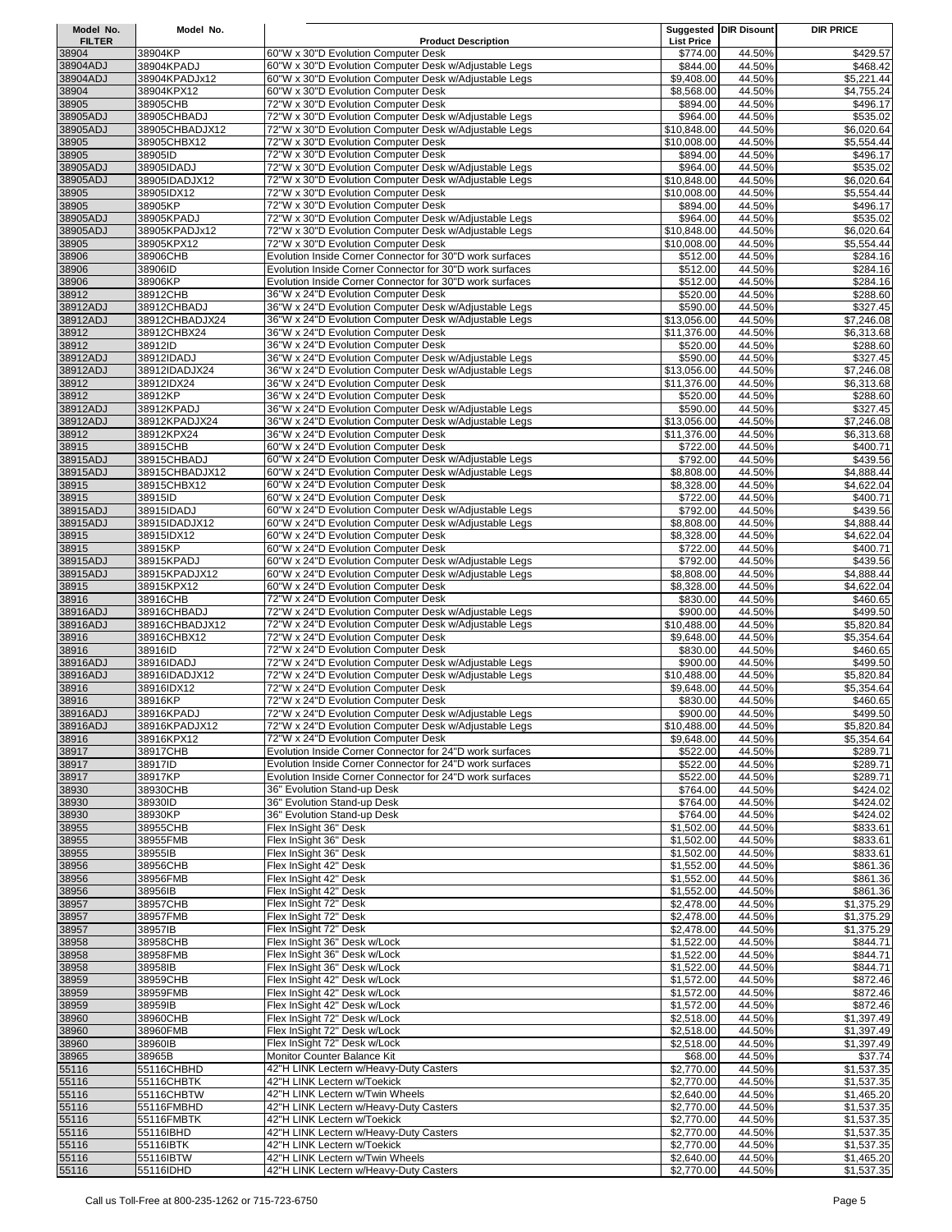| Model No.     | Model No.          |                                                          |                   | <b>Suggested DIR Disount</b> | <b>DIR PRICE</b> |
|---------------|--------------------|----------------------------------------------------------|-------------------|------------------------------|------------------|
| <b>FILTER</b> |                    | <b>Product Description</b>                               | <b>List Price</b> |                              |                  |
| 38904         | 38904KP            | 60"W x 30"D Evolution Computer Desk                      | \$774.00          | 44.50%                       | \$429.57         |
| 38904ADJ      | 38904KPADJ         | 60"W x 30"D Evolution Computer Desk w/Adjustable Legs    | \$844.00          | 44.50%                       | \$468.42         |
| 38904ADJ      | 38904KPADJx12      | 60"W x 30"D Evolution Computer Desk w/Adjustable Legs    | \$9,408.00        | 44.50%                       | \$5,221.44       |
| 38904         | 38904KPX12         | 60"W x 30"D Evolution Computer Desk                      | \$8,568.00        | 44.50%                       | \$4,755.24       |
| 38905         | 38905CHB           | 72"W x 30"D Evolution Computer Desk                      | \$894.00          | 44.50%                       | \$496.17         |
| 38905ADJ      | 38905CHBADJ        | 72"W x 30"D Evolution Computer Desk w/Adjustable Legs    | \$964.00          | 44.50%                       | \$535.02         |
| 38905ADJ      | 38905CHBADJX12     | 72"W x 30"D Evolution Computer Desk w/Adjustable Legs    | \$10,848.00       | 44.50%                       | \$6,020.64       |
| 38905         | 38905CHBX12        | 72"W x 30"D Evolution Computer Desk                      | \$10,008.00       | 44.50%                       | \$5,554.44       |
| 38905         | 38905ID            | 72"W x 30"D Evolution Computer Desk                      | \$894.00          | 44.50%                       | \$496.17         |
| 38905ADJ      | 38905IDADJ         | 72"W x 30"D Evolution Computer Desk w/Adjustable Legs    | \$964.00          | 44.50%                       | \$535.02         |
| 38905ADJ      | 38905IDADJX12      | 72"W x 30"D Evolution Computer Desk w/Adjustable Legs    | \$10,848.00       | 44.50%                       | \$6,020.64       |
| 38905         | 38905IDX12         | 72"W x 30"D Evolution Computer Desk                      | \$10,008.00       | 44.50%                       | \$5,554.44       |
| 38905         | 38905KP            | 72"W x 30"D Evolution Computer Desk                      | \$894.00          | 44.50%                       | \$496.17         |
| 38905ADJ      | 38905KPADJ         | 72"W x 30"D Evolution Computer Desk w/Adjustable Legs    | \$964.00          | 44.50%                       | \$535.02         |
| 38905ADJ      | 38905KPADJx12      | 72"W x 30"D Evolution Computer Desk w/Adjustable Legs    | \$10,848.00       | 44.50%                       | \$6,020.64       |
| 38905         | 38905KPX12         | 72"W x 30"D Evolution Computer Desk                      | \$10,008.00       | 44.50%                       | \$5,554.44       |
| 38906         | 38906CHB           | Evolution Inside Corner Connector for 30"D work surfaces | \$512.00          | 44.50%                       | \$284.16         |
| 38906         | 38906ID            | Evolution Inside Corner Connector for 30"D work surfaces | \$512.00          | 44.50%                       | \$284.16         |
| 38906         | 38906KP            | Evolution Inside Corner Connector for 30"D work surfaces | \$512.00          | 44.50%                       | \$284.16         |
| 38912         | 38912CHB           | 36"W x 24"D Evolution Computer Desk                      | \$520.00          | 44.50%                       | \$288.60         |
| 38912ADJ      | 38912CHBADJ        | 36"W x 24"D Evolution Computer Desk w/Adjustable Legs    | \$590.00          | 44.50%                       | \$327.45         |
| 38912ADJ      | 38912CHBADJX24     | 36"W x 24"D Evolution Computer Desk w/Adjustable Legs    | \$13,056.00       | 44.50%                       | \$7,246.08       |
| 38912         | 38912CHBX24        | 36"W x 24"D Evolution Computer Desk                      | \$11,376.00       | 44.50%                       | \$6,313.68       |
| 38912         | 38912ID            | 36"W x 24"D Evolution Computer Desk                      | \$520.00          | 44.50%                       | \$288.60         |
| 38912ADJ      | 38912IDADJ         | 36"W x 24"D Evolution Computer Desk w/Adjustable Legs    | \$590.00          | 44.50%                       | \$327.45         |
|               |                    |                                                          |                   |                              |                  |
| 38912ADJ      | 38912IDADJX24      | 36"W x 24"D Evolution Computer Desk w/Adjustable Legs    | \$13,056.00       | 44.50%                       | \$7,246.08       |
| 38912         | 38912IDX24         | 36"W x 24"D Evolution Computer Desk                      | \$11,376.00       | 44.50%                       | \$6,313.68       |
| 38912         | 38912KP            | 36"W x 24"D Evolution Computer Desk                      | \$520.00          | 44.50%                       | \$288.60         |
| 38912ADJ      | 38912KPADJ         | 36"W x 24"D Evolution Computer Desk w/Adjustable Legs    | \$590.00          | 44.50%                       | \$327.45         |
| 38912ADJ      | 38912KPADJX24      | 36"W x 24"D Evolution Computer Desk w/Adjustable Legs    | \$13,056.00       | 44.50%                       | \$7,246.08       |
| 38912         | 38912KPX24         | 36"W x 24"D Evolution Computer Desk                      | \$11,376.00       | 44.50%                       | \$6,313.68       |
| 38915         | 38915CHB           | 60"W x 24"D Evolution Computer Desk                      | \$722.00          | 44.50%                       | \$400.71         |
| 38915ADJ      | 38915CHBADJ        | 60"W x 24"D Evolution Computer Desk w/Adjustable Legs    | \$792.00          | 44.50%                       | \$439.56         |
| 38915ADJ      | 38915CHBADJX12     | 60"W x 24"D Evolution Computer Desk w/Adjustable Legs    | \$8,808.00        | 44.50%                       | \$4,888.44       |
| 38915         | 38915CHBX12        | 60"W x 24"D Evolution Computer Desk                      | \$8,328.00        | 44.50%                       | \$4,622.04       |
| 38915         | 38915ID            | 60"W x 24"D Evolution Computer Desk                      | \$722.00          | 44.50%                       | \$400.71         |
| 38915ADJ      | 38915IDADJ         | 60"W x 24"D Evolution Computer Desk w/Adjustable Legs    | \$792.00          | 44.50%                       | \$439.56         |
| 38915ADJ      | 38915IDADJX12      | 60"W x 24"D Evolution Computer Desk w/Adjustable Legs    | \$8,808.00        | 44.50%                       | \$4,888.44       |
| 38915         | 38915IDX12         | 60"W x 24"D Evolution Computer Desk                      | \$8,328.00        | 44.50%                       | \$4,622.04       |
| 38915         | 38915KP            | 60"W x 24"D Evolution Computer Desk                      | \$722.00          | 44.50%                       | \$400.71         |
| 38915ADJ      | 38915KPADJ         | 60"W x 24"D Evolution Computer Desk w/Adjustable Legs    | \$792.00          | 44.50%                       | \$439.56         |
| 38915ADJ      | 38915KPADJX12      | 60"W x 24"D Evolution Computer Desk w/Adjustable Legs    | \$8,808.00        | 44.50%                       | \$4,888.44       |
| 38915         | 38915KPX12         | 60"W x 24"D Evolution Computer Desk                      | \$8,328.00        | 44.50%                       | \$4,622.04       |
| 38916         | 38916CHB           | 72"W x 24"D Evolution Computer Desk                      | \$830.00          | 44.50%                       | \$460.65         |
| 38916ADJ      | 38916CHBADJ        | 72"W x 24"D Evolution Computer Desk w/Adjustable Legs    | \$900.00          | 44.50%                       | \$499.50         |
| 38916ADJ      | 38916CHBADJX12     | 72"W x 24"D Evolution Computer Desk w/Adjustable Legs    | \$10,488.00       | 44.50%                       | \$5,820.84       |
| 38916         | 38916CHBX12        | 72"W x 24"D Evolution Computer Desk                      | \$9,648.00        | 44.50%                       | \$5,354.64       |
| 38916         | 38916ID            | 72"W x 24"D Evolution Computer Desk                      | \$830.00          | 44.50%                       | \$460.65         |
| 38916ADJ      | 38916IDADJ         | 72"W x 24"D Evolution Computer Desk w/Adjustable Legs    | \$900.00          | 44.50%                       | \$499.50         |
| 38916ADJ      | 38916IDADJX12      | 72"W x 24"D Evolution Computer Desk w/Adjustable Legs    | \$10,488.00       | 44.50%                       | \$5,820.84       |
| 38916         | 38916IDX12         | 72"W x 24"D Evolution Computer Desk                      | \$9,648.00        | 44.50%                       | \$5,354.64       |
| 38916         | 38916KP            | 72"W x 24"D Evolution Computer Desk                      | \$830.00          | 44.50%                       | \$460.65         |
| 38916ADJ      | 38916KPADJ         | 72"W x 24"D Evolution Computer Desk w/Adjustable Legs    | \$900.00          | 44.50%                       | \$499.50         |
| 38916ADJ      | 38916KPADJX12      | 72"W x 24"D Evolution Computer Desk w/Adjustable Legs    | \$10,488.00       | 44.50%                       | \$5,820.84       |
| 38916         | 38916KPX12         | 72"W x 24"D Evolution Computer Desk                      | \$9,648.00        | 44.50%                       | \$5,354.64       |
|               | 38917CHB           | Evolution Inside Corner Connector for 24"D work surfaces |                   | 44.50%                       | \$289.71         |
| 38917         |                    | Evolution Inside Corner Connector for 24"D work surfaces | \$522.00          |                              |                  |
| 38917         | 38917ID<br>38917KP | Evolution Inside Corner Connector for 24"D work surfaces | \$522.00          | 44.50%                       | \$289.71         |
| 38917         |                    |                                                          | \$522.00          | 44.50%                       | \$289.71         |
| 38930         | 38930CHB           | 36" Evolution Stand-up Desk                              | \$764.00          | 44.50%                       | \$424.02         |
| 38930         | 38930ID            | 36" Evolution Stand-up Desk                              | \$764.00          | 44.50%                       | \$424.02         |
| 38930         | 38930KP            | 36" Evolution Stand-up Desk                              | \$764.00          | 44.50%                       | \$424.02         |
| 38955         | 38955CHB           | Flex InSight 36" Desk                                    | \$1,502.00        | 44.50%                       | \$833.61         |
| 38955         | 38955FMB           | Flex InSight 36" Desk                                    | \$1,502.00        | 44.50%                       | \$833.61         |
| 38955         | 38955IB            | Flex InSight 36" Desk                                    | \$1,502.00        | 44.50%                       | \$833.61         |
| 38956         | 38956CHB           | Flex InSight 42" Desk                                    | \$1,552.00        | 44.50%                       | \$861.36         |
| 38956         | 38956FMB           | Flex InSight 42" Desk                                    | \$1,552.00        | 44.50%                       | \$861.36         |
| 38956         | 38956IB            | Flex InSight 42" Desk                                    | \$1,552.00        | 44.50%                       | \$861.36         |
| 38957         | 38957CHB           | Flex InSight 72" Desk                                    | \$2,478.00        | 44.50%                       | \$1,375.29       |
| 38957         | 38957FMB           | Flex InSight 72" Desk                                    | \$2,478.00        | 44.50%                       | \$1,375.29       |
| 38957         | 38957IB            | Flex InSight 72" Desk                                    | \$2,478.00        | 44.50%                       | \$1,375.29       |
| 38958         | 38958CHB           | Flex InSight 36" Desk w/Lock                             | \$1,522.00        | 44.50%                       | \$844.71         |
| 38958         | 38958FMB           | Flex InSight 36" Desk w/Lock                             | \$1,522.00        | 44.50%                       | \$844.71         |
| 38958         | 38958IB            | Flex InSight 36" Desk w/Lock                             | \$1,522.00        | 44.50%                       | \$844.71         |
| 38959         | 38959CHB           | Flex InSight 42" Desk w/Lock                             | \$1,572.00        | 44.50%                       | \$872.46         |
| 38959         | 38959FMB           | Flex InSight 42" Desk w/Lock                             | \$1,572.00        | 44.50%                       | \$872.46         |
| 38959         | 38959IB            | Flex InSight 42" Desk w/Lock                             | \$1,572.00        | 44.50%                       | \$872.46         |
| 38960         | 38960CHB           | Flex InSight 72" Desk w/Lock                             | \$2,518.00        | 44.50%                       | \$1,397.49       |
| 38960         | 38960FMB           | Flex InSight 72" Desk w/Lock                             | \$2,518.00        | 44.50%                       | \$1,397.49       |
| 38960         | 38960IB            | Flex InSight 72" Desk w/Lock                             | \$2,518.00        | 44.50%                       | \$1,397.49       |
| 38965         | 38965B             | Monitor Counter Balance Kit                              | \$68.00           | 44.50%                       | \$37.74          |
| 55116         | 55116CHBHD         | 42"H LINK Lectern w/Heavy-Duty Casters                   | \$2,770.00        | 44.50%                       | \$1,537.35       |
| 55116         | 55116CHBTK         | 42"H LINK Lectern w/Toekick                              | \$2,770.00        | 44.50%                       | \$1,537.35       |
| 55116         | 55116CHBTW         | 42"H LINK Lectern w/Twin Wheels                          | \$2,640.00        | 44.50%                       | \$1,465.20       |
| 55116         | 55116FMBHD         | 42"H LINK Lectern w/Heavy-Duty Casters                   | \$2,770.00        | 44.50%                       | \$1,537.35       |
| 55116         | 55116FMBTK         | 42"H LINK Lectern w/Toekick                              | \$2,770.00        | 44.50%                       | \$1,537.35       |
| 55116         | 55116IBHD          | 42"H LINK Lectern w/Heavy-Duty Casters                   | \$2,770.00        | 44.50%                       | \$1,537.35       |
| 55116         | 55116IBTK          | 42"H LINK Lectern w/Toekick                              | \$2,770.00        | 44.50%                       | \$1,537.35       |
| 55116         | 55116IBTW          | 42"H LINK Lectern w/Twin Wheels                          | \$2,640.00        | 44.50%                       | \$1,465.20       |
| 55116         | 55116IDHD          | 42"H LINK Lectern w/Heavy-Duty Casters                   | \$2,770.00        | 44.50%                       | \$1,537.35       |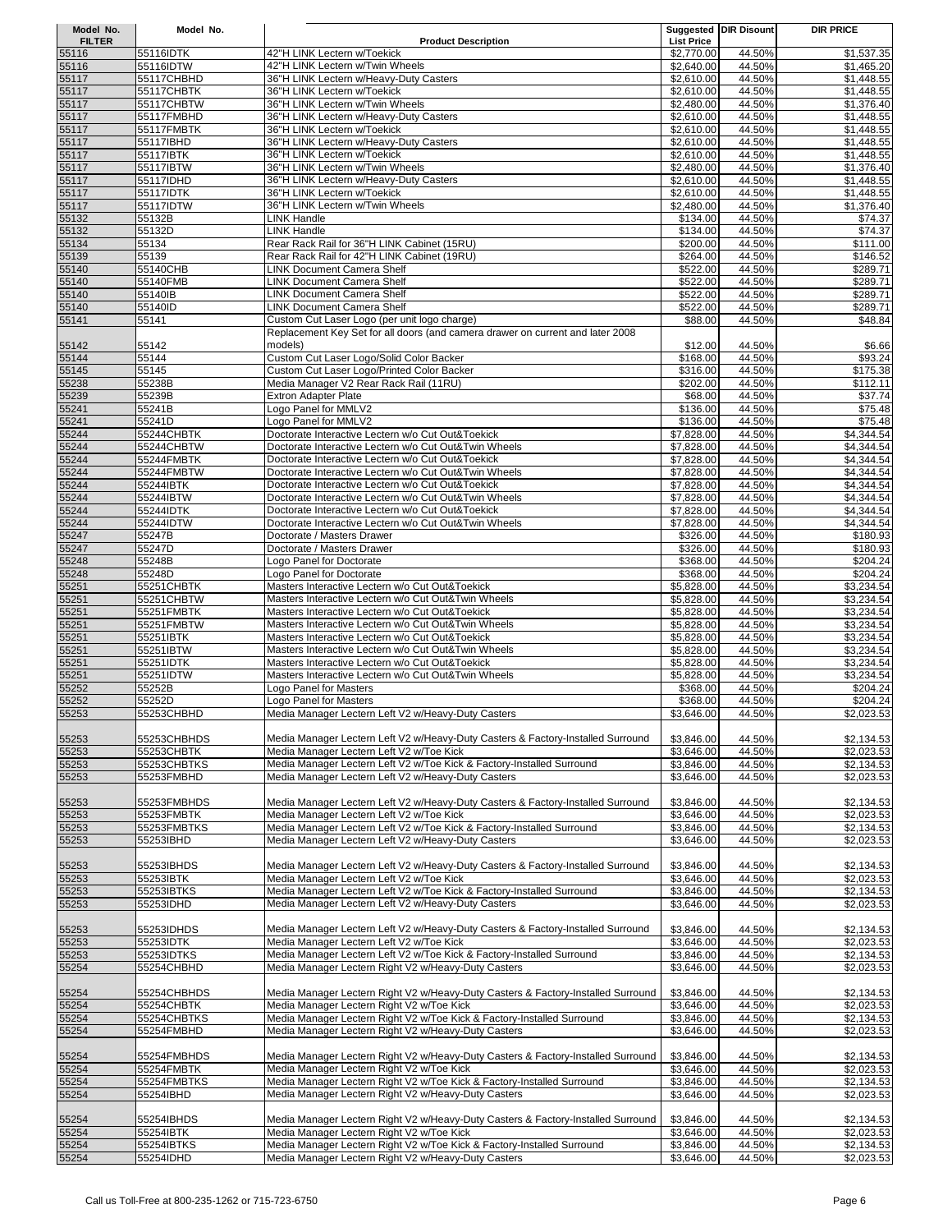| Model No.      | Model No.               |                                                                                                                                |                          | Suggested   DIR Disount | <b>DIR PRICE</b>         |
|----------------|-------------------------|--------------------------------------------------------------------------------------------------------------------------------|--------------------------|-------------------------|--------------------------|
| <b>FILTER</b>  |                         | <b>Product Description</b>                                                                                                     | <b>List Price</b>        |                         |                          |
| 55116          | 55116IDTK               | 42"H LINK Lectern w/Toekick                                                                                                    | \$2,770.00               | 44.50%                  | \$1,537.35               |
| 55116          | 55116IDTW               | 42"H LINK Lectern w/Twin Wheels                                                                                                | \$2.640.00               | 44.50%                  | \$1,465.20               |
| 55117          | 55117CHBHD              | 36"H LINK Lectern w/Heavy-Duty Casters                                                                                         | \$2,610.00               | 44.50%                  | \$1,448.55               |
| 55117          | 55117CHBTK              | 36"H LINK Lectern w/Toekick                                                                                                    | \$2,610.00               | 44.50%                  | \$1,448.55               |
| 55117          | 55117CHBTW              | 36"H LINK Lectern w/Twin Wheels                                                                                                | \$2,480.00               | 44.50%                  | \$1,376.40               |
| 55117          | 55117FMBHD              | 36"H LINK Lectern w/Heavy-Duty Casters                                                                                         | \$2.610.00               | 44.50%                  | \$1,448.55               |
| 55117          | 55117FMBTK              | 36"H LINK Lectern w/Toekick                                                                                                    | \$2,610.00               | 44.50%                  | \$1,448.55               |
| 55117          | 55117IBHD               | 36"H LINK Lectern w/Heavy-Duty Casters                                                                                         | \$2,610.00               | 44.50%                  | \$1,448.55               |
| 55117          | 55117IBTK               | 36"H LINK Lectern w/Toekick                                                                                                    | \$2,610.00               | 44.50%                  | \$1,448.55               |
| 55117          | 55117IBTW               | 36"H LINK Lectern w/Twin Wheels                                                                                                | \$2,480.00               | 44.50%                  | \$1,376.40               |
| 55117          | 55117IDHD               | 36"H LINK Lectern w/Heavy-Duty Casters                                                                                         | \$2,610.00               | 44.50%                  | \$1,448.55               |
| 55117          | 55117IDTK               | 36"H LINK Lectern w/Toekick                                                                                                    | \$2,610.00               | 44.50%                  | \$1,448.55               |
| 55117          | 55117IDTW               | 36"H LINK Lectern w/Twin Wheels                                                                                                | \$2,480.00               | 44.50%                  | \$1,376.40               |
| 55132          | 55132B                  | <b>LINK Handle</b>                                                                                                             | \$134.00                 | 44.50%                  | \$74.37                  |
| 55132          | 55132D                  | LINK Handle                                                                                                                    | \$134.00                 | 44.50%                  | \$74.37                  |
| 55134          | 55134                   | Rear Rack Rail for 36"H LINK Cabinet (15RU)                                                                                    | \$200.00                 | 44.50%                  | \$111.00                 |
| 55139          | 55139                   | Rear Rack Rail for 42"H LINK Cabinet (19RU)                                                                                    | \$264.00                 | 44.50%                  | \$146.52                 |
| 55140          | 55140CHB                | LINK Document Camera Shelf                                                                                                     | \$522.00                 | 44.50%                  | \$289.71                 |
| 55140<br>55140 | 55140FMB<br>55140IB     | <b>LINK Document Camera Shelf</b><br><b>LINK Document Camera Shelf</b>                                                         | \$522.00                 | 44.50%<br>44.50%        | \$289.71                 |
|                | 55140ID                 | <b>LINK Document Camera Shelf</b>                                                                                              | \$522.00                 | 44.50%                  | \$289.71<br>\$289.71     |
| 55140          | 55141                   |                                                                                                                                | \$522.00<br>\$88.00      | 44.50%                  | \$48.84                  |
| 55141          |                         | Custom Cut Laser Logo (per unit logo charge)<br>Replacement Key Set for all doors (and camera drawer on current and later 2008 |                          |                         |                          |
| 55142          | 55142                   | models)                                                                                                                        | \$12.00                  | 44.50%                  | \$6.66                   |
| 55144          | 55144                   | Custom Cut Laser Logo/Solid Color Backer                                                                                       | \$168.00                 | 44.50%                  | \$93.24                  |
| 55145          | 55145                   | Custom Cut Laser Logo/Printed Color Backer                                                                                     | \$316.00                 | 44.50%                  | \$175.38                 |
| 55238          | 55238B                  | Media Manager V2 Rear Rack Rail (11RU)                                                                                         | \$202.00                 | 44.50%                  | \$112.11                 |
| 55239          | 55239B                  | <b>Extron Adapter Plate</b>                                                                                                    | \$68.00                  | 44.50%                  | \$37.74                  |
| 55241          | 55241B                  | Logo Panel for MMLV2                                                                                                           | \$136.00                 | 44.50%                  | \$75.48                  |
| 55241          | 55241D                  | Logo Panel for MMLV2                                                                                                           | \$136.00                 | 44.50%                  | \$75.48                  |
| 55244          | 55244CHBTK              | Doctorate Interactive Lectern w/o Cut Out&Toekick                                                                              | \$7,828.00               | 44.50%                  | \$4,344.54               |
| 55244          | 55244CHBTW              | Doctorate Interactive Lectern w/o Cut Out&Twin Wheels                                                                          | \$7,828.00               | 44.50%                  | \$4,344.54               |
| 55244          | 55244FMBTK              | Doctorate Interactive Lectern w/o Cut Out&Toekick                                                                              | \$7,828.00               | 44.50%                  | \$4,344.54               |
| 55244          | 55244FMBTW              | Doctorate Interactive Lectern w/o Cut Out&Twin Wheels                                                                          | \$7,828.00               | 44.50%                  | \$4,344.54               |
| 55244          | 55244IBTK               | Doctorate Interactive Lectern w/o Cut Out&Toekick                                                                              | \$7,828.00               | 44.50%                  | \$4,344.54               |
| 55244          | 55244IBTW               | Doctorate Interactive Lectern w/o Cut Out&Twin Wheels                                                                          | \$7,828.00               | 44.50%                  | \$4,344.54               |
| 55244          | 55244IDTK               | Doctorate Interactive Lectern w/o Cut Out&Toekick                                                                              | \$7,828.00               | 44.50%                  | \$4,344.54               |
| 55244          | 55244IDTW               | Doctorate Interactive Lectern w/o Cut Out&Twin Wheels                                                                          | \$7,828.00               | 44.50%                  | \$4,344.54               |
| 55247          | 55247B                  | Doctorate / Masters Drawer                                                                                                     | \$326.00                 | 44.50%                  | \$180.93                 |
| 55247          | 55247D                  | Doctorate / Masters Drawer                                                                                                     | \$326.00                 | 44.50%                  | \$180.93                 |
| 55248          | 55248B                  | -ogo Panel for Doctorate                                                                                                       | \$368.00                 | 44.50%                  | \$204.24                 |
| 55248          | 55248D                  | -ogo Panel for Doctorate                                                                                                       | \$368.00                 | 44.50%                  | \$204.24                 |
| 55251          | 55251CHBTK              | Masters Interactive Lectern w/o Cut Out&Toekick                                                                                | \$5,828.00               | 44.50%                  | \$3,234.54               |
| 55251          | 55251CHBTW              | Masters Interactive Lectern w/o Cut Out&Twin Wheels                                                                            | \$5,828.00               | 44.50%                  | \$3,234.54               |
| 55251          | 55251FMBTK              | Masters Interactive Lectern w/o Cut Out&Toekick                                                                                | \$5,828.00               | 44.50%                  | \$3,234.54               |
| 55251          | 55251FMBTW              | Masters Interactive Lectern w/o Cut Out&Twin Wheels                                                                            | \$5,828.00               | 44.50%                  | \$3,234.54               |
| 55251          | 55251IBTK               | Masters Interactive Lectern w/o Cut Out&Toekick                                                                                | \$5,828.00               | 44.50%                  | \$3,234.54               |
| 55251          | 55251IBTW               | Masters Interactive Lectern w/o Cut Out&Twin Wheels                                                                            | \$5,828.00               | 44.50%                  | \$3,234.54               |
| 55251          | 55251IDTK               | Masters Interactive Lectern w/o Cut Out&Toekick                                                                                | \$5,828.00               | 44.50%                  | \$3,234.54               |
| 55251          | 55251IDTW               | Masters Interactive Lectern w/o Cut Out&Twin Wheels                                                                            | \$5,828.00               | 44.50%                  | \$3,234.54               |
| 55252          | 55252B                  | Logo Panel for Masters                                                                                                         | \$368.00                 | 44.50%                  | \$204.24                 |
| 55252          | 55252D                  | Logo Panel for Masters                                                                                                         | \$368.00                 | 44.50%                  | \$204.24                 |
| 55253          | 55253CHBHD              | Media Manager Lectern Left V2 w/Heavy-Duty Casters                                                                             | \$3,646.00               | 44.50%                  | \$2,023.53               |
|                |                         |                                                                                                                                |                          |                         |                          |
| 55253          | 55253CHBHDS             | Media Manager Lectern Left V2 w/Heavy-Duty Casters & Factory-Installed Surround                                                | \$3,846.00               | 44.50%                  | \$2,134.53               |
| 55253          | 55253CHBTK              | Media Manager Lectern Left V2 w/Toe Kick                                                                                       | \$3,646.00               | 44.50%                  | \$2,023.53               |
| 55253          | 55253CHBTKS             | Media Manager Lectern Left V2 w/Toe Kick & Factory-Installed Surround                                                          | \$3,846.00               | 44.50%                  | \$2,134.53               |
| 55253          | 55253FMBHD              | Media Manager Lectern Left V2 w/Heavy-Duty Casters                                                                             | \$3,646.00               | 44.50%                  | \$2,023.53               |
|                |                         |                                                                                                                                |                          |                         |                          |
| 55253          | 55253FMBHDS             | Media Manager Lectern Left V2 w/Heavy-Duty Casters & Factory-Installed Surround                                                | \$3,846.00               | 44.50%                  | \$2,134.53               |
| 55253          | 55253FMBTK              | Media Manager Lectern Left V2 w/Toe Kick                                                                                       | \$3,646.00               | 44.50%                  | \$2,023.53               |
| 55253          | 55253FMBTKS             | Media Manager Lectern Left V2 w/Toe Kick & Factory-Installed Surround                                                          | \$3,846.00               | 44.50%                  | \$2,134.53               |
| 55253          | 55253IBHD               | Media Manager Lectern Left V2 w/Heavy-Duty Casters                                                                             | \$3,646.00               | 44.50%                  | \$2,023.53               |
|                |                         |                                                                                                                                |                          |                         |                          |
| 55253          | 55253IBHDS              | Media Manager Lectern Left V2 w/Heavy-Duty Casters & Factory-Installed Surround                                                | \$3,846.00               | 44.50%                  | \$2,134.53               |
| 55253          | 55253IBTK               | Media Manager Lectern Left V2 w/Toe Kick                                                                                       | \$3,646.00               | 44.50%                  | \$2,023.53               |
| 55253          | 55253IBTKS              | Media Manager Lectern Left V2 w/Toe Kick & Factory-Installed Surround                                                          | \$3,846.00               | 44.50%                  | \$2,134.53               |
| 55253          | 55253IDHD               | Media Manager Lectern Left V2 w/Heavy-Duty Casters                                                                             | \$3,646.00               | 44.50%                  | \$2,023.53               |
|                |                         |                                                                                                                                |                          |                         |                          |
| 55253          | 55253IDHDS              | Media Manager Lectern Left V2 w/Heavy-Duty Casters & Factory-Installed Surround                                                | \$3,846.00               | 44.50%                  | \$2,134.53               |
| 55253          | 55253IDTK               | Media Manager Lectern Left V2 w/Toe Kick                                                                                       | \$3,646.00               | 44.50%                  | \$2,023.53               |
| 55253          | 55253IDTKS              | Media Manager Lectern Left V2 w/Toe Kick & Factory-Installed Surround                                                          | \$3,846.00               | 44.50%                  | \$2,134.53               |
| 55254          | 55254CHBHD              | Media Manager Lectern Right V2 w/Heavy-Duty Casters                                                                            | \$3,646.00               | 44.50%                  | \$2,023.53               |
|                |                         |                                                                                                                                |                          |                         |                          |
| 55254          | 55254CHBHDS             | Media Manager Lectern Right V2 w/Heavy-Duty Casters & Factory-Installed Surround                                               | \$3,846.00               | 44.50%                  | \$2,134.53               |
| 55254          | 55254CHBTK              | Media Manager Lectern Right V2 w/Toe Kick                                                                                      | \$3,646.00               | 44.50%                  | \$2,023.53               |
| 55254          | 55254CHBTKS             | Media Manager Lectern Right V2 w/Toe Kick & Factory-Installed Surround                                                         | \$3,846.00               | 44.50%                  | \$2,134.53               |
| 55254          | 55254FMBHD              | Media Manager Lectern Right V2 w/Heavy-Duty Casters                                                                            | \$3,646.00               | 44.50%                  | \$2,023.53               |
|                |                         |                                                                                                                                |                          |                         |                          |
| 55254          | 55254FMBHDS             | Media Manager Lectern Right V2 w/Heavy-Duty Casters & Factory-Installed Surround                                               | \$3,846.00               | 44.50%                  | \$2,134.53               |
| 55254          | 55254FMBTK              | Media Manager Lectern Right V2 w/Toe Kick                                                                                      | \$3,646.00               | 44.50%                  | \$2,023.53               |
| 55254          | 55254FMBTKS             | Media Manager Lectern Right V2 w/Toe Kick & Factory-Installed Surround                                                         | \$3,846.00               | 44.50%                  | \$2,134.53               |
| 55254          | 55254IBHD               | Media Manager Lectern Right V2 w/Heavy-Duty Casters                                                                            | \$3,646.00               | 44.50%                  | \$2,023.53               |
|                |                         |                                                                                                                                |                          |                         |                          |
| 55254<br>55254 | 55254IBHDS              | Media Manager Lectern Right V2 w/Heavy-Duty Casters & Factory-Installed Surround                                               | \$3,846.00               | 44.50%                  | \$2,134.53               |
|                | 55254IBTK<br>55254IBTKS | Media Manager Lectern Right V2 w/Toe Kick<br>Media Manager Lectern Right V2 w/Toe Kick & Factory-Installed Surround            | \$3,646.00<br>\$3,846.00 | 44.50%                  | \$2,023.53               |
| 55254<br>55254 | 55254IDHD               | Media Manager Lectern Right V2 w/Heavy-Duty Casters                                                                            | \$3,646.00               | 44.50%<br>44.50%        | \$2,134.53<br>\$2,023.53 |
|                |                         |                                                                                                                                |                          |                         |                          |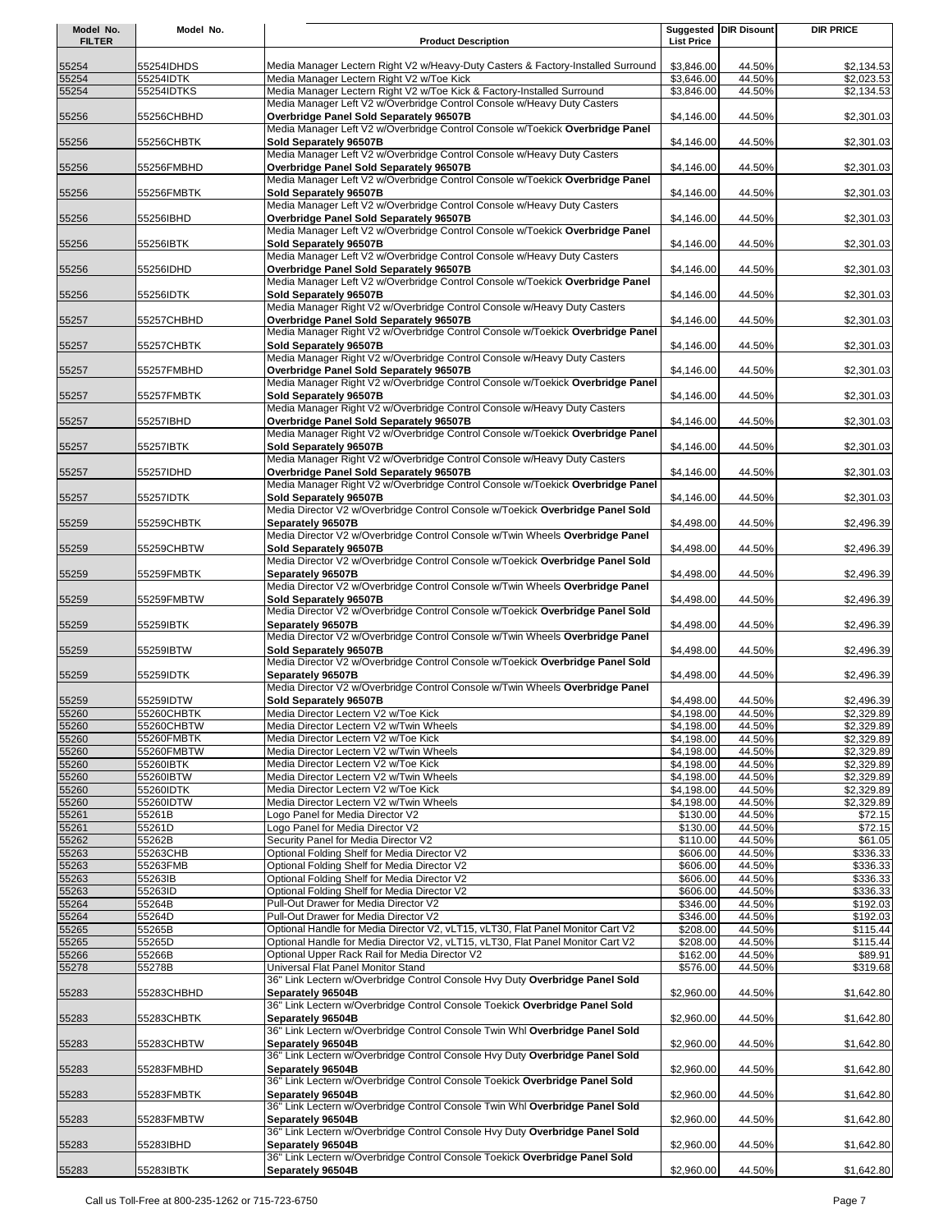| Model No.<br><b>FILTER</b> | Model No.                | <b>Product Description</b>                                                                                                                                         | <b>List Price</b>        | Suggested   DIR Disount | <b>DIR PRICE</b>         |
|----------------------------|--------------------------|--------------------------------------------------------------------------------------------------------------------------------------------------------------------|--------------------------|-------------------------|--------------------------|
|                            |                          |                                                                                                                                                                    |                          |                         |                          |
| 55254<br>55254             | 55254IDHDS<br>55254IDTK  | Media Manager Lectern Right V2 w/Heavy-Duty Casters & Factory-Installed Surround<br>Media Manager Lectern Right V2 w/Toe Kick                                      | \$3,846.00<br>\$3,646.00 | 44.50%<br>44.50%        | \$2,134.53<br>\$2,023.53 |
| 55254                      | 55254IDTKS               | Media Manager Lectern Right V2 w/Toe Kick & Factory-Installed Surround                                                                                             | \$3,846.00               | 44.50%                  | \$2,134.53               |
|                            |                          | Media Manager Left V2 w/Overbridge Control Console w/Heavy Duty Casters                                                                                            |                          |                         |                          |
| 55256                      | 55256CHBHD               | Overbridge Panel Sold Separately 96507B<br>Media Manager Left V2 w/Overbridge Control Console w/Toekick Overbridge Panel                                           | \$4,146.00               | 44.50%                  | \$2,301.03               |
| 55256                      | 55256CHBTK               | Sold Separately 96507B                                                                                                                                             | \$4,146.00               | 44.50%                  | \$2,301.03               |
|                            |                          | Media Manager Left V2 w/Overbridge Control Console w/Heavy Duty Casters                                                                                            |                          |                         |                          |
| 55256                      | 55256FMBHD               | Overbridge Panel Sold Separately 96507B<br>Media Manager Left V2 w/Overbridge Control Console w/Toekick Overbridge Panel                                           | \$4,146.00               | 44.50%                  | \$2,301.03               |
| 55256                      | 55256FMBTK               | Sold Separately 96507B                                                                                                                                             | \$4,146.00               | 44.50%                  | \$2,301.03               |
|                            | 55256IBHD                | Media Manager Left V2 w/Overbridge Control Console w/Heavy Duty Casters<br>Overbridge Panel Sold Separately 96507B                                                 | \$4,146.00               | 44.50%                  |                          |
| 55256                      |                          | Media Manager Left V2 w/Overbridge Control Console w/Toekick Overbridge Panel                                                                                      |                          |                         | \$2,301.03               |
| 55256                      | 55256IBTK                | Sold Separately 96507B                                                                                                                                             | \$4,146.00               | 44.50%                  | \$2,301.03               |
| 55256                      | 55256IDHD                | Media Manager Left V2 w/Overbridge Control Console w/Heavy Duty Casters<br>Overbridge Panel Sold Separately 96507B                                                 | \$4,146.00               | 44.50%                  | \$2,301.03               |
|                            |                          | Media Manager Left V2 w/Overbridge Control Console w/Toekick Overbridge Panel                                                                                      |                          |                         |                          |
| 55256                      | 55256IDTK                | Sold Separately 96507B<br>Media Manager Right V2 w/Overbridge Control Console w/Heavy Duty Casters                                                                 | \$4,146.00               | 44.50%                  | \$2,301.03               |
| 55257                      | 55257CHBHD               | Overbridge Panel Sold Separately 96507B                                                                                                                            | \$4,146.00               | 44.50%                  | \$2,301.03               |
|                            |                          | Media Manager Right V2 w/Overbridge Control Console w/Toekick Overbridge Panel                                                                                     |                          |                         |                          |
| 55257                      | 55257CHBTK               | Sold Separately 96507B<br>Media Manager Right V2 w/Overbridge Control Console w/Heavy Duty Casters                                                                 | \$4,146.00               | 44.50%                  | \$2,301.03               |
| 55257                      | 55257FMBHD               | Overbridge Panel Sold Separately 96507B                                                                                                                            | \$4,146.00               | 44.50%                  | \$2,301.03               |
| 55257                      | 55257FMBTK               | Media Manager Right V2 w/Overbridge Control Console w/Toekick Overbridge Panel<br>Sold Separately 96507B                                                           | \$4,146.00               | 44.50%                  | \$2,301.03               |
|                            |                          | Media Manager Right V2 w/Overbridge Control Console w/Heavy Duty Casters                                                                                           |                          |                         |                          |
| 55257                      | 55257IBHD                | Overbridge Panel Sold Separately 96507B                                                                                                                            | \$4,146.00               | 44.50%                  | \$2,301.03               |
| 55257                      | 55257IBTK                | Media Manager Right V2 w/Overbridge Control Console w/Toekick Overbridge Panel<br>Sold Separately 96507B                                                           | \$4,146.00               | 44.50%                  | \$2,301.03               |
|                            |                          | Media Manager Right V2 w/Overbridge Control Console w/Heavy Duty Casters                                                                                           |                          |                         |                          |
| 55257                      | 55257IDHD                | Overbridge Panel Sold Separately 96507B<br>Media Manager Right V2 w/Overbridge Control Console w/Toekick Overbridge Panel                                          | \$4,146.00               | 44.50%                  | \$2,301.03               |
| 55257                      | 55257IDTK                | Sold Separately 96507B                                                                                                                                             | \$4,146.00               | 44.50%                  | \$2,301.03               |
|                            |                          | Media Director V2 w/Overbridge Control Console w/Toekick Overbridge Panel Sold                                                                                     |                          |                         |                          |
| 55259                      | 55259CHBTK               | Separately 96507B<br>Media Director V2 w/Overbridge Control Console w/Twin Wheels Overbridge Panel                                                                 | \$4,498.00               | 44.50%                  | \$2,496.39               |
| 55259                      | 55259CHBTW               | Sold Separately 96507B                                                                                                                                             | \$4,498.00               | 44.50%                  | \$2,496.39               |
|                            |                          | Media Director V2 w/Overbridge Control Console w/Toekick Overbridge Panel Sold                                                                                     |                          |                         |                          |
| 55259                      | 55259FMBTK               | Separately 96507B<br>Media Director V2 w/Overbridge Control Console w/Twin Wheels Overbridge Panel                                                                 | \$4,498.00               | 44.50%                  | \$2,496.39               |
| 55259                      | 55259FMBTW               | Sold Separately 96507B                                                                                                                                             | \$4,498.00               | 44.50%                  | \$2,496.39               |
| 55259                      | 55259IBTK                | Media Director V2 w/Overbridge Control Console w/Toekick Overbridge Panel Sold<br>Separately 96507B                                                                | \$4,498.00               | 44.50%                  | \$2,496.39               |
|                            |                          | Media Director V2 w/Overbridge Control Console w/Twin Wheels Overbridge Panel                                                                                      |                          |                         |                          |
| 55259                      | 55259IBTW                | Sold Separately 96507B                                                                                                                                             | \$4,498.00               | 44.50%                  | \$2,496.39               |
| 55259                      | 55259IDTK                | Media Director V2 w/Overbridge Control Console w/Toekick Overbridge Panel Sold<br>Separately 96507B                                                                | \$4,498.00               | 44.50%                  | \$2,496.39               |
|                            |                          | Media Director V2 w/Overbridge Control Console w/Twin Wheels Overbridge Panel                                                                                      |                          |                         |                          |
| 55259                      | 55259IDTW                | Sold Separately 96507B<br>Media Director Lectern V2 w/Toe Kick                                                                                                     | \$4,498.00               | 44.50%                  | \$2,496.39               |
| 55260<br>55260             | 55260CHBTK<br>55260CHBTW | Media Director Lectern V2 w/Twin Wheels                                                                                                                            | \$4.198.00<br>\$4,198.00 | 44.50%<br>44.50%        | \$2.329.89<br>\$2,329.89 |
| 55260                      | 55260FMBTK               | Media Director Lectern V2 w/Toe Kick                                                                                                                               | \$4,198.00               | 44.50%                  | \$2,329.89               |
| 55260                      | 55260FMBTW               | Media Director Lectern V2 w/Twin Wheels                                                                                                                            | \$4,198.00               | 44.50%                  | \$2,329.89               |
| 55260                      | 55260IBTK                | Media Director Lectern V2 w/Toe Kick                                                                                                                               | \$4,198.00               | 44.50%                  | \$2,329.89               |
| 55260                      | 55260IBTW<br>55260IDTK   | Media Director Lectern V2 w/Twin Wheels<br>Media Director Lectern V2 w/Toe Kick                                                                                    | \$4,198.00               | 44.50%<br>44.50%        | \$2,329.89<br>\$2,329.89 |
| 55260<br>55260             | 55260IDTW                | Media Director Lectern V2 w/Twin Wheels                                                                                                                            | \$4,198.00<br>\$4,198.00 | 44.50%                  | \$2,329.89               |
| 55261                      | 55261B                   | Logo Panel for Media Director V2                                                                                                                                   | \$130.00                 | 44.50%                  | \$72.15                  |
| 55261                      | 55261D                   | Logo Panel for Media Director V2                                                                                                                                   | \$130.00                 | 44.50%                  | \$72.15                  |
| 55262                      | 55262B                   | Security Panel for Media Director V2                                                                                                                               | \$110.00                 | 44.50%                  | \$61.05                  |
| 55263<br>55263             | 55263CHB<br>55263FMB     | Optional Folding Shelf for Media Director V2                                                                                                                       | \$606.00                 | 44.50%<br>44.50%        | \$336.33<br>\$336.33     |
| 55263                      | 55263IB                  | Optional Folding Shelf for Media Director V2<br>Optional Folding Shelf for Media Director V2                                                                       | \$606.00<br>\$606.00     | 44.50%                  | \$336.33                 |
| 55263                      | 55263ID                  | Optional Folding Shelf for Media Director V2                                                                                                                       | \$606.00                 | 44.50%                  | \$336.33                 |
| 55264                      | 55264B                   | Pull-Out Drawer for Media Director V2                                                                                                                              | \$346.00                 | 44.50%                  | \$192.03                 |
| 55264                      | 55264D                   | Pull-Out Drawer for Media Director V2                                                                                                                              | \$346.00                 | 44.50%                  | \$192.03                 |
| 55265<br>55265             | 55265B<br>55265D         | Optional Handle for Media Director V2, vLT15, vLT30, Flat Panel Monitor Cart V2<br>Optional Handle for Media Director V2, vLT15, vLT30, Flat Panel Monitor Cart V2 | \$208.00<br>\$208.00     | 44.50%<br>44.50%        | \$115.44<br>\$115.44     |
| 55266                      | 55266B                   | Optional Upper Rack Rail for Media Director V2                                                                                                                     | \$162.00                 | 44.50%                  | \$89.91                  |
| 55278                      | 55278B                   | Universal Flat Panel Monitor Stand                                                                                                                                 | \$576.00                 | 44.50%                  | \$319.68                 |
|                            |                          | 36" Link Lectern w/Overbridge Control Console Hvy Duty Overbridge Panel Sold                                                                                       |                          |                         |                          |
| 55283                      | 55283CHBHD               | Separately 96504B<br>36" Link Lectern w/Overbridge Control Console Toekick Overbridge Panel Sold                                                                   | \$2,960.00               | 44.50%                  | \$1,642.80               |
| 55283                      | 55283CHBTK               | Separately 96504B                                                                                                                                                  | \$2,960.00               | 44.50%                  | \$1,642.80               |
|                            |                          | 36" Link Lectern w/Overbridge Control Console Twin Whl Overbridge Panel Sold                                                                                       |                          |                         |                          |
| 55283                      | 55283CHBTW               | Separately 96504B<br>36" Link Lectern w/Overbridge Control Console Hvy Duty Overbridge Panel Sold                                                                  | \$2,960.00               | 44.50%                  | \$1,642.80               |
| 55283                      | 55283FMBHD               | Separately 96504B                                                                                                                                                  | \$2,960.00               | 44.50%                  | \$1,642.80               |
|                            |                          | 36" Link Lectern w/Overbridge Control Console Toekick Overbridge Panel Sold                                                                                        |                          |                         |                          |
| 55283                      | 55283FMBTK               | Separately 96504B<br>36" Link Lectern w/Overbridge Control Console Twin Whl Overbridge Panel Sold                                                                  | \$2,960.00               | 44.50%                  | \$1,642.80               |
| 55283                      | 55283FMBTW               | Separately 96504B                                                                                                                                                  | \$2,960.00               | 44.50%                  | \$1,642.80               |
|                            | 55283IBHD                | 36" Link Lectern w/Overbridge Control Console Hvy Duty Overbridge Panel Sold<br>Separately 96504B                                                                  | \$2,960.00               | 44.50%                  | \$1,642.80               |
| 55283                      |                          | 36" Link Lectern w/Overbridge Control Console Toekick Overbridge Panel Sold                                                                                        |                          |                         |                          |
| 55283                      | 55283IBTK                | Separately 96504B                                                                                                                                                  | \$2,960.00               | 44.50%                  | \$1,642.80               |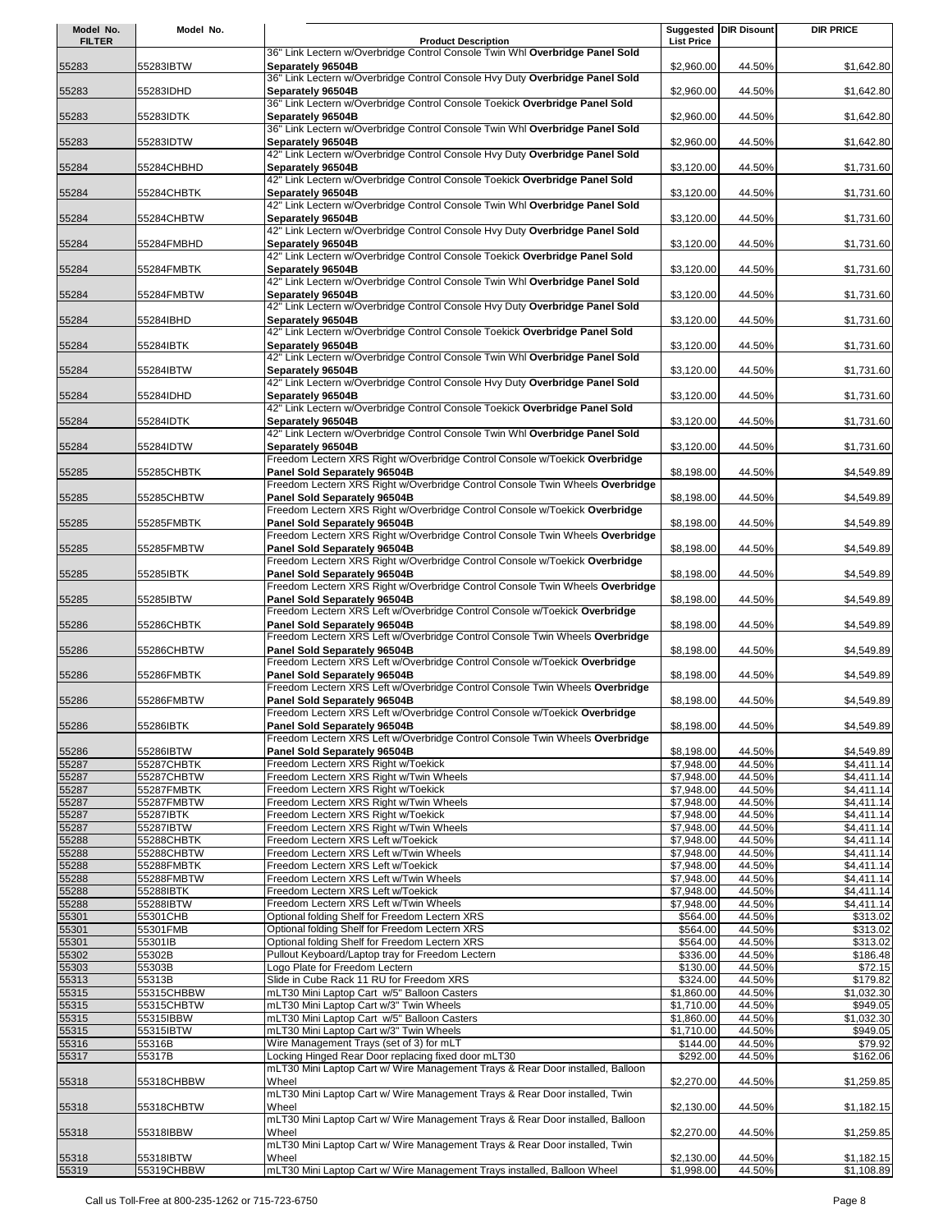| Model No.      | Model No.               |                                                                                                               |                          | Suggested DIR Disount | <b>DIR PRICE</b>         |
|----------------|-------------------------|---------------------------------------------------------------------------------------------------------------|--------------------------|-----------------------|--------------------------|
| <b>FILTER</b>  |                         | <b>Product Description</b>                                                                                    | <b>List Price</b>        |                       |                          |
|                |                         | 36" Link Lectern w/Overbridge Control Console Twin Whl Overbridge Panel Sold                                  |                          |                       |                          |
| 55283          | 55283IBTW               | Separately 96504B<br>36" Link Lectern w/Overbridge Control Console Hvy Duty Overbridge Panel Sold             | \$2,960.00               | 44.50%                | \$1,642.80               |
| 55283          | 55283IDHD               | Separately 96504B                                                                                             | \$2,960.00               | 44.50%                | \$1,642.80               |
|                |                         | 36" Link Lectern w/Overbridge Control Console Toekick Overbridge Panel Sold                                   |                          |                       |                          |
| 55283          | 55283IDTK               | Separately 96504B                                                                                             | \$2,960.00               | 44.50%                | \$1,642.80               |
|                |                         | 36" Link Lectern w/Overbridge Control Console Twin Whl Overbridge Panel Sold                                  |                          |                       |                          |
| 55283          | 55283IDTW               | Separately 96504B                                                                                             | \$2,960.00               | 44.50%                | \$1,642.80               |
| 55284          | 55284CHBHD              | 42" Link Lectern w/Overbridge Control Console Hvy Duty Overbridge Panel Sold<br>Separately 96504B             | \$3,120.00               | 44.50%                | \$1,731.60               |
|                |                         | 42" Link Lectern w/Overbridge Control Console Toekick Overbridge Panel Sold                                   |                          |                       |                          |
| 55284          | 55284CHBTK              | Separately 96504B                                                                                             | \$3,120.00               | 44.50%                | \$1,731.60               |
|                |                         | 42" Link Lectern w/Overbridge Control Console Twin Whl Overbridge Panel Sold                                  |                          |                       |                          |
| 55284          | 55284CHBTW              | Separately 96504B                                                                                             | \$3,120.00               | 44.50%                | \$1,731.60               |
|                |                         | 42" Link Lectern w/Overbridge Control Console Hvy Duty Overbridge Panel Sold                                  |                          |                       |                          |
| 55284          | 55284FMBHD              | Separately 96504B<br>42" Link Lectern w/Overbridge Control Console Toekick Overbridge Panel Sold              | \$3,120.00               | 44.50%                | \$1,731.60               |
| 55284          | 55284FMBTK              | Separately 96504B                                                                                             | \$3,120.00               | 44.50%                | \$1,731.60               |
|                |                         | 42" Link Lectern w/Overbridge Control Console Twin Whl Overbridge Panel Sold                                  |                          |                       |                          |
| 55284          | 55284FMBTW              | Separately 96504B                                                                                             | \$3,120.00               | 44.50%                | \$1,731.60               |
|                |                         | 42" Link Lectern w/Overbridge Control Console Hvy Duty Overbridge Panel Sold                                  |                          |                       |                          |
| 55284          | 55284IBHD               | Separately 96504B<br>42" Link Lectern w/Overbridge Control Console Toekick Overbridge Panel Sold              | \$3,120.00               | 44.50%                | \$1,731.60               |
| 55284          | 55284IBTK               | Separately 96504B                                                                                             | \$3,120.00               | 44.50%                | \$1,731.60               |
|                |                         | 42" Link Lectern w/Overbridge Control Console Twin Whl Overbridge Panel Sold                                  |                          |                       |                          |
| 55284          | 55284IBTW               | Separately 96504B                                                                                             | \$3,120.00               | 44.50%                | \$1,731.60               |
|                |                         | 42" Link Lectern w/Overbridge Control Console Hvy Duty Overbridge Panel Sold                                  |                          |                       |                          |
| 55284          | 55284IDHD               | Separately 96504B                                                                                             | \$3,120.00               | 44.50%                | \$1,731.60               |
|                |                         | 42" Link Lectern w/Overbridge Control Console Toekick Overbridge Panel Sold                                   |                          |                       |                          |
| 55284          | 55284IDTK               | Separately 96504B<br>42" Link Lectern w/Overbridge Control Console Twin Whl Overbridge Panel Sold             | \$3,120.00               | 44.50%                | \$1,731.60               |
| 55284          | 55284IDTW               | Separately 96504B                                                                                             | \$3,120.00               | 44.50%                | \$1,731.60               |
|                |                         | Freedom Lectern XRS Right w/Overbridge Control Console w/Toekick Overbridge                                   |                          |                       |                          |
| 55285          | 55285CHBTK              | Panel Sold Separately 96504B                                                                                  | \$8,198.00               | 44.50%                | \$4,549.89               |
|                |                         | Freedom Lectern XRS Right w/Overbridge Control Console Twin Wheels Overbridge                                 |                          |                       |                          |
| 55285          | 55285CHBTW              | Panel Sold Separately 96504B                                                                                  | \$8,198.00               | 44.50%                | \$4,549.89               |
|                |                         | Freedom Lectern XRS Right w/Overbridge Control Console w/Toekick Overbridge                                   |                          |                       |                          |
| 55285          | 55285FMBTK              | Panel Sold Separately 96504B<br>Freedom Lectern XRS Right w/Overbridge Control Console Twin Wheels Overbridge | \$8,198.00               | 44.50%                | \$4,549.89               |
| 55285          | 55285FMBTW              | Panel Sold Separately 96504B                                                                                  | \$8,198.00               | 44.50%                | \$4,549.89               |
|                |                         | Freedom Lectern XRS Right w/Overbridge Control Console w/Toekick Overbridge                                   |                          |                       |                          |
| 55285          | 55285IBTK               | Panel Sold Separately 96504B                                                                                  | \$8,198.00               | 44.50%                | \$4,549.89               |
|                |                         | Freedom Lectern XRS Right w/Overbridge Control Console Twin Wheels Overbridge                                 |                          |                       |                          |
| 55285          | 55285IBTW               | Panel Sold Separately 96504B                                                                                  | \$8,198.00               | 44.50%                | \$4,549.89               |
| 55286          | 55286CHBTK              | Freedom Lectern XRS Left w/Overbridge Control Console w/Toekick Overbridge<br>Panel Sold Separately 96504B    | \$8,198.00               | 44.50%                | \$4,549.89               |
|                |                         | Freedom Lectern XRS Left w/Overbridge Control Console Twin Wheels Overbridge                                  |                          |                       |                          |
| 55286          | 55286CHBTW              | Panel Sold Separately 96504B                                                                                  | \$8,198.00               | 44.50%                | \$4,549.89               |
|                |                         | Freedom Lectern XRS Left w/Overbridge Control Console w/Toekick Overbridge                                    |                          |                       |                          |
| 55286          | 55286FMBTK              | Panel Sold Separately 96504B                                                                                  | \$8,198.00               | 44.50%                | \$4,549.89               |
|                |                         | Freedom Lectern XRS Left w/Overbridge Control Console Twin Wheels Overbridge                                  |                          |                       |                          |
| 55286          | 55286FMBTW              | Panel Sold Separately 96504B<br>Freedom Lectern XRS Left w/Overbridge Control Console w/Toekick Overbridge    | \$8,198.00               | 44.50%                | \$4,549.89               |
| 55286          | 55286IBTK               | Panel Sold Separately 96504B                                                                                  | \$8,198.00               | 44.50%                | \$4,549.89               |
|                |                         | Freedom Lectern XRS Left w/Overbridge Control Console Twin Wheels Overbridge                                  |                          |                       |                          |
| 55286          | 55286IBTW               | Panel Sold Separately 96504B                                                                                  | \$8,198.00               | 44.50%                | \$4,549.89               |
| 55287          | 55287CHBTK              | Freedom Lectern XRS Right w/Toekick                                                                           | \$7,948.00               | 44.50%                | \$4,411.14               |
| 55287          | 55287CHBTW              | Freedom Lectern XRS Right w/Twin Wheels                                                                       | \$7,948.00               | 44.50%                | \$4,411.14               |
| 55287          | 55287FMBTK              | Freedom Lectern XRS Right w/Toekick                                                                           | \$7,948.00               | 44.50%                | \$4,411.14               |
| 55287<br>55287 | 55287FMBTW<br>55287IBTK | Freedom Lectern XRS Right w/Twin Wheels<br>Freedom Lectern XRS Right w/Toekick                                | \$7,948.00<br>\$7,948.00 | 44.50%<br>44.50%      | \$4,411.14<br>\$4,411.14 |
| 55287          | 55287IBTW               | Freedom Lectern XRS Right w/Twin Wheels                                                                       | \$7,948.00               | 44.50%                | \$4,411.14               |
| 55288          | 55288CHBTK              | Freedom Lectern XRS Left w/Toekick                                                                            | \$7,948.00               | 44.50%                | \$4,411.14               |
| 55288          | 55288CHBTW              | Freedom Lectern XRS Left w/Twin Wheels                                                                        | \$7,948.00               | 44.50%                | \$4,411.14               |
| 55288          | 55288FMBTK              | Freedom Lectern XRS Left w/Toekick                                                                            | \$7,948.00               | 44.50%                | \$4,411.14               |
| 55288          | 55288FMBTW              | Freedom Lectern XRS Left w/Twin Wheels                                                                        | \$7,948.00               | 44.50%                | \$4,411.14               |
| 55288<br>55288 | 55288IBTK<br>55288IBTW  | Freedom Lectern XRS Left w/Toekick<br>Freedom Lectern XRS Left w/Twin Wheels                                  | \$7,948.00<br>\$7,948.00 | 44.50%<br>44.50%      | \$4,411.14<br>\$4,411.14 |
| 55301          | 55301CHB                | Optional folding Shelf for Freedom Lectern XRS                                                                | \$564.00                 | 44.50%                | \$313.02                 |
| 55301          | 55301FMB                | Optional folding Shelf for Freedom Lectern XRS                                                                | \$564.00                 | 44.50%                | \$313.02                 |
| 55301          | 55301IB                 | Optional folding Shelf for Freedom Lectern XRS                                                                | \$564.00                 | 44.50%                | \$313.02                 |
| 55302          | 55302B                  | Pullout Keyboard/Laptop tray for Freedom Lectern                                                              | \$336.00                 | 44.50%                | \$186.48                 |
| 55303          | 55303B                  | Logo Plate for Freedom Lectern                                                                                | \$130.00                 | 44.50%                | \$72.15                  |
| 55313<br>55315 | 55313B<br>55315CHBBW    | Slide in Cube Rack 11 RU for Freedom XRS<br>mLT30 Mini Laptop Cart w/5" Balloon Casters                       | \$324.00<br>\$1,860.00   | 44.50%<br>44.50%      | \$179.82<br>\$1,032.30   |
| 55315          | 55315CHBTW              | mLT30 Mini Laptop Cart w/3" Twin Wheels                                                                       | \$1,710.00               | 44.50%                | \$949.05                 |
| 55315          | 55315IBBW               | mLT30 Mini Laptop Cart w/5" Balloon Casters                                                                   | \$1,860.00               | 44.50%                | \$1,032.30               |
| 55315          | 55315IBTW               | mLT30 Mini Laptop Cart w/3" Twin Wheels                                                                       | \$1,710.00               | 44.50%                | \$949.05                 |
| 55316          | 55316B                  | Wire Management Trays (set of 3) for mLT                                                                      | \$144.00                 | 44.50%                | \$79.92                  |
| 55317          | 55317B                  | Locking Hinged Rear Door replacing fixed door mLT30                                                           | \$292.00                 | 44.50%                | \$162.06                 |
|                |                         | mLT30 Mini Laptop Cart w/ Wire Management Trays & Rear Door installed, Balloon                                |                          |                       |                          |
| 55318          | 55318CHBBW              | Wheel<br>mLT30 Mini Laptop Cart w/ Wire Management Trays & Rear Door installed, Twin                          | \$2,270.00               | 44.50%                | \$1,259.85               |
| 55318          | 55318CHBTW              | Wheel                                                                                                         | \$2,130.00               | 44.50%                | \$1,182.15               |
|                |                         | mLT30 Mini Laptop Cart w/ Wire Management Trays & Rear Door installed, Balloon                                |                          |                       |                          |
| 55318          | 55318IBBW               | Wheel                                                                                                         | \$2,270.00               | 44.50%                | \$1,259.85               |
|                |                         | mLT30 Mini Laptop Cart w/ Wire Management Trays & Rear Door installed, Twin                                   |                          |                       |                          |
| 55318          | 55318IBTW               | Wheel<br>mLT30 Mini Laptop Cart w/ Wire Management Trays installed, Balloon Wheel                             | \$2,130.00               | 44.50%                | \$1,182.15               |
| 55319          | 55319CHBBW              |                                                                                                               | \$1,998.00               | 44.50%                | \$1,108.89               |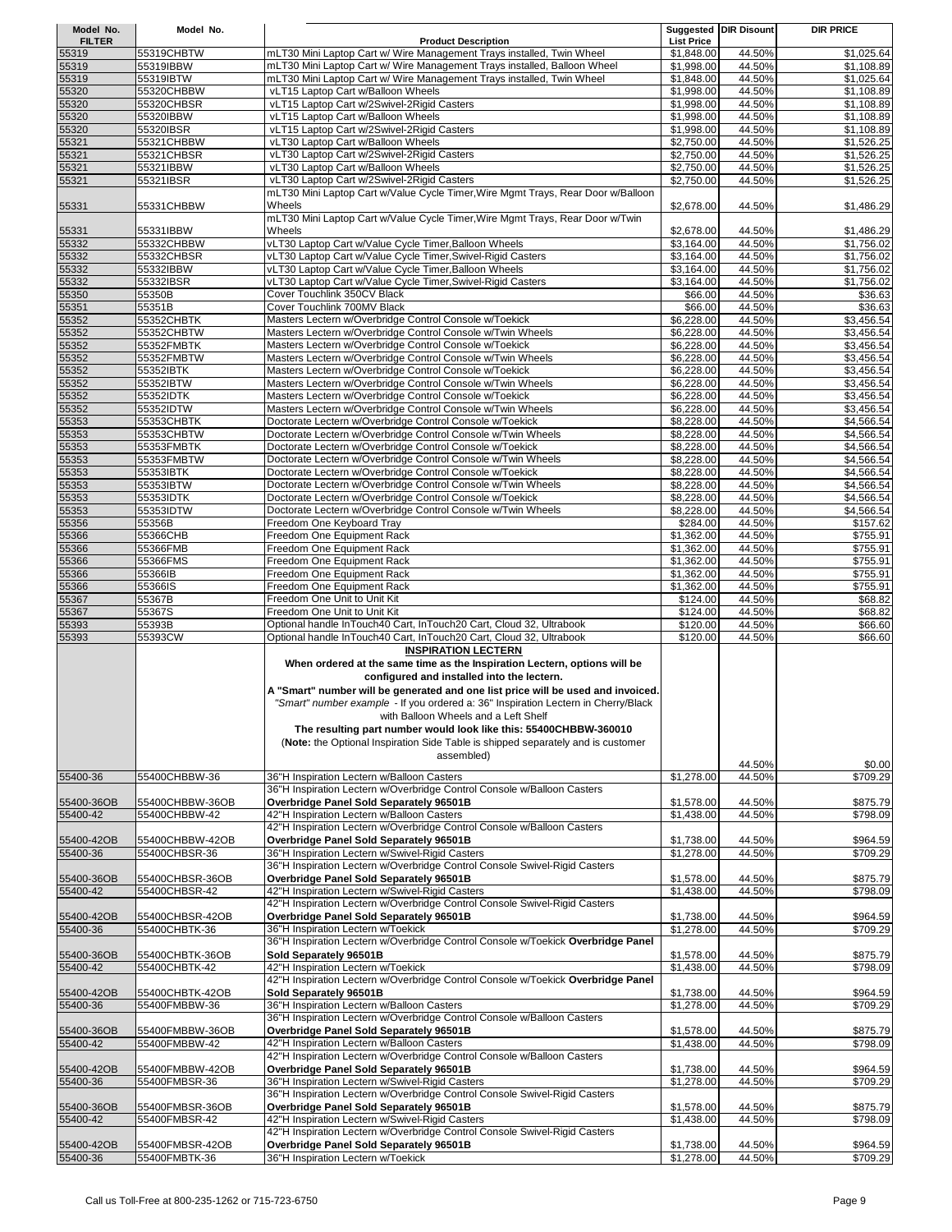| Model No.              | Model No.                        |                                                                                                                         |                          | <b>Suggested DIR Disount</b> | <b>DIR PRICE</b>         |
|------------------------|----------------------------------|-------------------------------------------------------------------------------------------------------------------------|--------------------------|------------------------------|--------------------------|
| <b>FILTER</b>          |                                  | <b>Product Description</b>                                                                                              | <b>List Price</b>        |                              |                          |
| 55319                  | 55319CHBTW                       | mLT30 Mini Laptop Cart w/ Wire Management Trays installed, Twin Wheel                                                   | \$1,848.00               | 44.50%                       | \$1,025.64               |
| 55319                  | 55319IBBW                        | mLT30 Mini Laptop Cart w/ Wire Management Trays installed, Balloon Wheel                                                | \$1,998.00               | 44.50%                       | \$1,108.89               |
| 55319                  | 55319IBTW<br>55320CHBBW          | mLT30 Mini Laptop Cart w/ Wire Management Trays installed, Twin Wheel<br>vLT15 Laptop Cart w/Balloon Wheels             | \$1,848.00<br>\$1,998.00 | 44.50%<br>44.50%             | \$1,025.64<br>\$1,108.89 |
| 55320<br>55320         | 55320CHBSR                       | vLT15 Laptop Cart w/2Swivel-2Rigid Casters                                                                              | \$1,998.00               | 44.50%                       | \$1,108.89               |
| 55320                  | 55320IBBW                        | vLT15 Laptop Cart w/Balloon Wheels                                                                                      | \$1,998.00               | 44.50%                       | \$1,108.89               |
| 55320                  | 55320IBSR                        | vLT15 Laptop Cart w/2Swivel-2Rigid Casters                                                                              | \$1,998.00               | 44.50%                       | \$1,108.89               |
| 55321                  | 55321CHBBW                       | vLT30 Laptop Cart w/Balloon Wheels                                                                                      | \$2,750.00               | 44.50%                       | \$1,526.25               |
| 55321                  | 55321CHBSR                       | vLT30 Laptop Cart w/2Swivel-2Rigid Casters                                                                              | \$2,750.00               | 44.50%                       | \$1,526.25               |
| 55321                  | 55321IBBW                        | vLT30 Laptop Cart w/Balloon Wheels                                                                                      | \$2,750.00               | 44.50%                       | \$1,526.25               |
| 55321                  | 55321IBSR                        | vLT30 Laptop Cart w/2Swivel-2Rigid Casters                                                                              | \$2,750.00               | 44.50%                       | \$1,526.25               |
|                        |                                  | mLT30 Mini Laptop Cart w/Value Cycle Timer, Wire Mgmt Trays, Rear Door w/Balloon                                        |                          |                              |                          |
| 55331                  | 55331CHBBW                       | Wheels                                                                                                                  | \$2,678.00               | 44.50%                       | \$1,486.29               |
| 55331                  | 55331IBBW                        | mLT30 Mini Laptop Cart w/Value Cycle Timer, Wire Mgmt Trays, Rear Door w/Twin<br>Wheels                                 | \$2,678.00               | 44.50%                       | \$1,486.29               |
| 55332                  | 55332CHBBW                       | vLT30 Laptop Cart w/Value Cycle Timer, Balloon Wheels                                                                   | \$3,164.00               | 44.50%                       | \$1,756.02               |
| 55332                  | 55332CHBSR                       | vLT30 Laptop Cart w/Value Cycle Timer, Swivel-Rigid Casters                                                             | \$3,164.00               | 44.50%                       | \$1,756.02               |
| 55332                  | 55332IBBW                        | vLT30 Laptop Cart w/Value Cycle Timer, Balloon Wheels                                                                   | \$3,164.00               | 44.50%                       | \$1,756.02               |
| 55332                  | 55332IBSR                        | vLT30 Laptop Cart w/Value Cycle Timer,Swivel-Rigid Casters                                                              | \$3,164.00               | 44.50%                       | \$1,756.02               |
| 55350                  | 55350B                           | Cover Touchlink 350CV Black                                                                                             | \$66.00                  | 44.50%                       | \$36.63                  |
| 55351                  | 55351B                           | Cover Touchlink 700MV Black                                                                                             | \$66.00                  | 44.50%                       | \$36.63                  |
| 55352                  | 55352CHBTK                       | Masters Lectern w/Overbridge Control Console w/Toekick                                                                  | \$6,228.00               | 44.50%                       | \$3,456.54               |
| 55352                  | 55352CHBTW                       | Masters Lectern w/Overbridge Control Console w/Twin Wheels                                                              | \$6,228.00               | 44.50%                       | \$3,456.54               |
| 55352                  | 55352FMBTK                       | Masters Lectern w/Overbridge Control Console w/Toekick                                                                  | \$6,228.00               | 44.50%                       | \$3,456.54               |
| 55352                  | 55352FMBTW                       | Masters Lectern w/Overbridge Control Console w/Twin Wheels<br>Masters Lectern w/Overbridge Control Console w/Toekick    | \$6,228.00               | 44.50%                       | \$3,456.54<br>\$3,456.54 |
| 55352<br>55352         | 55352IBTK<br>55352IBTW           | Masters Lectern w/Overbridge Control Console w/Twin Wheels                                                              | \$6,228.00<br>\$6,228.00 | 44.50%<br>44.50%             | \$3,456.54               |
| 55352                  | 55352IDTK                        | Masters Lectern w/Overbridge Control Console w/Toekick                                                                  | \$6,228.00               | 44.50%                       | \$3,456.54               |
| 55352                  | 55352IDTW                        | Masters Lectern w/Overbridge Control Console w/Twin Wheels                                                              | \$6,228.00               | 44.50%                       | \$3,456.54               |
| 55353                  | 55353CHBTK                       | Doctorate Lectern w/Overbridge Control Console w/Toekick                                                                | \$8,228.00               | 44.50%                       | \$4,566.54               |
| 55353                  | 55353CHBTW                       | Doctorate Lectern w/Overbridge Control Console w/Twin Wheels                                                            | \$8,228.00               | 44.50%                       | \$4,566.54               |
| 55353                  | 55353FMBTK                       | Doctorate Lectern w/Overbridge Control Console w/Toekick                                                                | \$8,228.00               | 44.50%                       | \$4,566.54               |
| 55353                  | 55353FMBTW                       | Doctorate Lectern w/Overbridge Control Console w/Twin Wheels                                                            | \$8,228.00               | 44.50%                       | \$4,566.54               |
| 55353                  | 55353IBTK                        | Doctorate Lectern w/Overbridge Control Console w/Toekick                                                                | \$8,228.00               | 44.50%                       | \$4,566.54               |
| 55353                  | 55353IBTW                        | Doctorate Lectern w/Overbridge Control Console w/Twin Wheels                                                            | \$8,228.00               | 44.50%                       | \$4,566.54               |
| 55353                  | 55353IDTK                        | Doctorate Lectern w/Overbridge Control Console w/Toekick                                                                | \$8,228.00               | 44.50%                       | \$4,566.54               |
| 55353                  | 55353IDTW                        | Doctorate Lectern w/Overbridge Control Console w/Twin Wheels                                                            | \$8,228.00               | 44.50%                       | \$4,566.54               |
| 55356<br>55366         | 55356B<br>55366CHB               | Freedom One Keyboard Tray<br>Freedom One Equipment Rack                                                                 | \$284.00<br>\$1,362.00   | 44.50%<br>44.50%             | \$157.62<br>\$755.91     |
| 55366                  | 55366FMB                         | Freedom One Equipment Rack                                                                                              | \$1,362.00               | 44.50%                       | \$755.91                 |
| 55366                  | 55366FMS                         | Freedom One Equipment Rack                                                                                              | \$1,362.00               | 44.50%                       | \$755.91                 |
| 55366                  | 55366IB                          | Freedom One Equipment Rack                                                                                              | \$1,362.00               | 44.50%                       | \$755.91                 |
| 55366                  | 55366IS                          | Freedom One Equipment Rack                                                                                              | \$1,362.00               | 44.50%                       | \$755.91                 |
| 55367                  | 55367B                           | Freedom One Unit to Unit Kit                                                                                            | \$124.00                 | 44.50%                       | \$68.82                  |
| 55367                  | 55367S                           | Freedom One Unit to Unit Kit                                                                                            | \$124.00                 | 44.50%                       | \$68.82                  |
| 55393                  | 55393B                           | Optional handle InTouch40 Cart, InTouch20 Cart, Cloud 32, Ultrabook                                                     | \$120.00                 | 44.50%                       | \$66.60                  |
| 55393                  | 55393CW                          | Optional handle InTouch40 Cart, InTouch20 Cart, Cloud 32, Ultrabook                                                     | \$120.00                 | 44.50%                       | \$66.60                  |
|                        |                                  | <b>INSPIRATION LECTERN</b>                                                                                              |                          |                              |                          |
|                        |                                  | When ordered at the same time as the Inspiration Lectern, options will be<br>configured and installed into the lectern. |                          |                              |                          |
|                        |                                  | A "Smart" number will be generated and one list price will be used and invoiced.                                        |                          |                              |                          |
|                        |                                  | "Smart" number example - If you ordered a: 36" Inspiration Lectern in Cherry/Black                                      |                          |                              |                          |
|                        |                                  | with Balloon Wheels and a Left Shelf                                                                                    |                          |                              |                          |
|                        |                                  | The resulting part number would look like this: 55400CHBBW-360010                                                       |                          |                              |                          |
|                        |                                  | (Note: the Optional Inspiration Side Table is shipped separately and is customer                                        |                          |                              |                          |
|                        |                                  | assembled)                                                                                                              |                          |                              |                          |
|                        |                                  |                                                                                                                         |                          | 44.50%                       | \$0.00                   |
| 55400-36               | 55400CHBBW-36                    | 36"H Inspiration Lectern w/Balloon Casters<br>36"H Inspiration Lectern w/Overbridge Control Console w/Balloon Casters   | \$1,278.00               | 44.50%                       | \$709.29                 |
| 55400-36OB             | 55400CHBBW-36OB                  | Overbridge Panel Sold Separately 96501B                                                                                 | \$1,578.00               | 44.50%                       | \$875.79                 |
| 55400-42               | 55400CHBBW-42                    | 42"H Inspiration Lectern w/Balloon Casters                                                                              | \$1,438.00               | 44.50%                       | \$798.09                 |
|                        |                                  | 42"H Inspiration Lectern w/Overbridge Control Console w/Balloon Casters                                                 |                          |                              |                          |
| 55400-42OB             | 55400CHBBW-42OB                  | Overbridge Panel Sold Separately 96501B                                                                                 | \$1,738.00               | 44.50%                       | \$964.59                 |
| 55400-36               | 55400CHBSR-36                    | 36"H Inspiration Lectern w/Swivel-Rigid Casters                                                                         | \$1,278.00               | 44.50%                       | \$709.29                 |
|                        |                                  | 36"H Inspiration Lectern w/Overbridge Control Console Swivel-Rigid Casters                                              |                          |                              |                          |
| 55400-36OB             | 55400CHBSR-36OB                  | Overbridge Panel Sold Separately 96501B                                                                                 | \$1,578.00               | 44.50%                       | \$875.79                 |
| 55400-42               | 55400CHBSR-42                    | 42"H Inspiration Lectern w/Swivel-Rigid Casters                                                                         | \$1,438.00               | 44.50%                       | \$798.09                 |
|                        |                                  | 42"H Inspiration Lectern w/Overbridge Control Console Swivel-Rigid Casters                                              |                          |                              |                          |
| 55400-42OB<br>55400-36 | 55400CHBSR-42OB<br>55400CHBTK-36 | Overbridge Panel Sold Separately 96501B<br>36"H Inspiration Lectern w/Toekick                                           | \$1,738.00<br>\$1,278.00 | 44.50%<br>44.50%             | \$964.59<br>\$709.29     |
|                        |                                  | 36"H Inspiration Lectern w/Overbridge Control Console w/Toekick Overbridge Panel                                        |                          |                              |                          |
| 55400-36OB             | 55400CHBTK-36OB                  | Sold Separately 96501B                                                                                                  | \$1,578.00               | 44.50%                       | \$875.79                 |
| 55400-42               | 55400CHBTK-42                    | 42"H Inspiration Lectern w/Toekick                                                                                      | \$1,438.00               | 44.50%                       | \$798.09                 |
|                        |                                  | 42"H Inspiration Lectern w/Overbridge Control Console w/Toekick Overbridge Panel                                        |                          |                              |                          |
| 55400-42OB             | 55400CHBTK-42OB                  | Sold Separately 96501B                                                                                                  | \$1,738.00               | 44.50%                       | \$964.59                 |
| 55400-36               | 55400FMBBW-36                    | 36"H Inspiration Lectern w/Balloon Casters                                                                              | \$1,278.00               | 44.50%                       | \$709.29                 |
|                        |                                  | 36"H Inspiration Lectern w/Overbridge Control Console w/Balloon Casters                                                 |                          |                              |                          |
| 55400-36OB             | 55400FMBBW-36OB                  | Overbridge Panel Sold Separately 96501B                                                                                 | \$1,578.00               | 44.50%                       | \$875.79                 |
| 55400-42               | 55400FMBBW-42                    | 42"H Inspiration Lectern w/Balloon Casters                                                                              | \$1,438.00               | 44.50%                       | \$798.09                 |
|                        |                                  | 42"H Inspiration Lectern w/Overbridge Control Console w/Balloon Casters<br>Overbridge Panel Sold Separately 96501B      |                          | 44.50%                       |                          |
| 55400-42OB<br>55400-36 | 55400FMBBW-42OB<br>55400FMBSR-36 | 36"H Inspiration Lectern w/Swivel-Rigid Casters                                                                         | \$1,738.00<br>\$1,278.00 | 44.50%                       | \$964.59<br>\$709.29     |
|                        |                                  | 36"H Inspiration Lectern w/Overbridge Control Console Swivel-Rigid Casters                                              |                          |                              |                          |
| 55400-36OB             | 55400FMBSR-36OB                  | Overbridge Panel Sold Separately 96501B                                                                                 | \$1,578.00               | 44.50%                       | \$875.79                 |
| 55400-42               | 55400FMBSR-42                    | 42"H Inspiration Lectern w/Swivel-Rigid Casters                                                                         | \$1,438.00               | 44.50%                       | \$798.09                 |
|                        |                                  | 42"H Inspiration Lectern w/Overbridge Control Console Swivel-Rigid Casters                                              |                          |                              |                          |
| 55400-42OB             | 55400FMBSR-42OB                  | Overbridge Panel Sold Separately 96501B                                                                                 | \$1,738.00               | 44.50%                       | \$964.59                 |
| 55400-36               | 55400FMBTK-36                    | 36"H Inspiration Lectern w/Toekick                                                                                      | \$1,278.00               | 44.50%                       | \$709.29                 |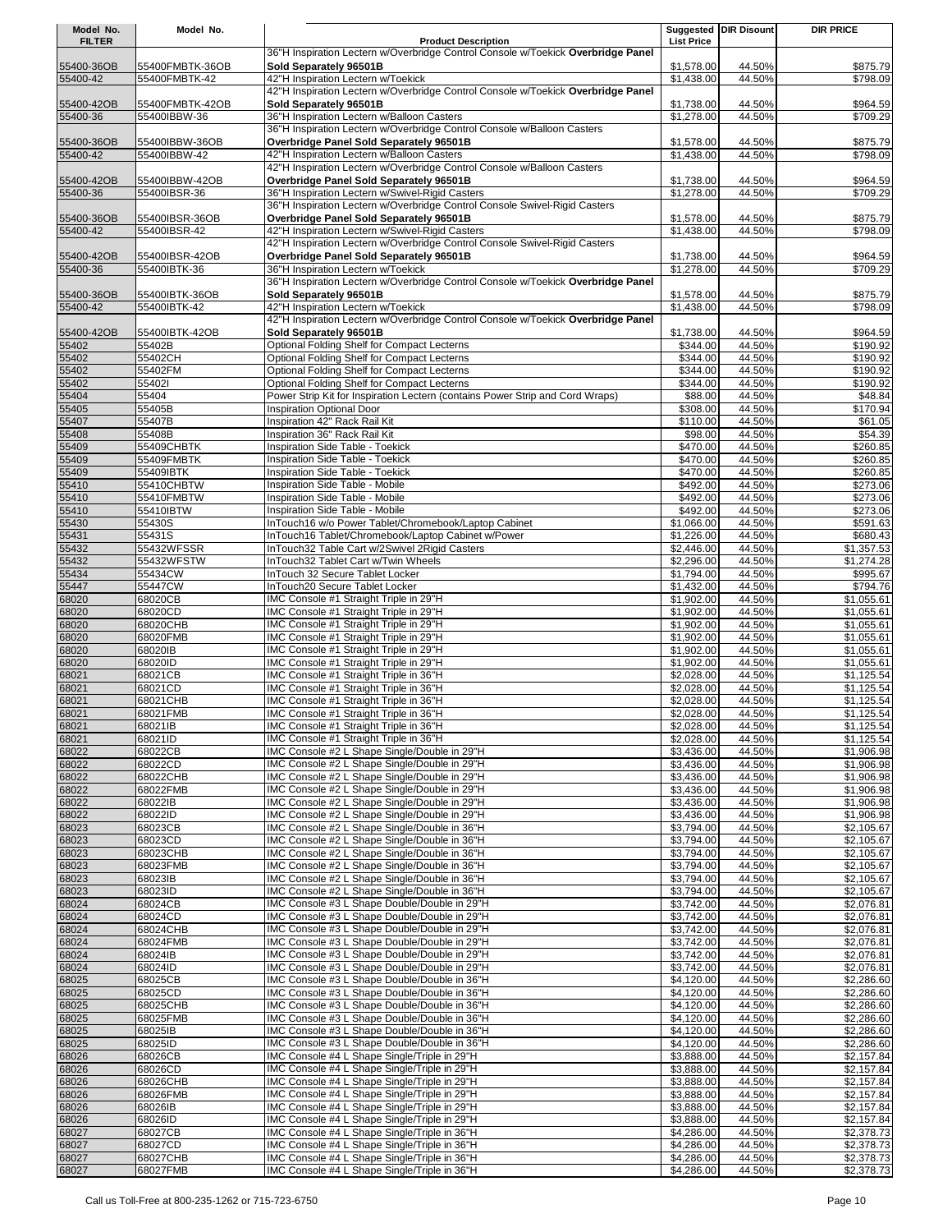| Model No.      | Model No.               |                                                                                              |                          | Suggested DIR Disount | <b>DIR PRICE</b>         |
|----------------|-------------------------|----------------------------------------------------------------------------------------------|--------------------------|-----------------------|--------------------------|
| <b>FILTER</b>  |                         | <b>Product Description</b>                                                                   | <b>List Price</b>        |                       |                          |
|                |                         | 36"H Inspiration Lectern w/Overbridge Control Console w/Toekick Overbridge Panel             |                          |                       |                          |
| 55400-36OB     | 55400FMBTK-36OB         | Sold Separately 96501B                                                                       | \$1,578.00               | 44.50%                | \$875.79                 |
| 55400-42       | 55400FMBTK-42           | 42"H Inspiration Lectern w/Toekick                                                           | \$1,438.00               | 44.50%                | \$798.09                 |
|                |                         | 42"H Inspiration Lectern w/Overbridge Control Console w/Toekick Overbridge Panel             |                          |                       |                          |
| 55400-42OB     | 55400FMBTK-42OB         | Sold Separately 96501B<br>36"H Inspiration Lectern w/Balloon Casters                         | \$1,738.00               | 44.50%                | \$964.59                 |
| 55400-36       | 55400IBBW-36            | 36"H Inspiration Lectern w/Overbridge Control Console w/Balloon Casters                      | \$1,278.00               | 44.50%                | \$709.29                 |
| 55400-36OB     | 55400IBBW-36OB          | Overbridge Panel Sold Separately 96501B                                                      | \$1,578.00               | 44.50%                | \$875.79                 |
| 55400-42       | 55400IBBW-42            | 42"H Inspiration Lectern w/Balloon Casters                                                   | \$1,438.00               | 44.50%                | \$798.09                 |
|                |                         | 42"H Inspiration Lectern w/Overbridge Control Console w/Balloon Casters                      |                          |                       |                          |
| 55400-42OB     | 55400IBBW-42OB          | Overbridge Panel Sold Separately 96501B                                                      | \$1,738.00               | 44.50%                | \$964.59                 |
| 55400-36       | 55400IBSR-36            | 36"H Inspiration Lectern w/Swivel-Rigid Casters                                              | \$1,278.00               | 44.50%                | \$709.29                 |
|                |                         | 36"H Inspiration Lectern w/Overbridge Control Console Swivel-Rigid Casters                   |                          |                       |                          |
| 55400-36OB     | 55400IBSR-36OB          | Overbridge Panel Sold Separately 96501B                                                      | \$1,578.00               | 44.50%                | \$875.79                 |
| 55400-42       | 55400IBSR-42            | 42"H Inspiration Lectern w/Swivel-Rigid Casters                                              | \$1,438.00               | 44.50%                | \$798.09                 |
|                |                         | 42"H Inspiration Lectern w/Overbridge Control Console Swivel-Rigid Casters                   |                          |                       |                          |
| 55400-42OB     | 55400IBSR-42OB          | Overbridge Panel Sold Separately 96501B                                                      | \$1,738.00               | 44.50%                | \$964.59                 |
| 55400-36       | 55400IBTK-36            | 36"H Inspiration Lectern w/Toekick                                                           | \$1,278.00               | 44.50%                | \$709.29                 |
|                |                         | 36"H Inspiration Lectern w/Overbridge Control Console w/Toekick Overbridge Panel             |                          |                       |                          |
| 55400-36OB     | 55400IBTK-36OB          | Sold Separately 96501B                                                                       | \$1,578.00               | 44.50%                | \$875.79                 |
| 55400-42       | 55400IBTK-42            | 42"H Inspiration Lectern w/Toekick                                                           | \$1,438.00               | 44.50%                | \$798.09                 |
|                |                         | 42"H Inspiration Lectern w/Overbridge Control Console w/Toekick Overbridge Panel             |                          |                       |                          |
| 55400-42OB     | 55400IBTK-42OB          | Sold Separately 96501B                                                                       | \$1,738.00               | 44.50%                | \$964.59                 |
| 55402          | 55402B                  | Optional Folding Shelf for Compact Lecterns                                                  | \$344.00                 | 44.50%                | \$190.92                 |
| 55402          | 55402CH                 | Optional Folding Shelf for Compact Lecterns                                                  | \$344.00                 | 44.50%                | \$190.92                 |
| 55402          | 55402FM                 | Optional Folding Shelf for Compact Lecterns                                                  | \$344.00                 | 44.50%                | \$190.92                 |
| 55402          | 554021                  | Optional Folding Shelf for Compact Lecterns                                                  | \$344.00                 | 44.50%                | \$190.92                 |
| 55404          | 55404                   | Power Strip Kit for Inspiration Lectern (contains Power Strip and Cord Wraps)                | \$88.00                  | 44.50%                | \$48.84                  |
| 55405          | 55405B                  | Inspiration Optional Door                                                                    | \$308.00                 | 44.50%                | \$170.94                 |
| 55407          | 55407B                  | Inspiration 42" Rack Rail Kit                                                                | \$110.00                 | 44.50%                | \$61.05                  |
| 55408          | 55408B                  | Inspiration 36" Rack Rail Kit                                                                | \$98.00                  | 44.50%                | \$54.39                  |
| 55409          | 55409CHBTK              | Inspiration Side Table - Toekick                                                             | \$470.00                 | 44.50%                | \$260.85                 |
| 55409          | 55409FMBTK              | Inspiration Side Table - Toekick                                                             | \$470.00                 | 44.50%                | \$260.85                 |
| 55409          | 55409IBTK               | Inspiration Side Table - Toekick                                                             | \$470.00                 | 44.50%                | \$260.85                 |
| 55410          | 55410CHBTW              | Inspiration Side Table - Mobile                                                              | \$492.00                 | 44.50%                | \$273.06                 |
| 55410<br>55410 | 55410FMBTW<br>55410IBTW | Inspiration Side Table - Mobile                                                              | \$492.00<br>\$492.00     | 44.50%<br>44.50%      | \$273.06<br>3273.06      |
| 55430          | 55430S                  | Inspiration Side Table - Mobile<br>InTouch16 w/o Power Tablet/Chromebook/Laptop Cabinet      | \$1,066.00               | 44.50%                | \$591.63                 |
| 55431          | 55431S                  | InTouch16 Tablet/Chromebook/Laptop Cabinet w/Power                                           | \$1,226.00               | 44.50%                | \$680.43                 |
| 55432          | 55432WFSSR              | InTouch32 Table Cart w/2Swivel 2Rigid Casters                                                | \$2,446.00               | 44.50%                | \$1,357.53               |
| 55432          | 55432WFSTW              | InTouch32 Tablet Cart w/Twin Wheels                                                          | \$2,296.00               | 44.50%                | \$1,274.28               |
| 55434          | 55434CW                 | InTouch 32 Secure Tablet Locker                                                              | \$1,794.00               | 44.50%                | \$995.67                 |
| 55447          | 55447CW                 | InTouch20 Secure Tablet Locker                                                               | \$1,432.00               | 44.50%                | \$794.76                 |
| 68020          | 68020CB                 | IMC Console #1 Straight Triple in 29"H                                                       | \$1,902.00               | 44.50%                | \$1,055.61               |
| 68020          | 68020CD                 | IMC Console #1 Straight Triple in 29"H                                                       | \$1,902.00               | 44.50%                | \$1,055.61               |
| 68020          | 68020CHB                | IMC Console #1 Straight Triple in 29"H                                                       | \$1,902.00               | 44.50%                | \$1,055.61               |
| 68020          | 68020FMB                | IMC Console #1 Straight Triple in 29"H                                                       | \$1,902.00               | 44.50%                | \$1,055.61               |
| 68020          | 68020IB                 | IMC Console #1 Straight Triple in 29"H                                                       | \$1,902.00               | 44.50%                | \$1,055.61               |
| 68020          | 68020ID                 | IMC Console #1 Straight Triple in 29"H                                                       | \$1,902.00               | 44.50%                | \$1,055.61               |
| 68021          | 68021CB                 | IMC Console #1 Straight Triple in 36"H                                                       | \$2,028.00               | 44.50%                | \$1,125.54               |
| 68021          | 68021CD                 | IMC Console #1 Straight Triple in 36"H                                                       | \$2,028.00               | 44.50%                | \$1,125.54               |
| 68021          | 68021CHB                | IMC Console #1 Straight Triple in 36"H                                                       | \$2,028.00               | 44.50%                | \$1,125.54               |
| 68021          | 68021FMB                | IMC Console #1 Straight Triple in 36"H                                                       | \$2,028.00               | 44.50%                | \$1,125.54               |
| 68021          | 68021IB                 | IMC Console #1 Straight Triple in 36"H                                                       | \$2,028.00               | 44.50%                | \$1,125.54               |
| 68021          | 68021ID                 | IMC Console #1 Straight Triple in 36"H                                                       | \$2,028.00               | 44.50%                | \$1,125.54               |
| 68022          | 68022CB                 | IMC Console #2 L Shape Single/Double in 29"H                                                 | \$3,436.00               | 44.50%                | \$1,906.98               |
| 68022          | 68022CD                 | IMC Console #2 L Shape Single/Double in 29"H                                                 | \$3,436.00               | 44.50%                | \$1,906.98               |
| 68022          | 68022CHB                | IMC Console #2 L Shape Single/Double in 29"H                                                 | \$3,436.00               | 44.50%                | \$1,906.98               |
| 68022          | 68022FMB                | IMC Console #2 L Shape Single/Double in 29"H                                                 | \$3,436.00               | 44.50%                | \$1,906.98               |
| 68022          | 68022IB                 | IMC Console #2 L Shape Single/Double in 29"H                                                 | \$3,436.00               | 44.50%                | \$1,906.98               |
| 68022          | 68022ID                 | IMC Console #2 L Shape Single/Double in 29"H                                                 | \$3,436.00               | 44.50%                | \$1,906.98               |
| 68023          | 68023CB                 | IMC Console #2 L Shape Single/Double in 36"H                                                 | \$3,794.00               | 44.50%<br>44.50%      | \$2,105.67               |
| 68023          | 68023CD<br>68023CHB     | IMC Console #2 L Shape Single/Double in 36"H<br>IMC Console #2 L Shape Single/Double in 36"H | \$3,794.00<br>\$3,794.00 | 44.50%                | \$2,105.67<br>\$2,105.67 |
| 68023<br>68023 | 68023FMB                | IMC Console #2 L Shape Single/Double in 36"H                                                 | \$3,794.00               | 44.50%                | \$2,105.67               |
| 68023          | 68023IB                 | IMC Console #2 L Shape Single/Double in 36"H                                                 | \$3,794.00               | 44.50%                | \$2,105.67               |
| 68023          | 68023ID                 | IMC Console #2 L Shape Single/Double in 36"H                                                 | \$3,794.00               | 44.50%                | \$2,105.67               |
| 68024          | 68024CB                 | IMC Console #3 L Shape Double/Double in 29"H                                                 | \$3,742.00               | 44.50%                | \$2,076.81               |
| 68024          | 68024CD                 | IMC Console #3 L Shape Double/Double in 29"H                                                 | \$3,742.00               | 44.50%                | \$2,076.81               |
| 68024          | 68024CHB                | IMC Console #3 L Shape Double/Double in 29"H                                                 | \$3,742.00               | 44.50%                | \$2,076.81               |
| 68024          | 68024FMB                | IMC Console #3 L Shape Double/Double in 29"H                                                 | \$3,742.00               | 44.50%                | \$2,076.81               |
| 68024          | 68024IB                 | IMC Console #3 L Shape Double/Double in 29"H                                                 | \$3,742.00               | 44.50%                | \$2,076.81               |
| 68024          | 68024ID                 | IMC Console #3 L Shape Double/Double in 29"H                                                 | \$3,742.00               | 44.50%                | \$2,076.81               |
| 68025          | 68025CB                 | IMC Console #3 L Shape Double/Double in 36"H                                                 | \$4,120.00               | 44.50%                | \$2,286.60               |
| 68025          | 68025CD                 | IMC Console #3 L Shape Double/Double in 36"H                                                 | \$4,120.00               | 44.50%                | \$2,286.60               |
| 68025          | 68025CHB                | IMC Console #3 L Shape Double/Double in 36"H                                                 | \$4,120.00               | 44.50%                | \$2,286.60               |
| 68025          | 68025FMB                | IMC Console #3 L Shape Double/Double in 36"H                                                 | \$4,120.00               | 44.50%                | \$2,286.60               |
| 68025          | 68025IB                 | IMC Console #3 L Shape Double/Double in 36"H                                                 | \$4,120.00               | 44.50%                | \$2,286.60               |
| 68025          | 68025ID                 | IMC Console #3 L Shape Double/Double in 36"H                                                 | \$4,120.00               | 44.50%                | \$2,286.60               |
| 68026          | 68026CB                 | IMC Console #4 L Shape Single/Triple in 29"H                                                 | \$3,888.00               | 44.50%                | \$2,157.84               |
| 68026          | 68026CD                 | IMC Console #4 L Shape Single/Triple in 29"H                                                 | \$3,888.00               | 44.50%                | \$2,157.84               |
| 68026          | 68026CHB                | IMC Console #4 L Shape Single/Triple in 29"H                                                 | \$3,888.00               | 44.50%                | \$2,157.84               |
| 68026          | 68026FMB                | IMC Console #4 L Shape Single/Triple in 29"H                                                 | \$3,888.00               | 44.50%                | \$2,157.84               |
| 68026          | 68026IB                 | IMC Console #4 L Shape Single/Triple in 29"H                                                 | \$3,888.00               | 44.50%                | \$2,157.84               |
| 68026          | 68026ID                 | IMC Console #4 L Shape Single/Triple in 29"H                                                 | \$3,888.00               | 44.50%                | \$2,157.84               |
| 68027          | 68027CB                 | IMC Console #4 L Shape Single/Triple in 36"H                                                 | \$4,286.00               | 44.50%                | \$2,378.73               |
| 68027          | 68027CD                 | IMC Console #4 L Shape Single/Triple in 36"H                                                 | \$4,286.00               | 44.50%                | \$2,378.73               |
| 68027          | 68027CHB                | IMC Console #4 L Shape Single/Triple in 36"H                                                 | \$4,286.00               | 44.50%                | \$2,378.73               |
| 68027          | 68027FMB                | IMC Console #4 L Shape Single/Triple in 36"H                                                 | \$4,286.00               | 44.50%                | \$2,378.73               |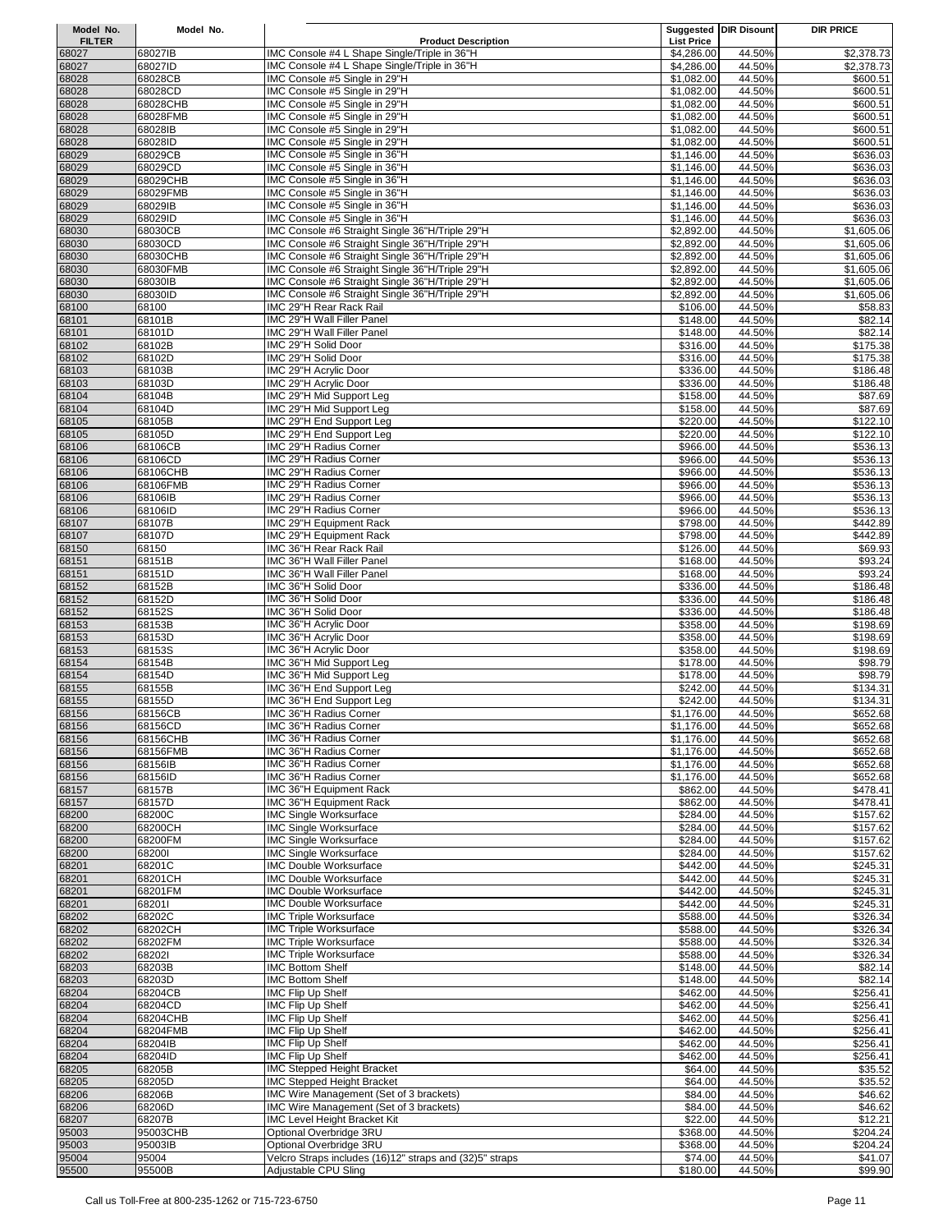| Model No.      | Model No.           |                                                                |                          | <b>Suggested DIR Disount</b> | <b>DIR PRICE</b>     |
|----------------|---------------------|----------------------------------------------------------------|--------------------------|------------------------------|----------------------|
| <b>FILTER</b>  |                     | <b>Product Description</b>                                     | <b>List Price</b>        |                              |                      |
| 68027          | 68027IB             | IMC Console #4 L Shape Single/Triple in 36"H                   | \$4,286.00               | 44.50%                       | \$2,378.73           |
| 68027          | 68027ID             | IMC Console #4 L Shape Single/Triple in 36"H                   | \$4,286.00               | 44.50%                       | \$2,378.73           |
| 68028          | 68028CB             | IMC Console #5 Single in 29"H                                  | \$1,082.00               | 44.50%                       | \$600.51             |
| 68028          | 68028CD             | IMC Console #5 Single in 29"H                                  | \$1,082.00               | 44.50%                       | \$600.51             |
| 68028          | 68028CHB            | IMC Console #5 Single in 29"H                                  | \$1,082.00               | 44.50%                       | \$600.51             |
| 68028<br>68028 | 68028FMB<br>68028IB | IMC Console #5 Single in 29"H<br>IMC Console #5 Single in 29"H | \$1,082.00<br>\$1,082.00 | 44.50%<br>44.50%             | \$600.51<br>\$600.51 |
| 68028          | 68028ID             | IMC Console #5 Single in 29"H                                  | \$1,082.00               | 44.50%                       | \$600.51             |
| 68029          | 68029CB             | IMC Console #5 Single in 36"H                                  | \$1,146.00               | 44.50%                       | \$636.03             |
| 68029          | 68029CD             | IMC Console #5 Single in 36"H                                  | \$1,146.00               | 44.50%                       | \$636.03             |
| 68029          | 68029CHB            | IMC Console #5 Single in 36"H                                  | \$1,146.00               | 44.50%                       | \$636.03             |
| 68029          | 68029FMB            | IMC Console #5 Single in 36"H                                  | \$1,146.00               | 44.50%                       | \$636.03             |
| 68029          | 68029IB             | IMC Console #5 Single in 36"H                                  | \$1,146.00               | 44.50%                       | \$636.03             |
| 68029          | 68029ID             | IMC Console #5 Single in 36"H                                  | \$1,146.00               | 44.50%                       | \$636.03             |
| 68030          | 68030CB             | IMC Console #6 Straight Single 36"H/Triple 29"H                | \$2,892.00               | 44.50%                       | \$1,605.06           |
| 68030          | 68030CD             | IMC Console #6 Straight Single 36"H/Triple 29"H                | \$2,892.00               | 44.50%                       | \$1,605.06           |
| 68030          | 68030CHB            | IMC Console #6 Straight Single 36"H/Triple 29"H                | \$2,892.00               | 44.50%                       | \$1,605.06           |
| 68030          | 68030FMB            | IMC Console #6 Straight Single 36"H/Triple 29"H                | \$2,892.00               | 44.50%                       | \$1,605.06           |
| 68030          | 68030IB             | IMC Console #6 Straight Single 36"H/Triple 29"H                | \$2,892.00               | 44.50%                       | \$1,605.06           |
| 68030          | 68030ID             | IMC Console #6 Straight Single 36"H/Triple 29"H                | \$2,892.00               | 44.50%                       | \$1,605.06           |
| 68100          | 68100               | IMC 29"H Rear Rack Rail                                        | \$106.00                 | 44.50%                       | \$58.83              |
| 68101          | 68101B              | IMC 29"H Wall Filler Panel                                     | \$148.00                 | 44.50%                       | \$82.14              |
| 68101          | 68101D              | IMC 29"H Wall Filler Panel                                     | \$148.00                 | 44.50%                       | \$82.14              |
| 68102          | 68102B              | IMC 29"H Solid Door                                            | \$316.00                 | 44.50%                       | \$175.38             |
| 68102          | 68102D<br>68103B    | IMC 29"H Solid Door<br>IMC 29"H Acrylic Door                   | \$316.00<br>\$336.00     | 44.50%<br>44.50%             | \$175.38             |
| 68103<br>68103 | 68103D              | IMC 29"H Acrylic Door                                          | \$336.00                 | 44.50%                       | \$186.48<br>\$186.48 |
| 68104          | 68104B              | IMC 29"H Mid Support Leg                                       | \$158.00                 | 44.50%                       | \$87.69              |
| 68104          | 68104D              | IMC 29"H Mid Support Leg                                       | \$158.00                 | 44.50%                       | \$87.69              |
| 68105          | 68105B              | IMC 29"H End Support Leg                                       | \$220.00                 | 44.50%                       | \$122.10             |
| 68105          | 68105D              | IMC 29"H End Support Leg                                       | \$220.00                 | 44.50%                       | \$122.10             |
| 68106          | 68106CB             | IMC 29"H Radius Corner                                         | \$966.00                 | 44.50%                       | \$536.13             |
| 68106          | 68106CD             | IMC 29"H Radius Corner                                         | \$966.00                 | 44.50%                       | \$536.13             |
| 68106          | 68106CHB            | IMC 29"H Radius Corner                                         | \$966.00                 | 44.50%                       | \$536.13             |
| 68106          | 68106FMB            | IMC 29"H Radius Corner                                         | \$966.00                 | 44.50%                       | \$536.13             |
| 68106          | 68106IB             | IMC 29"H Radius Corner                                         | \$966.00                 | 44.50%                       | \$536.13             |
| 68106          | 68106ID             | IMC 29"H Radius Corner                                         | \$966.00                 | 44.50%                       | \$536.13             |
| 68107          | 68107B              | IMC 29"H Equipment Rack                                        | \$798.00                 | 44.50%                       | \$442.89             |
| 68107          | 68107D              | IMC 29"H Equipment Rack                                        | \$798.00                 | 44.50%                       | \$442.89             |
| 68150          | 68150               | IMC 36"H Rear Rack Rail                                        | \$126.00                 | 44.50%                       | \$69.93              |
| 68151          | 68151B              | IMC 36"H Wall Filler Panel                                     | \$168.00                 | 44.50%                       | \$93.24              |
| 68151          | 68151D              | IMC 36"H Wall Filler Panel                                     | \$168.00                 | 44.50%                       | \$93.24              |
| 68152<br>68152 | 68152B<br>68152D    | IMC 36"H Solid Door<br>IMC 36"H Solid Door                     | \$336.00<br>\$336.00     | 44.50%<br>44.50%             | \$186.48             |
| 68152          | 68152S              | IMC 36"H Solid Door                                            | \$336.00                 | 44.50%                       | \$186.48<br>\$186.48 |
| 68153          | 68153B              | IMC 36"H Acrylic Door                                          | \$358.00                 | 44.50%                       | \$198.69             |
| 68153          | 68153D              | IMC 36"H Acrylic Door                                          | \$358.00                 | 44.50%                       | \$198.69             |
| 68153          | 68153S              | IMC 36"H Acrylic Door                                          | \$358.00                 | 44.50%                       | \$198.69             |
| 68154          | 68154B              | IMC 36"H Mid Support Leg                                       | \$178.00                 | 44.50%                       | \$98.79              |
| 68154          | 68154D              | IMC 36"H Mid Support Leg                                       | \$178.00                 | 44.50%                       | \$98.79              |
| 68155          | 68155B              | IMC 36"H End Support Leg                                       | \$242.00                 | 44.50%                       | \$134.31             |
| 68155          | 68155D              | IMC 36"H End Support Leg                                       | \$242.00                 | 44.50%                       | \$134.31             |
| 68156          | 68156CB             | IMC 36"H Radius Corner                                         | \$1,176.00               | 44.50%                       | \$652.68             |
| 68156          | 68156CD             | IMC 36"H Radius Corner                                         | \$1,176.00               | 44.50%                       | \$652.68             |
| 68156          | 68156CHB            | IMC 36"H Radius Corner                                         | \$1,176.00               | 44.50%                       | \$652.68             |
| 68156          | 68156FMB            | IMC 36"H Radius Corner                                         | \$1,176.00               | 44.50%                       | \$652.68             |
| 68156          | 68156IB<br>68156ID  | IMC 36"H Radius Corner<br>IMC 36"H Radius Corner               | \$1,176.00<br>\$1,176.00 | 44.50%<br>44.50%             | \$652.68<br>\$652.68 |
| 68156<br>68157 | 68157B              | IMC 36"H Equipment Rack                                        | \$862.00                 | 44.50%                       | \$478.41             |
| 68157          | 68157D              | IMC 36"H Equipment Rack                                        | \$862.00                 | 44.50%                       | \$478.41             |
| 68200          | 68200C              | <b>IMC Single Worksurface</b>                                  | \$284.00                 | 44.50%                       | \$157.62             |
| 68200          | 68200CH             | <b>IMC Single Worksurface</b>                                  | \$284.00                 | 44.50%                       | \$157.62             |
| 68200          | 68200FM             | <b>IMC Single Worksurface</b>                                  | \$284.00                 | 44.50%                       | \$157.62             |
| 68200          | 682001              | <b>IMC Single Worksurface</b>                                  | \$284.00                 | 44.50%                       | \$157.62             |
| 68201          | 68201C              | IMC Double Worksurface                                         | \$442.00                 | 44.50%                       | \$245.31             |
| 68201          | 68201CH             | IMC Double Worksurface                                         | \$442.00                 | 44.50%                       | \$245.31             |
| 68201          | 68201FM             | IMC Double Worksurface                                         | \$442.00                 | 44.50%                       | \$245.31             |
| 68201          | 682011              | IMC Double Worksurface                                         | \$442.00                 | 44.50%                       | \$245.31             |
| 68202          | 68202C              | <b>IMC Triple Worksurface</b>                                  | \$588.00                 | 44.50%                       | \$326.34             |
| 68202          | 68202CH             | <b>IMC Triple Worksurface</b>                                  | \$588.00                 | 44.50%                       | \$326.34             |
| 68202          | 68202FM             | <b>IMC Triple Worksurface</b>                                  | \$588.00                 | 44.50%                       | \$326.34             |
| 68202          | 682021              | <b>IMC Triple Worksurface</b>                                  | \$588.00                 | 44.50%                       | \$326.34             |
| 68203<br>68203 | 68203B<br>68203D    | <b>IMC Bottom Shelf</b><br><b>IMC Bottom Shelf</b>             | \$148.00<br>\$148.00     | 44.50%<br>44.50%             | \$82.14<br>\$82.14   |
| 68204          | 68204CB             | IMC Flip Up Shelf                                              | \$462.00                 | 44.50%                       | \$256.41             |
| 68204          | 68204CD             | IMC Flip Up Shelf                                              | \$462.00                 | 44.50%                       | \$256.41             |
| 68204          | 68204CHB            | <b>IMC Flip Up Shelf</b>                                       | \$462.00                 | 44.50%                       | \$256.41             |
| 68204          | 68204FMB            | <b>IMC Flip Up Shelf</b>                                       | \$462.00                 | 44.50%                       | \$256.41             |
| 68204          | 68204IB             | IMC Flip Up Shelf                                              | \$462.00                 | 44.50%                       | \$256.41             |
| 68204          | 68204ID             | <b>IMC Flip Up Shelf</b>                                       | \$462.00                 | 44.50%                       | \$256.41             |
| 68205          | 68205B              | <b>IMC Stepped Height Bracket</b>                              | \$64.00                  | 44.50%                       | \$35.52              |
| 68205          | 68205D              | <b>IMC Stepped Height Bracket</b>                              | \$64.00                  | 44.50%                       | \$35.52              |
| 68206          | 68206B              | IMC Wire Management (Set of 3 brackets)                        | \$84.00                  | 44.50%                       | \$46.62              |
| 68206          | 68206D              | IMC Wire Management (Set of 3 brackets)                        | \$84.00                  | 44.50%                       | \$46.62              |
| 68207          | 68207B              | <b>IMC Level Height Bracket Kit</b>                            | \$22.00                  | 44.50%                       | \$12.21              |
| 95003          | 95003CHB            | Optional Overbridge 3RU                                        | \$368.00                 | 44.50%                       | \$204.24             |
| 95003          | 95003IB             | Optional Overbridge 3RU                                        | \$368.00                 | 44.50%                       | \$204.24             |
| 95004          | 95004               | Velcro Straps includes (16)12" straps and (32)5" straps        | \$74.00                  | 44.50%                       | \$41.07              |
| 95500          | 95500B              | Adjustable CPU Sling                                           | \$180.00                 | 44.50%                       | \$99.90              |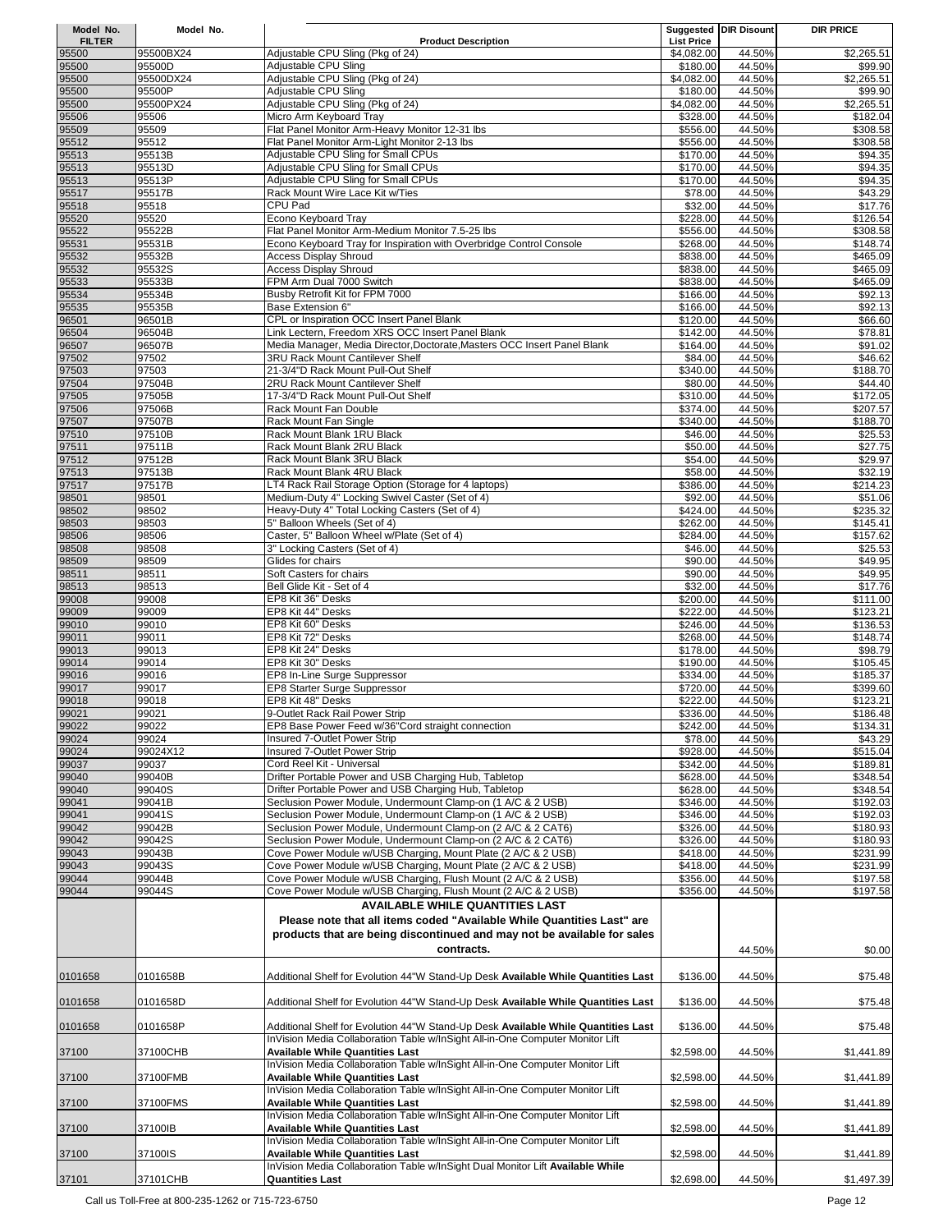| Model No.              | Model No.           |                                                                                                                                                                    |                                 | Suggested DIR Disount | <b>DIR PRICE</b>       |
|------------------------|---------------------|--------------------------------------------------------------------------------------------------------------------------------------------------------------------|---------------------------------|-----------------------|------------------------|
| <b>FILTER</b><br>95500 | 95500BX24           | <b>Product Description</b><br>Adjustable CPU Sling (Pkg of 24)                                                                                                     | <b>List Price</b><br>\$4,082.00 | 44.50%                | \$2,265.51             |
| 95500                  | 95500D              | Adjustable CPU Sling                                                                                                                                               | \$180.00                        | 44.50%                | \$99.90                |
| 95500                  | 95500DX24           | Adjustable CPU Sling (Pkg of 24)                                                                                                                                   | \$4,082.00                      | 44.50%                | $\overline{$2,265.51}$ |
| 95500<br>95500         | 95500P<br>95500PX24 | Adjustable CPU Sling<br>Adjustable CPU Sling (Pkg of 24)                                                                                                           | \$180.00<br>\$4,082.00          | 44.50%<br>44.50%      | \$99.90<br>\$2,265.51  |
| 95506                  | 95506               | Micro Arm Keyboard Tray                                                                                                                                            | \$328.00                        | 44.50%                | \$182.04               |
| 95509                  | 95509               | Flat Panel Monitor Arm-Heavy Monitor 12-31 lbs                                                                                                                     | \$556.00                        | 44.50%                | \$308.58               |
| 95512<br>95513         | 95512<br>95513B     | Flat Panel Monitor Arm-Light Monitor 2-13 lbs<br>Adjustable CPU Sling for Small CPUs                                                                               | \$556.00<br>\$170.00            | 44.50%<br>44.50%      | \$308.58<br>\$94.35    |
| 95513                  | 95513D              | Adjustable CPU Sling for Small CPUs                                                                                                                                | \$170.00                        | 44.50%                | \$94.35                |
| 95513                  | 95513P              | Adjustable CPU Sling for Small CPUs                                                                                                                                | \$170.00                        | 44.50%                | \$94.35                |
| 95517<br>95518         | 95517B<br>95518     | Rack Mount Wire Lace Kit w/Ties<br><b>CPU Pad</b>                                                                                                                  | \$78.00<br>\$32.00              | 44.50%<br>44.50%      | \$43.29<br>\$17.76     |
| 95520                  | 95520               | Econo Keyboard Tray                                                                                                                                                | \$228.00                        | 44.50%                | \$126.54               |
| 95522                  | 95522B              | Flat Panel Monitor Arm-Medium Monitor 7.5-25 lbs                                                                                                                   | \$556.00                        | 44.50%                | \$308.58               |
| 95531                  | 95531B              | Econo Keyboard Tray for Inspiration with Overbridge Control Console                                                                                                | \$268.00                        | 44.50%                | \$148.74               |
| 95532<br>95532         | 95532B<br>95532S    | <b>Access Display Shroud</b><br><b>Access Display Shroud</b>                                                                                                       | \$838.00<br>\$838.00            | 44.50%<br>44.50%      | \$465.09<br>\$465.09   |
| 95533                  | 95533B              | FPM Arm Dual 7000 Switch                                                                                                                                           | \$838.00                        | 44.50%                | \$465.09               |
| 95534                  | 95534B              | Busby Retrofit Kit for FPM 7000                                                                                                                                    | \$166.00                        | 44.50%                | \$92.13                |
| 95535                  | 95535B              | Base Extension 6"                                                                                                                                                  | \$166.00                        | 44.50%                | \$92.13                |
| 96501<br>96504         | 96501B<br>96504B    | CPL or Inspiration OCC Insert Panel Blank<br>Link Lectern, Freedom XRS OCC Insert Panel Blank                                                                      | \$120.00<br>\$142.00            | 44.50%<br>44.50%      | \$66.60<br>\$78.81     |
| 96507                  | 96507B              | Media Manager, Media Director, Doctorate, Masters OCC Insert Panel Blank                                                                                           | \$164.00                        | 44.50%                | \$91.02                |
| 97502                  | 97502               | <b>3RU Rack Mount Cantilever Shelf</b>                                                                                                                             | \$84.00                         | 44.50%                | \$46.62                |
| 97503                  | 97503<br>97504B     | 21-3/4"D Rack Mount Pull-Out Shelf<br>2RU Rack Mount Cantilever Shelf                                                                                              | \$340.00<br>\$80.00             | 44.50%<br>44.50%      | \$188.70<br>\$44.40    |
| 97504<br>97505         | 97505B              | 17-3/4"D Rack Mount Pull-Out Shelf                                                                                                                                 | \$310.00                        | 44.50%                | $\overline{$172.05}$   |
| 97506                  | 97506B              | Rack Mount Fan Double                                                                                                                                              | \$374.00                        | 44.50%                | \$207.57               |
| 97507                  | 97507B              | Rack Mount Fan Single                                                                                                                                              | \$340.00                        | 44.50%                | \$188.70               |
| 97510                  | 97510B              | Rack Mount Blank 1RU Black<br>Rack Mount Blank 2RU Black                                                                                                           | \$46.00                         | 44.50%                | \$25.53                |
| 97511<br>97512         | 97511B<br>97512B    | Rack Mount Blank 3RU Black                                                                                                                                         | \$50.00<br>\$54.00              | 44.50%<br>44.50%      | \$27.75<br>\$29.97     |
| 97513                  | 97513B              | Rack Mount Blank 4RU Black                                                                                                                                         | \$58.00                         | 44.50%                | \$32.19                |
| 97517                  | 97517B              | LT4 Rack Rail Storage Option (Storage for 4 laptops)                                                                                                               | \$386.00                        | 44.50%                | \$214.23               |
| 98501<br>98502         | 98501<br>98502      | Medium-Duty 4" Locking Swivel Caster (Set of 4)<br>Heavy-Duty 4" Total Locking Casters (Set of 4)                                                                  | \$92.00<br>\$424.00             | 44.50%<br>44.50%      | \$51.06<br>\$235.32    |
| 98503                  | 98503               | 5" Balloon Wheels (Set of 4)                                                                                                                                       | \$262.00                        | 44.50%                | \$145.41               |
| 98506                  | 98506               | Caster, 5" Balloon Wheel w/Plate (Set of 4)                                                                                                                        | \$284.00                        | 44.50%                | \$157.62               |
| 98508                  | 98508               | 3" Locking Casters (Set of 4)                                                                                                                                      | \$46.00                         | 44.50%                | \$25.53                |
| 98509<br>98511         | 98509<br>98511      | Glides for chairs<br>Soft Casters for chairs                                                                                                                       | \$90.00<br>\$90.00              | 44.50%<br>44.50%      | \$49.95<br>\$49.95     |
| 98513                  | 98513               | Bell Glide Kit - Set of 4                                                                                                                                          | \$32.00                         | 44.50%                | \$17.76                |
| 99008                  | 99008               | EP8 Kit 36" Desks                                                                                                                                                  | \$200.00                        | 44.50%                | \$111.00               |
| 99009                  | 99009               | EP8 Kit 44" Desks                                                                                                                                                  | \$222.00                        | 44.50%                | \$123.21               |
| 99010<br>99011         | 99010<br>99011      | EP8 Kit 60" Desks<br>EP8 Kit 72" Desks                                                                                                                             | \$246.00<br>\$268.00            | 44.50%<br>44.50%      | \$136.53<br>\$148.74   |
| 99013                  | 99013               | EP8 Kit 24" Desks                                                                                                                                                  | \$178.00                        | 44.50%                | \$98.79                |
| 99014                  | 99014               | EP8 Kit 30" Desks                                                                                                                                                  | \$190.00                        | 44.50%                | \$105.45               |
| 99016                  | 99016               | EP8 In-Line Surge Suppressor                                                                                                                                       | \$334.00                        | 44.50%                | \$185.37               |
| 99017<br>99018         | 99017<br>99018      | EP8 Starter Surge Suppressor<br>EP8 Kit 48" Desks                                                                                                                  | \$720.00<br>\$222.00            | 44.50%<br>44.50%      | \$399.60<br>\$123.21   |
| 99021                  | 99021               | 9-Outlet Rack Rail Power Strip                                                                                                                                     | \$336.00                        | 44.50%                | \$186.48               |
| 99022                  | 99022               | EP8 Base Power Feed w/36"Cord straight connection                                                                                                                  | \$242.00                        | 44.50%                | \$134.31               |
| 99024                  | 99024<br>99024X12   | <b>Insured 7-Outlet Power Strip</b>                                                                                                                                | \$78.00                         | 44.50%                | \$43.29<br>\$515.04    |
| 99024<br>99037         | 99037               | Insured 7-Outlet Power Strip<br>Cord Reel Kit - Universal                                                                                                          | \$928.00<br>\$342.00            | 44.50%<br>44.50%      | \$189.81               |
| 99040                  | 99040B              | Drifter Portable Power and USB Charging Hub, Tabletop                                                                                                              | \$628.00                        | 44.50%                | \$348.54               |
| 99040                  | 99040S              | Drifter Portable Power and USB Charging Hub, Tabletop                                                                                                              | \$628.00                        | 44.50%                | \$348.54               |
| 99041<br>99041         | 99041B<br>99041S    | Seclusion Power Module, Undermount Clamp-on (1 A/C & 2 USB)<br>Seclusion Power Module, Undermount Clamp-on (1 A/C & 2 USB)                                         | \$346.00<br>\$346.00            | 44.50%<br>44.50%      | \$192.03               |
| 99042                  | 99042B              | Seclusion Power Module, Undermount Clamp-on (2 A/C & 2 CAT6)                                                                                                       | \$326.00                        | 44.50%                | \$192.03<br>\$180.93   |
| 99042                  | 99042S              | Seclusion Power Module, Undermount Clamp-on (2 A/C & 2 CAT6)                                                                                                       | \$326.00                        | 44.50%                | \$180.93               |
| 99043                  | 99043B              | Cove Power Module w/USB Charging, Mount Plate (2 A/C & 2 USB)                                                                                                      | \$418.00                        | 44.50%                | \$231.99               |
| 99043                  | 99043S<br>99044B    | Cove Power Module w/USB Charging, Mount Plate (2 A/C & 2 USB)<br>Cove Power Module w/USB Charging, Flush Mount (2 A/C & 2 USB)                                     | \$418.00                        | 44.50%                | \$231.99               |
| 99044<br>99044         | 99044S              | Cove Power Module w/USB Charging, Flush Mount (2 A/C & 2 USB)                                                                                                      | \$356.00<br>\$356.00            | 44.50%<br>44.50%      | \$197.58<br>\$197.58   |
|                        |                     | <b>AVAILABLE WHILE QUANTITIES LAST</b>                                                                                                                             |                                 |                       |                        |
|                        |                     | Please note that all items coded "Available While Quantities Last" are                                                                                             |                                 |                       |                        |
|                        |                     | products that are being discontinued and may not be available for sales                                                                                            |                                 |                       |                        |
|                        |                     | contracts.                                                                                                                                                         |                                 | 44.50%                | \$0.00                 |
| 0101658                | 0101658B            | Additional Shelf for Evolution 44"W Stand-Up Desk Available While Quantities Last                                                                                  |                                 | 44.50%                |                        |
|                        |                     |                                                                                                                                                                    | \$136.00                        |                       | \$75.48                |
| 0101658                | 0101658D            | Additional Shelf for Evolution 44"W Stand-Up Desk Available While Quantities Last                                                                                  | \$136.00                        | 44.50%                | \$75.48                |
|                        |                     |                                                                                                                                                                    |                                 |                       |                        |
| 0101658                | 0101658P            | Additional Shelf for Evolution 44"W Stand-Up Desk Available While Quantities Last<br>InVision Media Collaboration Table w/InSight All-in-One Computer Monitor Lift | \$136.00                        | 44.50%                | \$75.48                |
| 37100                  | 37100CHB            | <b>Available While Quantities Last</b>                                                                                                                             | \$2,598.00                      | 44.50%                | \$1,441.89             |
|                        |                     | InVision Media Collaboration Table w/InSight All-in-One Computer Monitor Lift                                                                                      |                                 |                       |                        |
| 37100                  | 37100FMB            | Available While Quantities Last                                                                                                                                    | \$2,598.00                      | 44.50%                | \$1,441.89             |
| 37100                  | 37100FMS            | InVision Media Collaboration Table w/lnSight All-in-One Computer Monitor Lift<br><b>Available While Quantities Last</b>                                            | \$2,598.00                      | 44.50%                | \$1,441.89             |
|                        |                     | InVision Media Collaboration Table w/InSight All-in-One Computer Monitor Lift                                                                                      |                                 |                       |                        |
| 37100                  | 37100IB             | <b>Available While Quantities Last</b>                                                                                                                             | \$2,598.00                      | 44.50%                | \$1,441.89             |
|                        |                     | InVision Media Collaboration Table w/lnSight All-in-One Computer Monitor Lift                                                                                      |                                 |                       |                        |
| 37100                  | 37100IS             | <b>Available While Quantities Last</b><br>InVision Media Collaboration Table w/InSight Dual Monitor Lift Available While                                           | \$2,598.00                      | 44.50%                | \$1,441.89             |
| 37101                  | 37101CHB            | <b>Quantities Last</b>                                                                                                                                             | \$2,698.00                      | 44.50%                | \$1,497.39             |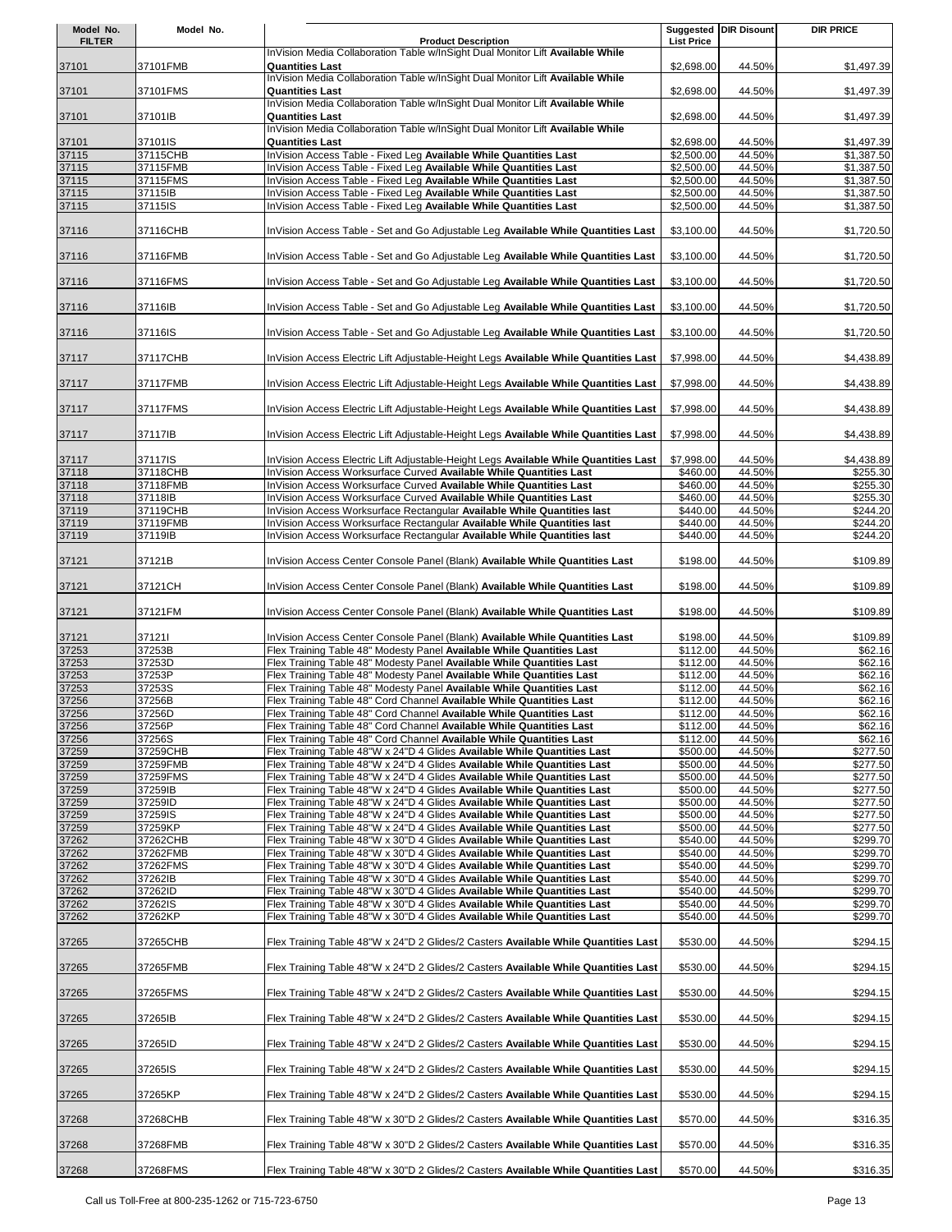| Model No.      | Model No.           |                                                                                                                                                      |                          | Suggested DIR Disount | <b>DIR PRICE</b>         |
|----------------|---------------------|------------------------------------------------------------------------------------------------------------------------------------------------------|--------------------------|-----------------------|--------------------------|
| <b>FILTER</b>  |                     | <b>Product Description</b><br>InVision Media Collaboration Table w/InSight Dual Monitor Lift Available While                                         | <b>List Price</b>        |                       |                          |
| 37101          | 37101FMB            | <b>Quantities Last</b>                                                                                                                               | \$2,698.00               | 44.50%                | \$1,497.39               |
|                |                     | InVision Media Collaboration Table w/InSight Dual Monitor Lift Available While                                                                       |                          |                       |                          |
| 37101          | 37101FMS            | <b>Quantities Last</b><br>InVision Media Collaboration Table w/InSight Dual Monitor Lift Available While                                             | \$2,698.00               | 44.50%                | \$1,497.39               |
| 37101          | 37101IB             | <b>Quantities Last</b>                                                                                                                               | \$2,698.00               | 44.50%                | \$1,497.39               |
|                |                     | InVision Media Collaboration Table w/InSight Dual Monitor Lift Available While                                                                       |                          |                       |                          |
| 37101<br>37115 | 37101IS<br>37115CHB | <b>Quantities Last</b><br>InVision Access Table - Fixed Leg Available While Quantities Last                                                          | \$2,698.00<br>\$2,500.00 | 44.50%<br>44.50%      | \$1,497.39<br>\$1,387.50 |
| 37115          | 37115FMB            | InVision Access Table - Fixed Leg Available While Quantities Last                                                                                    | \$2,500.00               | 44.50%                | \$1,387.50               |
| 37115          | 37115FMS            | InVision Access Table - Fixed Leg Available While Quantities Last                                                                                    | \$2,500.00               | 44.50%                | \$1,387.50               |
| 37115          | 37115IB             | InVision Access Table - Fixed Leg Available While Quantities Last                                                                                    | \$2,500.00               | 44.50%                | \$1,387.50               |
| 37115          | 37115IS             | InVision Access Table - Fixed Leg Available While Quantities Last                                                                                    | \$2,500.00               | 44.50%                | \$1,387.50               |
|                |                     |                                                                                                                                                      |                          |                       |                          |
| 37116          | 37116CHB            | InVision Access Table - Set and Go Adjustable Leg Available While Quantities Last                                                                    | \$3,100.00               | 44.50%                | \$1,720.50               |
| 37116          | 37116FMB            | InVision Access Table - Set and Go Adjustable Leg Available While Quantities Last                                                                    | \$3,100.00               | 44.50%                | \$1,720.50               |
| 37116          | 37116FMS            | InVision Access Table - Set and Go Adjustable Leg Available While Quantities Last                                                                    | \$3,100.00               | 44.50%                | \$1,720.50               |
| 37116          | 37116IB             | InVision Access Table - Set and Go Adjustable Leg Available While Quantities Last                                                                    | \$3,100.00               | 44.50%                | \$1,720.50               |
| 37116          | 37116IS             | InVision Access Table - Set and Go Adjustable Leg Available While Quantities Last                                                                    | \$3,100.00               | 44.50%                | \$1,720.50               |
| 37117          | 37117CHB            | InVision Access Electric Lift Adjustable-Height Legs Available While Quantities Last                                                                 | \$7,998.00               | 44.50%                | \$4,438.89               |
| 37117          | 37117FMB            | InVision Access Electric Lift Adjustable-Height Legs Available While Quantities Last                                                                 | \$7,998.00               | 44.50%                | \$4,438.89               |
| 37117          | 37117FMS            | InVision Access Electric Lift Adjustable-Height Legs Available While Quantities Last                                                                 | \$7,998.00               | 44.50%                | \$4,438.89               |
| 37117          | 37117IB             | InVision Access Electric Lift Adjustable-Height Legs Available While Quantities Last                                                                 | \$7,998.00               | 44.50%                | \$4,438.89               |
| 37117          | 37117IS             | InVision Access Electric Lift Adjustable-Height Legs Available While Quantities Last                                                                 | \$7,998.00               | 44.50%                | \$4,438.89               |
| 37118          | 37118CHB            | InVision Access Worksurface Curved Available While Quantities Last                                                                                   | \$460.00                 | 44.50%                | \$255.30                 |
| 37118          | 37118FMB            | InVision Access Worksurface Curved Available While Quantities Last                                                                                   | \$460.00                 | 44.50%                | \$255.30                 |
| 37118          | 37118IB             | InVision Access Worksurface Curved Available While Quantities Last                                                                                   | \$460.00                 | 44.50%                | \$255.30                 |
| 37119          | 37119CHB            | InVision Access Worksurface Rectangular Available While Quantities last                                                                              | \$440.00                 | 44.50%                | \$244.20                 |
| 37119<br>37119 | 37119FMB<br>37119IB | InVision Access Worksurface Rectangular Available While Quantities last<br>InVision Access Worksurface Rectangular Available While Quantities last   | \$440.00<br>\$440.00     | 44.50%<br>44.50%      | \$244.20<br>\$244.20     |
|                |                     |                                                                                                                                                      |                          |                       |                          |
| 37121          | 37121B              | InVision Access Center Console Panel (Blank) Available While Quantities Last                                                                         | \$198.00                 | 44.50%                | \$109.89                 |
| 37121          | 37121CH             | InVision Access Center Console Panel (Blank) Available While Quantities Last                                                                         | \$198.00                 | 44.50%                | \$109.89                 |
| 37121          | 37121FM             | InVision Access Center Console Panel (Blank) Available While Quantities Last                                                                         | \$198.00                 | 44.50%                | \$109.89                 |
| 37121          | 371211              | InVision Access Center Console Panel (Blank) Available While Quantities Last                                                                         | \$198.00                 | 44.50%                | \$109.89                 |
| 37253          | 37253B              | Flex Training Table 48" Modesty Panel Available While Quantities Last                                                                                | \$112.00                 | 44.50%                | \$62.16                  |
| 37253          | 37253D              | Flex Training Table 48" Modesty Panel Available While Quantities Last                                                                                | \$112.00                 | 44.50%                | \$62.16                  |
| 37253          | 37253P              | Flex Training Table 48" Modesty Panel Available While Quantities Last                                                                                | \$112.00                 | 44.50%                | \$62.16                  |
| 37253          | 37253S              | Flex Training Table 48" Modesty Panel Available While Quantities Last                                                                                | \$112.00                 | 44.50%                | \$62.16                  |
| 37256          | 37256B              | Flex Training Table 48" Cord Channel Available While Quantities Last                                                                                 | \$112.00                 | 44.50%                | \$62.16                  |
| 37256<br>37256 | 37256D<br>37256P    | Flex Training Table 48" Cord Channel Available While Quantities Last<br>Flex Training Table 48" Cord Channel Available While Quantities Last         | \$112.00<br>\$112.00     | 44.50%<br>44.50%      | \$62.16<br>\$62.16       |
| 37256          | 37256S              | Flex Training Table 48" Cord Channel Available While Quantities Last                                                                                 | \$112.00                 | 44.50%                | \$62.16                  |
| 37259          | 37259CHB            | Flex Training Table 48"W x 24"D 4 Glides Available While Quantities Last                                                                             | \$500.00                 | 44.50%                | \$277.50                 |
| 37259          | 37259FMB            | Flex Training Table 48"W x 24"D 4 Glides Available While Quantities Last                                                                             | \$500.00                 | 44.50%                | \$277.50                 |
| 37259          | 37259FMS            | Flex Training Table 48"W x 24"D 4 Glides Available While Quantities Last                                                                             | \$500.00                 | 44.50%                | \$277.50                 |
| 37259          | 37259IB             | Flex Training Table 48"W x 24"D 4 Glides Available While Quantities Last                                                                             | \$500.00                 | 44.50%                | \$277.50                 |
| 37259          | 37259ID             | Flex Training Table 48"W x 24"D 4 Glides Available While Quantities Last                                                                             | \$500.00                 | 44.50%                | \$277.50                 |
| 37259          | 37259IS             | Flex Training Table 48"W x 24"D 4 Glides Available While Quantities Last                                                                             | \$500.00                 | 44.50%                | \$277.50                 |
| 37259          | 37259KP             | Flex Training Table 48"W x 24"D 4 Glides Available While Quantities Last                                                                             | \$500.00                 | 44.50%                | \$277.50                 |
| 37262          | 37262CHB            | Flex Training Table 48"W x 30"D 4 Glides Available While Quantities Last                                                                             | \$540.00                 | 44.50%                | \$299.70                 |
| 37262          | 37262FMB            | Flex Training Table 48"W x 30"D 4 Glides Available While Quantities Last                                                                             | \$540.00                 | 44.50%                | \$299.70                 |
| 37262          | 37262FMS            | Flex Training Table 48"W x 30"D 4 Glides Available While Quantities Last                                                                             | \$540.00                 | 44.50%                | \$299.70                 |
| 37262<br>37262 | 37262IB<br>37262ID  | Flex Training Table 48"W x 30"D 4 Glides Available While Quantities Last<br>Flex Training Table 48"W x 30"D 4 Glides Available While Quantities Last | \$540.00<br>\$540.00     | 44.50%<br>44.50%      | \$299.70<br>\$299.70     |
| 37262          | 37262IS             | Flex Training Table 48"W x 30"D 4 Glides Available While Quantities Last                                                                             | \$540.00                 | 44.50%                | \$299.70                 |
| 37262          | 37262KP             | Flex Training Table 48"W x 30"D 4 Glides Available While Quantities Last                                                                             | \$540.00                 | 44.50%                | \$299.70                 |
| 37265          | 37265CHB            | Flex Training Table 48"W x 24"D 2 Glides/2 Casters Available While Quantities Last                                                                   | \$530.00                 | 44.50%                | \$294.15                 |
| 37265          | 37265FMB            | Flex Training Table 48"W x 24"D 2 Glides/2 Casters Available While Quantities Last                                                                   | \$530.00                 | 44.50%                | \$294.15                 |
| 37265          | 37265FMS            | Flex Training Table 48"W x 24"D 2 Glides/2 Casters Available While Quantities Last                                                                   | \$530.00                 | 44.50%                | \$294.15                 |
| 37265          | 37265IB             | Flex Training Table 48"W x 24"D 2 Glides/2 Casters Available While Quantities Last                                                                   | \$530.00                 | 44.50%                | \$294.15                 |
| 37265          | 37265ID             | Flex Training Table 48"W x 24"D 2 Glides/2 Casters Available While Quantities Last                                                                   | \$530.00                 | 44.50%                | \$294.15                 |
| 37265          | 37265IS             | Flex Training Table 48"W x 24"D 2 Glides/2 Casters Available While Quantities Last                                                                   | \$530.00                 | 44.50%                | \$294.15                 |
| 37265          | 37265KP             | Flex Training Table 48"W x 24"D 2 Glides/2 Casters Available While Quantities Last                                                                   | \$530.00                 | 44.50%                | \$294.15                 |
| 37268          | 37268CHB            | Flex Training Table 48"W x 30"D 2 Glides/2 Casters Available While Quantities Last                                                                   | \$570.00                 | 44.50%                | \$316.35                 |
| 37268          | 37268FMB            | Flex Training Table 48"W x 30"D 2 Glides/2 Casters Available While Quantities Last                                                                   | \$570.00                 | 44.50%                | \$316.35                 |
| 37268          | 37268FMS            | Flex Training Table 48"W x 30"D 2 Glides/2 Casters Available While Quantities Last                                                                   | \$570.00                 | 44.50%                | \$316.35                 |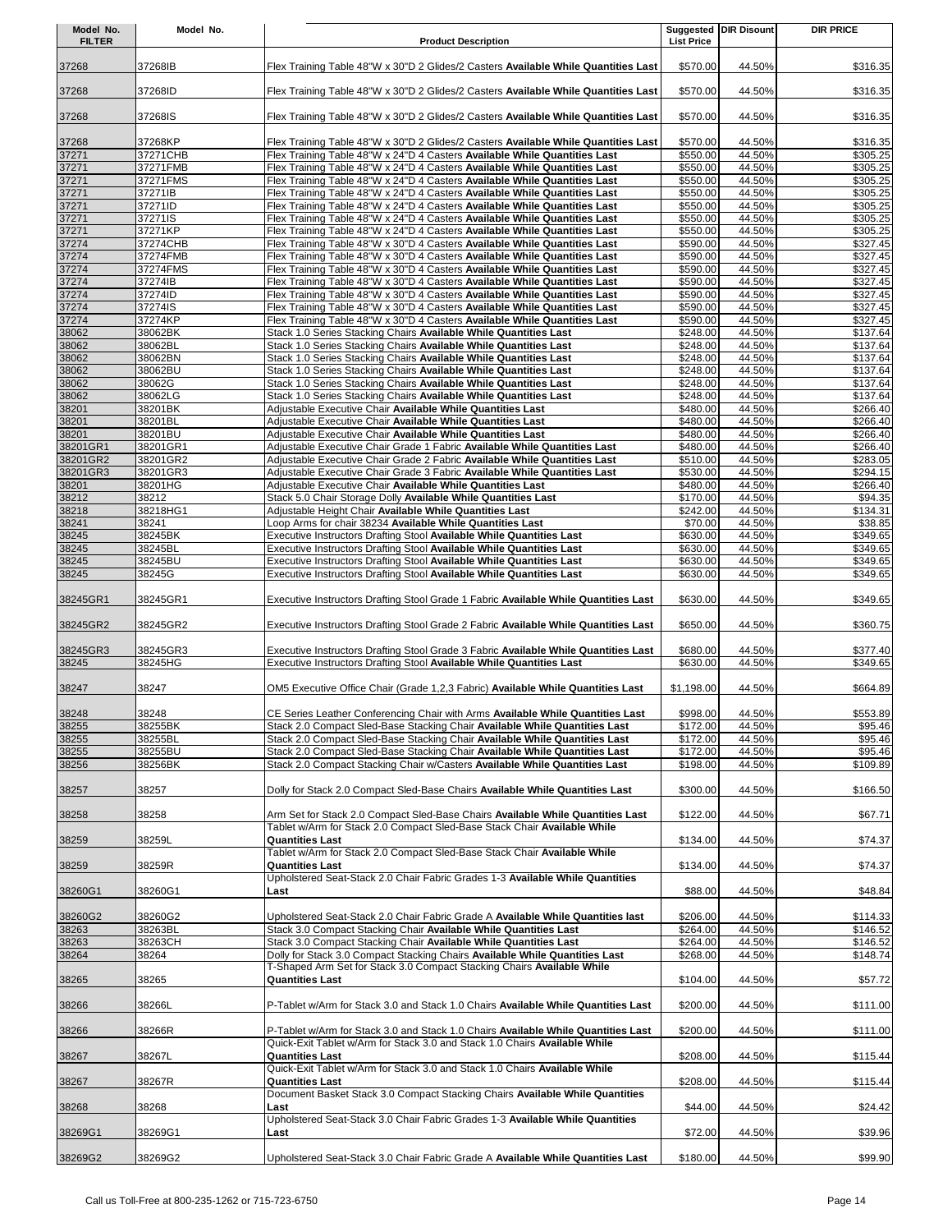| Model No.<br><b>FILTER</b> | Model No.           | <b>Product Description</b>                                                                                                                                      | <b>List Price</b>    | <b>Suggested DIR Disount</b> | <b>DIR PRICE</b>     |
|----------------------------|---------------------|-----------------------------------------------------------------------------------------------------------------------------------------------------------------|----------------------|------------------------------|----------------------|
| 37268                      | 37268IB             | Flex Training Table 48"W x 30"D 2 Glides/2 Casters Available While Quantities Last                                                                              | \$570.00             | 44.50%                       | \$316.35             |
| 37268                      | 37268ID             | Flex Training Table 48"W x 30"D 2 Glides/2 Casters Available While Quantities Last                                                                              | \$570.00             | 44.50%                       | \$316.35             |
| 37268                      | 37268IS             | Flex Training Table 48"W x 30"D 2 Glides/2 Casters Available While Quantities Last                                                                              | \$570.00             | 44.50%                       | \$316.35             |
| 37268                      | 37268KP             | Flex Training Table 48"W x 30"D 2 Glides/2 Casters Available While Quantities Last                                                                              | \$570.00             | 44.50%                       | \$316.35             |
| 37271                      | 37271CHB            | Flex Training Table 48"W x 24"D 4 Casters Available While Quantities Last                                                                                       | \$550.00             | 44.50%                       | \$305.25             |
| 37271                      | 37271FMB            | Flex Training Table 48"W x 24"D 4 Casters Available While Quantities Last<br>Flex Training Table 48"W x 24"D 4 Casters Available While Quantities Last          | \$550.00<br>\$550.00 | 44.50%<br>44.50%             | \$305.25             |
| 37271<br>37271             | 37271FMS<br>37271IB | Flex Training Table 48"W x 24"D 4 Casters Available While Quantities Last                                                                                       | \$550.00             | 44.50%                       | \$305.25<br>\$305.25 |
| 37271                      | 37271ID             | Flex Training Table 48"W x 24"D 4 Casters Available While Quantities Last                                                                                       | \$550.00             | 44.50%                       | \$305.25             |
| 37271                      | 37271IS             | Flex Training Table 48"W x 24"D 4 Casters Available While Quantities Last                                                                                       | \$550.00             | 44.50%                       | \$305.25             |
| 37271                      | 37271KP             | Flex Training Table 48"W x 24"D 4 Casters Available While Quantities Last                                                                                       | \$550.00             | 44.50%                       | \$305.25             |
| 37274                      | 37274CHB            | Flex Training Table 48"W x 30"D 4 Casters Available While Quantities Last                                                                                       | \$590.00             | 44.50%                       | \$327.45             |
| 37274                      | 37274FMB            | Flex Training Table 48"W x 30"D 4 Casters Available While Quantities Last                                                                                       | \$590.00             | 44.50%                       | \$327.45             |
| 37274                      | 37274FMS<br>37274IB | Flex Training Table 48"W x 30"D 4 Casters Available While Quantities Last<br>Flex Training Table 48"W x 30"D 4 Casters Available While Quantities Last          | \$590.00<br>\$590.00 | 44.50%<br>44.50%             | \$327.45             |
| 37274<br>37274             | 37274ID             | Flex Training Table 48"W x 30"D 4 Casters Available While Quantities Last                                                                                       | \$590.00             | 44.50%                       | \$327.45<br>\$327.45 |
| 37274                      | 37274IS             | Flex Training Table 48"W x 30"D 4 Casters Available While Quantities Last                                                                                       | \$590.00             | 44.50%                       | \$327.45             |
| 37274                      | 37274KP             | Flex Training Table 48"W x 30"D 4 Casters Available While Quantities Last                                                                                       | \$590.00             | 44.50%                       | \$327.45             |
| 38062                      | 38062BK             | Stack 1.0 Series Stacking Chairs Available While Quantities Last                                                                                                | \$248.00             | 44.50%                       | \$137.64             |
| 38062                      | 38062BL             | Stack 1.0 Series Stacking Chairs Available While Quantities Last                                                                                                | \$248.00             | 44.50%                       | \$137.64             |
| 38062                      | 38062BN             | Stack 1.0 Series Stacking Chairs Available While Quantities Last                                                                                                | \$248.00             | 44.50%                       | \$137.64             |
| 38062                      | 38062BU             | Stack 1.0 Series Stacking Chairs Available While Quantities Last                                                                                                | \$248.00             | 44.50%                       | \$137.64             |
| 38062                      | 38062G<br>38062LG   | Stack 1.0 Series Stacking Chairs Available While Quantities Last<br>Stack 1.0 Series Stacking Chairs Available While Quantities Last                            | \$248.00<br>\$248.00 | 44.50%<br>44.50%             | \$137.64<br>\$137.64 |
| 38062<br>38201             | 38201BK             | Adjustable Executive Chair Available While Quantities Last                                                                                                      | \$480.00             | 44.50%                       | \$266.40             |
| 38201                      | 38201BL             | Adjustable Executive Chair Available While Quantities Last                                                                                                      | \$480.00             | 44.50%                       | \$266.40             |
| 38201                      | 38201BU             | Adjustable Executive Chair Available While Quantities Last                                                                                                      | \$480.00             | 44.50%                       | \$266.40             |
| 38201GR1                   | 38201GR1            | Adjustable Executive Chair Grade 1 Fabric Available While Quantities Last                                                                                       | \$480.00             | 44.50%                       | \$266.40             |
| 38201GR2                   | 38201GR2            | Adjustable Executive Chair Grade 2 Fabric Available While Quantities Last                                                                                       | \$510.00             | 44.50%                       | \$283.05             |
| 38201GR3                   | 38201GR3            | Adjustable Executive Chair Grade 3 Fabric Available While Quantities Last                                                                                       | \$530.00             | 44.50%                       | \$294.15             |
| 38201                      | 38201HG             | Adjustable Executive Chair Available While Quantities Last                                                                                                      | \$480.00             | 44.50%                       | \$266.40             |
| 38212                      | 38212               | Stack 5.0 Chair Storage Dolly Available While Quantities Last                                                                                                   | \$170.00             | 44.50%                       | \$94.35              |
| 38218<br>38241             | 38218HG1<br>38241   | Adjustable Height Chair Available While Quantities Last<br>Loop Arms for chair 38234 Available While Quantities Last                                            | \$242.00<br>\$70.00  | 44.50%<br>44.50%             | \$134.31<br>\$38.85  |
| 38245                      | 38245BK             | Executive Instructors Drafting Stool Available While Quantities Last                                                                                            | \$630.00             | 44.50%                       | \$349.65             |
| 38245                      | 38245BL             | Executive Instructors Drafting Stool Available While Quantities Last                                                                                            | \$630.00             | 44.50%                       | 3349.65              |
| 38245                      | 38245BU             | Executive Instructors Drafting Stool Available While Quantities Last                                                                                            | \$630.00             | 44.50%                       | \$349.65             |
| 38245                      | 38245G              | Executive Instructors Drafting Stool Available While Quantities Last                                                                                            | \$630.00             | 44.50%                       | \$349.65             |
| 38245GR1                   | 38245GR1            | Executive Instructors Drafting Stool Grade 1 Fabric Available While Quantities Last                                                                             | \$630.00             | 44.50%                       | \$349.65             |
| 38245GR2                   | 38245GR2            | Executive Instructors Drafting Stool Grade 2 Fabric Available While Quantities Last                                                                             | \$650.00             | 44.50%                       | \$360.75             |
| 38245GR3                   | 38245GR3            | Executive Instructors Drafting Stool Grade 3 Fabric Available While Quantities Last                                                                             | \$680.00             | 44.50%                       | \$377.40             |
| 38245                      | 38245HG             | Executive Instructors Drafting Stool Available While Quantities Last                                                                                            | \$630.00             | 44.50%                       | \$349.65             |
| 38247                      | 38247               | OM5 Executive Office Chair (Grade 1,2,3 Fabric) Available While Quantities Last                                                                                 | \$1,198.00           | 44.50%                       | \$664.89             |
| 38248                      | 38248               | CE Series Leather Conferencing Chair with Arms Available While Quantities Last                                                                                  | \$998.00             | 44.50%                       | \$553.89             |
| 38255                      | 38255BK             | Stack 2.0 Compact Sled-Base Stacking Chair Available While Quantities Last                                                                                      | \$172.00             | 44.50%                       | \$95.46              |
| 38255                      | 38255BL             | Stack 2.0 Compact Sled-Base Stacking Chair Available While Quantities Last                                                                                      | \$172.00             | 44.50%                       | \$95.46              |
| 38255                      | 38255BU             | Stack 2.0 Compact Sled-Base Stacking Chair Available While Quantities Last                                                                                      | \$172.00             | 44.50%                       | \$95.46              |
| 38256                      | 38256BK             | Stack 2.0 Compact Stacking Chair w/Casters Available While Quantities Last                                                                                      | \$198.00             | 44.50%                       | \$109.89             |
| 38257                      | 38257               | Dolly for Stack 2.0 Compact Sled-Base Chairs Available While Quantities Last                                                                                    | \$300.00             | 44.50%                       | \$166.50             |
| 38258                      | 38258               | Arm Set for Stack 2.0 Compact Sled-Base Chairs Available While Quantities Last<br>Tablet w/Arm for Stack 2.0 Compact Sled-Base Stack Chair Available While      | \$122.00             | 44.50%                       | \$67.71              |
| 38259                      | 38259L              | <b>Quantities Last</b><br>Tablet w/Arm for Stack 2.0 Compact Sled-Base Stack Chair Available While                                                              | \$134.00             | 44.50%                       | \$74.37              |
| 38259                      | 38259R              | <b>Quantities Last</b><br>Upholstered Seat-Stack 2.0 Chair Fabric Grades 1-3 Available While Quantities                                                         | \$134.00             | 44.50%                       | \$74.37              |
| 38260G1                    | 38260G1             | Last                                                                                                                                                            | \$88.00              | 44.50%                       | \$48.84              |
| 38260G2                    | 38260G2             | Upholstered Seat-Stack 2.0 Chair Fabric Grade A Available While Quantities last                                                                                 | \$206.00             | 44.50%                       | \$114.33             |
| 38263                      | 38263BL             | Stack 3.0 Compact Stacking Chair Available While Quantities Last                                                                                                | \$264.00             | 44.50%                       | \$146.52             |
| 38263                      | 38263CH             | Stack 3.0 Compact Stacking Chair Available While Quantities Last                                                                                                | \$264.00             | 44.50%                       | \$146.52             |
| 38264                      | 38264               | Dolly for Stack 3.0 Compact Stacking Chairs Available While Quantities Last                                                                                     | \$268.00             | 44.50%                       | \$148.74             |
| 38265                      | 38265               | T-Shaped Arm Set for Stack 3.0 Compact Stacking Chairs Available While<br><b>Quantities Last</b>                                                                | \$104.00             | 44.50%                       | \$57.72              |
| 38266                      | 38266L              | P-Tablet w/Arm for Stack 3.0 and Stack 1.0 Chairs Available While Quantities Last                                                                               | \$200.00             | 44.50%                       | \$111.00             |
| 38266                      | 38266R              | P-Tablet w/Arm for Stack 3.0 and Stack 1.0 Chairs Available While Quantities Last<br>Quick-Exit Tablet w/Arm for Stack 3.0 and Stack 1.0 Chairs Available While | \$200.00             | 44.50%                       | \$111.00             |
| 38267                      | 38267L              | <b>Quantities Last</b>                                                                                                                                          | \$208.00             | 44.50%                       | \$115.44             |
| 38267                      | 38267R              | Quick-Exit Tablet w/Arm for Stack 3.0 and Stack 1.0 Chairs Available While<br><b>Quantities Last</b>                                                            | \$208.00             | 44.50%                       | \$115.44             |
| 38268                      | 38268               | Document Basket Stack 3.0 Compact Stacking Chairs Available While Quantities<br>Last                                                                            | \$44.00              | 44.50%                       | \$24.42              |
| 38269G1                    | 38269G1             | Upholstered Seat-Stack 3.0 Chair Fabric Grades 1-3 Available While Quantities<br>Last                                                                           | \$72.00              | 44.50%                       | \$39.96              |
| 38269G2                    | 38269G2             | Upholstered Seat-Stack 3.0 Chair Fabric Grade A Available While Quantities Last                                                                                 | \$180.00             | 44.50%                       | \$99.90              |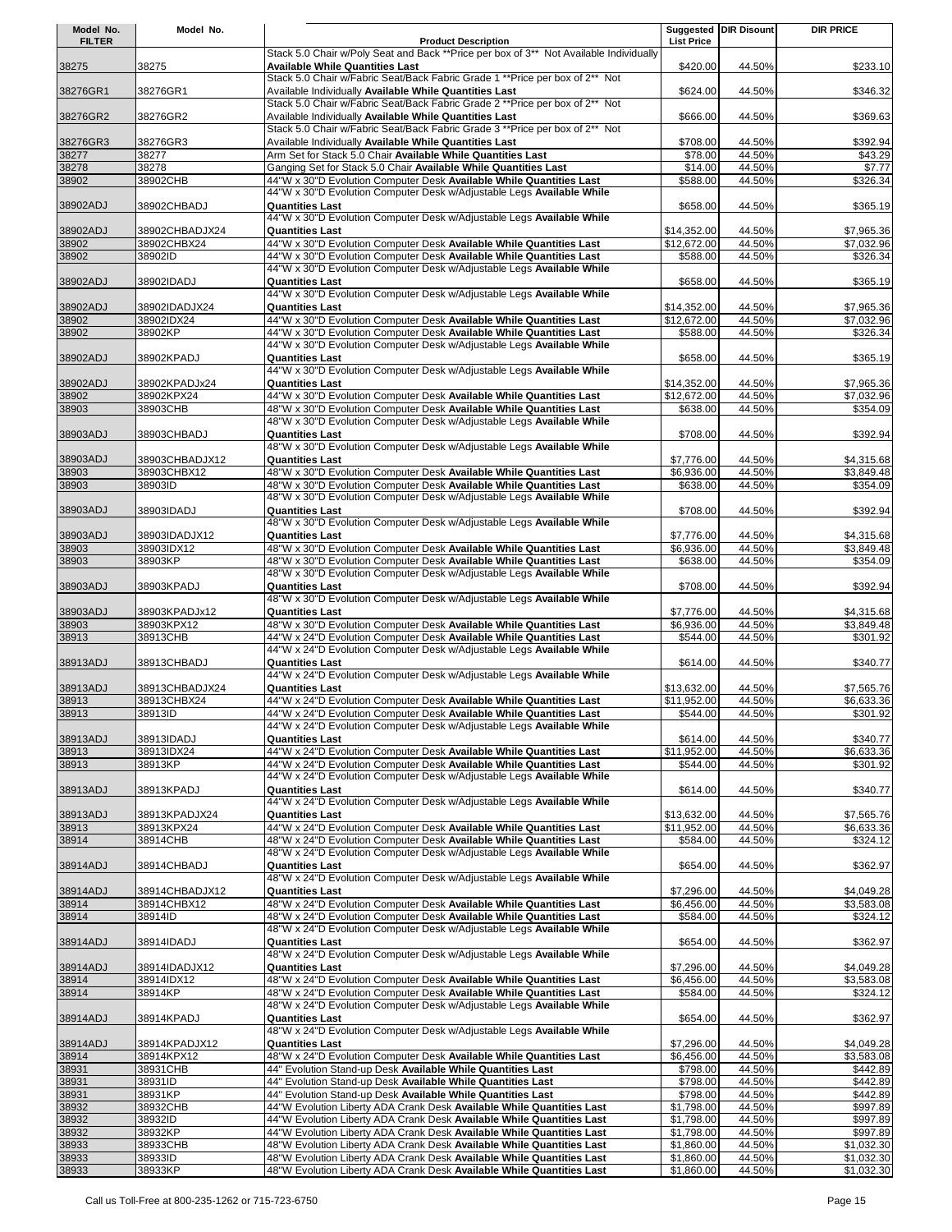| Model No.         | Model No.                   |                                                                                                                                              |                          | Suggested DIR Disount | <b>DIR PRICE</b>         |
|-------------------|-----------------------------|----------------------------------------------------------------------------------------------------------------------------------------------|--------------------------|-----------------------|--------------------------|
| <b>FILTER</b>     |                             | <b>Product Description</b>                                                                                                                   | <b>List Price</b>        |                       |                          |
|                   | 38275                       | Stack 5.0 Chair w/Poly Seat and Back ** Price per box of 3** Not Available Individually<br><b>Available While Quantities Last</b>            | \$420.00                 | 44.50%                | \$233.10                 |
| 38275             |                             | Stack 5.0 Chair w/Fabric Seat/Back Fabric Grade 1 ** Price per box of 2** Not                                                                |                          |                       |                          |
| 38276GR1          | 38276GR1                    | Available Individually Available While Quantities Last                                                                                       | \$624.00                 | 44.50%                | \$346.32                 |
|                   |                             | Stack 5.0 Chair w/Fabric Seat/Back Fabric Grade 2 ** Price per box of 2** Not                                                                |                          |                       |                          |
| 38276GR2          | 38276GR2                    | Available Individually Available While Quantities Last                                                                                       | \$666.00                 | 44.50%                | \$369.63                 |
|                   |                             | Stack 5.0 Chair w/Fabric Seat/Back Fabric Grade 3 ** Price per box of 2** Not                                                                |                          |                       |                          |
| 38276GR3          | 38276GR3                    | Available Individually Available While Quantities Last<br>Arm Set for Stack 5.0 Chair Available While Quantities Last                        | \$708.00                 | 44.50%<br>44.50%      | \$392.94                 |
| 38277<br>38278    | 38277<br>38278              | Ganging Set for Stack 5.0 Chair Available While Quantities Last                                                                              | \$78.00<br>\$14.00       | 44.50%                | \$43.29<br>\$7.77        |
| 38902             | 38902CHB                    | 44"W x 30"D Evolution Computer Desk Available While Quantities Last                                                                          | \$588.00                 | 44.50%                | \$326.34                 |
|                   |                             | 44"W x 30"D Evolution Computer Desk w/Adjustable Legs Available While                                                                        |                          |                       |                          |
| 38902ADJ          | 38902CHBADJ                 | <b>Quantities Last</b>                                                                                                                       | \$658.00                 | 44.50%                | \$365.19                 |
|                   |                             | 44"W x 30"D Evolution Computer Desk w/Adjustable Legs Available While                                                                        |                          |                       |                          |
| 38902ADJ          | 38902CHBADJX24              | <b>Quantities Last</b>                                                                                                                       | \$14,352.00              | 44.50%                | \$7,965.36               |
| 38902             | 38902CHBX24                 | 44"W x 30"D Evolution Computer Desk Available While Quantities Last                                                                          | \$12,672.00              | 44.50%                | \$7,032.96               |
| 38902             | 38902ID                     | 44"W x 30"D Evolution Computer Desk Available While Quantities Last<br>44"W x 30"D Evolution Computer Desk w/Adjustable Legs Available While | \$588.00                 | 44.50%                | \$326.34                 |
| 38902ADJ          | 38902IDADJ                  | <b>Quantities Last</b>                                                                                                                       | \$658.00                 | 44.50%                | \$365.19                 |
|                   |                             | 44"W x 30"D Evolution Computer Desk w/Adjustable Legs Available While                                                                        |                          |                       |                          |
| 38902ADJ          | 38902IDADJX24               | <b>Quantities Last</b>                                                                                                                       | \$14,352.00              | 44.50%                | \$7,965.36               |
| 38902             | 38902IDX24                  | 44"W x 30"D Evolution Computer Desk Available While Quantities Last                                                                          | \$12,672.00              | 44.50%                | \$7,032.96               |
| 38902             | 38902KP                     | 44"W x 30"D Evolution Computer Desk Available While Quantities Last                                                                          | \$588.00                 | 44.50%                | \$326.34                 |
|                   |                             | 44"W x 30"D Evolution Computer Desk w/Adjustable Legs Available While                                                                        |                          |                       |                          |
| 38902ADJ          | 38902KPADJ                  | <b>Quantities Last</b>                                                                                                                       | \$658.00                 | 44.50%                | \$365.19                 |
|                   |                             | 44"W x 30"D Evolution Computer Desk w/Adjustable Legs Available While                                                                        |                          |                       |                          |
| 38902ADJ          | 38902KPADJx24               | <b>Quantities Last</b><br>44"W x 30"D Evolution Computer Desk Available While Quantities Last                                                | \$14,352.00              | 44.50%<br>44.50%      | \$7,965.36               |
| 38902<br>38903    | 38902KPX24<br>38903CHB      | 48"W x 30"D Evolution Computer Desk Available While Quantities Last                                                                          | \$12,672.00<br>\$638.00  | 44.50%                | \$7,032.96<br>\$354.09   |
|                   |                             | 48"W x 30"D Evolution Computer Desk w/Adjustable Legs Available While                                                                        |                          |                       |                          |
| 38903ADJ          | 38903CHBADJ                 | <b>Quantities Last</b>                                                                                                                       | \$708.00                 | 44.50%                | \$392.94                 |
|                   |                             | 48"W x 30"D Evolution Computer Desk w/Adjustable Legs Available While                                                                        |                          |                       |                          |
| 38903ADJ          | 38903CHBADJX12              | <b>Quantities Last</b>                                                                                                                       | \$7,776.00               | 44.50%                | \$4,315.68               |
| 38903             | 38903CHBX12                 | 48"W x 30"D Evolution Computer Desk Available While Quantities Last                                                                          | \$6,936.00               | 44.50%                | \$3,849.48               |
| 38903             | 38903ID                     | 48"W x 30"D Evolution Computer Desk Available While Quantities Last                                                                          | \$638.00                 | 44.50%                | \$354.09                 |
|                   |                             | 48"W x 30"D Evolution Computer Desk w/Adjustable Legs Available While                                                                        |                          |                       |                          |
| 38903ADJ          | 38903IDADJ                  | <b>Quantities Last</b>                                                                                                                       | \$708.00                 | 44.50%                | \$392.94                 |
|                   |                             | 48"W x 30"D Evolution Computer Desk w/Adjustable Legs Available While                                                                        |                          |                       |                          |
| 38903ADJ<br>38903 | 38903IDADJX12<br>38903IDX12 | <b>Quantities Last</b><br>48"W x 30"D Evolution Computer Desk Available While Quantities Last                                                | \$7,776.00<br>\$6,936.00 | 44.50%<br>44.50%      | \$4,315.68<br>\$3,849.48 |
| 38903             | 38903KP                     | 48"W x 30"D Evolution Computer Desk Available While Quantities Last                                                                          | \$638.00                 | 44.50%                | \$354.09                 |
|                   |                             | 48"W x 30"D Evolution Computer Desk w/Adjustable Legs Available While                                                                        |                          |                       |                          |
| 38903ADJ          | 38903KPADJ                  | <b>Quantities Last</b>                                                                                                                       | \$708.00                 | 44.50%                | \$392.94                 |
|                   |                             | 48"W x 30"D Evolution Computer Desk w/Adjustable Legs Available While                                                                        |                          |                       |                          |
| 38903ADJ          | 38903KPADJx12               | <b>Quantities Last</b>                                                                                                                       | \$7,776.00               | 44.50%                | \$4,315.68               |
| 38903             | 38903KPX12                  | 48"W x 30"D Evolution Computer Desk Available While Quantities Last                                                                          | \$6,936.00               | 44.50%                | \$3,849.48               |
| 38913             | 38913CHB                    | 44"W x 24"D Evolution Computer Desk Available While Quantities Last                                                                          | \$544.00                 | 44.50%                | \$301.92                 |
|                   |                             | 44"W x 24"D Evolution Computer Desk w/Adjustable Legs Available While                                                                        |                          |                       |                          |
| 38913ADJ          | 38913CHBADJ                 | <b>Quantities Last</b><br>44"W x 24"D Evolution Computer Desk w/Adjustable Legs Available While                                              | \$614.00                 | 44.50%                | \$340.77                 |
| 38913ADJ          | 38913CHBADJX24              | <b>Quantities Last</b>                                                                                                                       | \$13,632.00              | 44.50%                | \$7,565.76               |
| 38913             | 38913CHBX24                 | 44"W x 24"D Evolution Computer Desk Available While Quantities Last                                                                          | \$11,952.00              | 44.50%                | \$6,633.36               |
| 38913             | 38913ID                     | 44"W x 24"D Evolution Computer Desk Available While Quantities Last                                                                          | \$544.00                 | 44.50%                | \$301.92                 |
|                   |                             | 44"W x 24"D Evolution Computer Desk w/Adjustable Legs Available While                                                                        |                          |                       |                          |
| 38913ADJ          | 38913IDADJ                  | <b>Quantities Last</b>                                                                                                                       | \$614.00                 | 44.50%                | \$340.77                 |
| 38913             | 38913IDX24                  | 44"W x 24"D Evolution Computer Desk Available While Quantities Last                                                                          | \$11.952.00              | 44.50%                | \$6,633.36               |
| 38913             | 38913KP                     | 44"W x 24"D Evolution Computer Desk Available While Quantities Last<br>44"W x 24"D Evolution Computer Desk w/Adjustable Legs Available While | \$544.00                 | 44.50%                | \$301.92                 |
|                   |                             | <b>Quantities Last</b>                                                                                                                       | \$614.00                 |                       |                          |
| 38913ADJ          | 38913KPADJ                  | 44"W x 24"D Evolution Computer Desk w/Adjustable Legs Available While                                                                        |                          | 44.50%                | \$340.77                 |
| 38913ADJ          | 38913KPADJX24               | <b>Quantities Last</b>                                                                                                                       | \$13,632.00              | 44.50%                | \$7,565.76               |
| 38913             | 38913KPX24                  | 44"W x 24"D Evolution Computer Desk Available While Quantities Last                                                                          | \$11,952.00              | 44.50%                | \$6,633.36               |
| 38914             | 38914CHB                    | 48"W x 24"D Evolution Computer Desk Available While Quantities Last                                                                          | \$584.00                 | 44.50%                | \$324.12                 |
|                   |                             | 48"W x 24"D Evolution Computer Desk w/Adjustable Legs Available While                                                                        |                          |                       |                          |
| 38914ADJ          | 38914CHBADJ                 | <b>Quantities Last</b>                                                                                                                       | \$654.00                 | 44.50%                | \$362.97                 |
|                   |                             | 48"W x 24"D Evolution Computer Desk w/Adjustable Legs Available While                                                                        |                          |                       |                          |
| 38914ADJ          | 38914CHBADJX12              | <b>Quantities Last</b>                                                                                                                       | \$7,296.00               | 44.50%                | \$4,049.28               |
| 38914             | 38914CHBX12<br>38914ID      | 48"W x 24"D Evolution Computer Desk Available While Quantities Last                                                                          | \$6,456.00               | 44.50%                | \$3,583.08               |
| 38914             |                             | 48"W x 24"D Evolution Computer Desk Available While Quantities Last<br>48"W x 24"D Evolution Computer Desk w/Adjustable Legs Available While | \$584.00                 | 44.50%                | \$324.12                 |
| 38914ADJ          | 38914IDADJ                  | <b>Quantities Last</b>                                                                                                                       | \$654.00                 | 44.50%                | \$362.97                 |
|                   |                             | 48"W x 24"D Evolution Computer Desk w/Adjustable Legs Available While                                                                        |                          |                       |                          |
| 38914ADJ          | 38914IDADJX12               | <b>Quantities Last</b>                                                                                                                       | \$7,296.00               | 44.50%                | \$4,049.28               |
| 38914             | 38914IDX12                  | 48"W x 24"D Evolution Computer Desk Available While Quantities Last                                                                          | \$6,456.00               | 44.50%                | $\overline{$3,583.08}$   |
| 38914             | 38914KP                     | 48"W x 24"D Evolution Computer Desk Available While Quantities Last                                                                          | \$584.00                 | 44.50%                | \$324.12                 |
|                   |                             | 48"W x 24"D Evolution Computer Desk w/Adjustable Legs Available While                                                                        |                          |                       |                          |
| 38914ADJ          | 38914KPADJ                  | <b>Quantities Last</b>                                                                                                                       | \$654.00                 | 44.50%                | \$362.97                 |
|                   |                             | 48"W x 24"D Evolution Computer Desk w/Adjustable Legs Available While                                                                        |                          |                       |                          |
| 38914ADJ<br>38914 | 38914KPADJX12<br>38914KPX12 | <b>Quantities Last</b><br>48"W x 24"D Evolution Computer Desk Available While Quantities Last                                                | \$7,296.00<br>\$6,456.00 | 44.50%<br>44.50%      | \$4,049.28<br>\$3,583.08 |
| 38931             | 38931CHB                    | 44" Evolution Stand-up Desk Available While Quantities Last                                                                                  | \$798.00                 | 44.50%                | \$442.89                 |
| 38931             | 38931ID                     | 44" Evolution Stand-up Desk Available While Quantities Last                                                                                  | \$798.00                 | 44.50%                | \$442.89                 |
| 38931             | 38931KP                     | 44" Evolution Stand-up Desk Available While Quantities Last                                                                                  | \$798.00                 | 44.50%                | \$442.89                 |
| 38932             | 38932CHB                    | 44"W Evolution Liberty ADA Crank Desk Available While Quantities Last                                                                        | \$1,798.00               | 44.50%                | \$997.89                 |
| 38932             | 38932ID                     | 44"W Evolution Liberty ADA Crank Desk Available While Quantities Last                                                                        | \$1,798.00               | 44.50%                | \$997.89                 |
| 38932             | 38932KP                     | 44"W Evolution Liberty ADA Crank Desk Available While Quantities Last                                                                        | \$1,798.00               | 44.50%                | \$997.89                 |
| 38933             | 38933CHB                    | 48"W Evolution Liberty ADA Crank Desk Available While Quantities Last                                                                        | \$1,860.00               | 44.50%                | \$1,032.30               |
| 38933             | 38933ID                     | 48"W Evolution Liberty ADA Crank Desk Available While Quantities Last                                                                        | \$1,860.00               | 44.50%                | \$1,032.30               |
| 38933             | 38933KP                     | 48"W Evolution Liberty ADA Crank Desk Available While Quantities Last                                                                        | \$1,860.00               | 44.50%                | \$1,032.30               |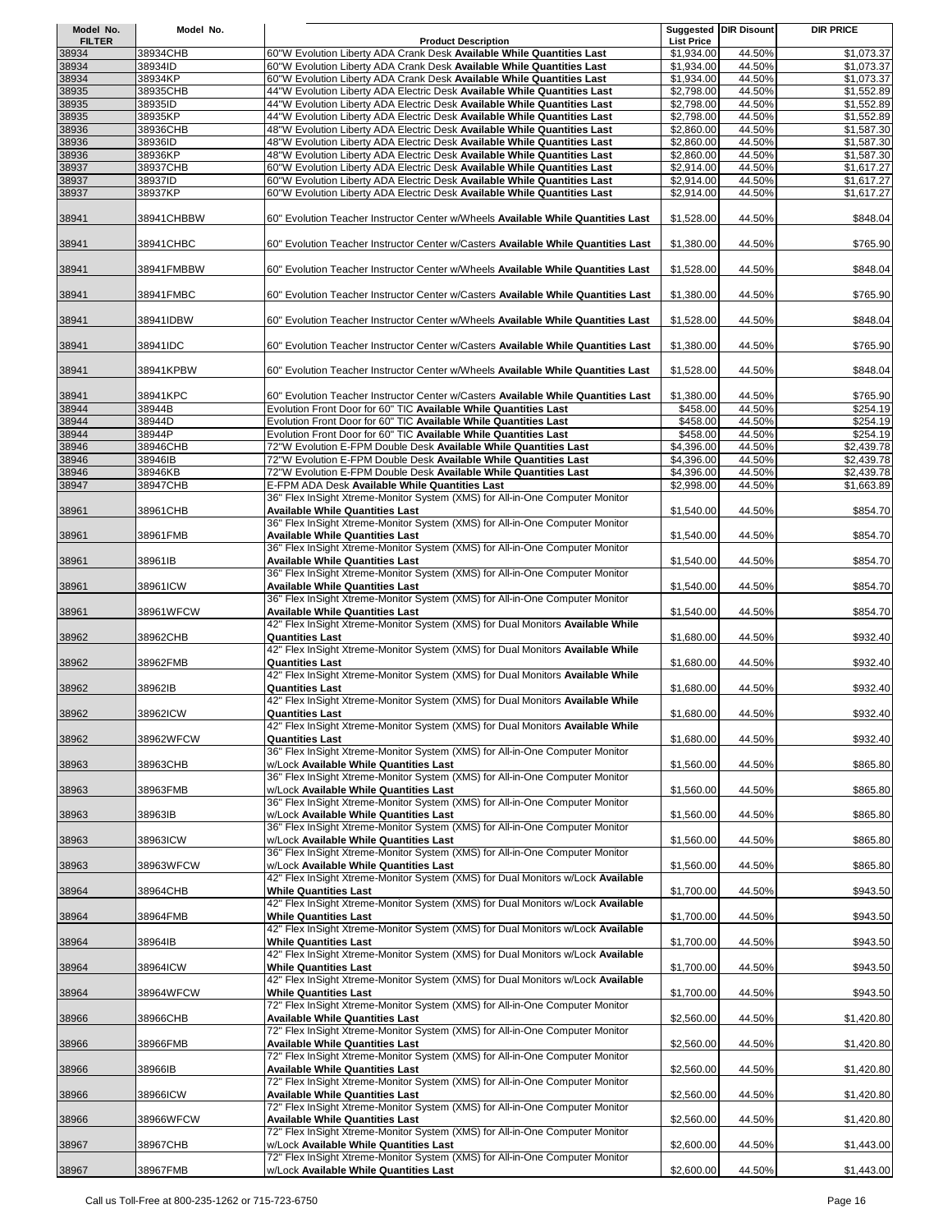| Model No.              | Model No.           |                                                                                                                                                                                                          |                                 | <b>Suggested DIR Disount</b> | <b>DIR PRICE</b>         |
|------------------------|---------------------|----------------------------------------------------------------------------------------------------------------------------------------------------------------------------------------------------------|---------------------------------|------------------------------|--------------------------|
| <b>FILTER</b><br>38934 | 38934CHB            | <b>Product Description</b><br>60"W Evolution Liberty ADA Crank Desk Available While Quantities Last                                                                                                      | <b>List Price</b><br>\$1,934.00 | 44.50%                       | \$1,073.37               |
| 38934                  | 38934ID             | 60"W Evolution Liberty ADA Crank Desk Available While Quantities Last                                                                                                                                    | \$1,934.00                      | 44.50%                       | \$1,073.37               |
| 38934<br>38935         | 38934KP<br>38935CHB | 60"W Evolution Liberty ADA Crank Desk Available While Quantities Last<br>44"W Evolution Liberty ADA Electric Desk Available While Quantities Last                                                        | \$1,934.00<br>\$2,798.00        | 44.50%<br>44.50%             | \$1,073.37<br>\$1,552.89 |
| 38935                  | 38935ID             | 44"W Evolution Liberty ADA Electric Desk Available While Quantities Last                                                                                                                                 | \$2,798.00                      | 44.50%                       | \$1,552.89               |
| 38935<br>38936         | 38935KP<br>38936CHB | 44"W Evolution Liberty ADA Electric Desk Available While Quantities Last<br>48"W Evolution Liberty ADA Electric Desk Available While Quantities Last                                                     | \$2,798.00<br>\$2,860.00        | 44.50%<br>44.50%             | \$1,552.89<br>\$1,587.30 |
| 38936                  | 38936ID             | 48"W Evolution Liberty ADA Electric Desk Available While Quantities Last                                                                                                                                 | \$2,860.00                      | 44.50%                       | \$1,587.30               |
| 38936                  | 38936KP             | 48"W Evolution Liberty ADA Electric Desk Available While Quantities Last                                                                                                                                 | \$2,860.00                      | 44.50%                       | \$1,587.30               |
| 38937<br>38937         | 38937CHB<br>38937ID | 60"W Evolution Liberty ADA Electric Desk Available While Quantities Last<br>60"W Evolution Liberty ADA Electric Desk Available While Quantities Last                                                     | \$2,914.00<br>\$2,914.00        | 44.50%<br>44.50%             | \$1,617.27<br>\$1,617.27 |
| 38937                  | 38937KP             | 60"W Evolution Liberty ADA Electric Desk Available While Quantities Last                                                                                                                                 | \$2,914.00                      | 44.50%                       | \$1,617.27               |
| 38941                  | 38941CHBBW          | 60" Evolution Teacher Instructor Center w/Wheels Available While Quantities Last                                                                                                                         | \$1,528.00                      | 44.50%                       | \$848.04                 |
| 38941                  | 38941CHBC           | 60" Evolution Teacher Instructor Center w/Casters Available While Quantities Last                                                                                                                        | \$1,380.00                      | 44.50%                       | \$765.90                 |
| 38941                  | 38941FMBBW          | 60" Evolution Teacher Instructor Center w/Wheels Available While Quantities Last                                                                                                                         | \$1,528.00                      | 44.50%                       | \$848.04                 |
| 38941                  | 38941FMBC           | 60" Evolution Teacher Instructor Center w/Casters Available While Quantities Last                                                                                                                        | \$1,380.00                      | 44.50%                       | \$765.90                 |
| 38941                  | 38941IDBW           | 60" Evolution Teacher Instructor Center w/Wheels Available While Quantities Last                                                                                                                         | \$1,528.00                      | 44.50%                       | \$848.04                 |
| 38941                  | 38941IDC            | 60" Evolution Teacher Instructor Center w/Casters Available While Quantities Last                                                                                                                        | \$1,380.00                      | 44.50%                       | \$765.90                 |
| 38941                  | 38941KPBW           | 60" Evolution Teacher Instructor Center w/Wheels Available While Quantities Last                                                                                                                         | \$1,528.00                      | 44.50%                       | \$848.04                 |
| 38941                  | 38941KPC            | 60" Evolution Teacher Instructor Center w/Casters Available While Quantities Last                                                                                                                        | \$1,380.00                      | 44.50%                       | \$765.90                 |
| 38944<br>38944         | 38944B<br>38944D    | Evolution Front Door for 60" TIC Available While Quantities Last<br>Evolution Front Door for 60" TIC Available While Quantities Last                                                                     | \$458.00<br>\$458.00            | 44.50%<br>44.50%             | \$254.19<br>\$254.19     |
| 38944                  | 38944P              | Evolution Front Door for 60" TIC Available While Quantities Last                                                                                                                                         | \$458.00                        | 44.50%                       | \$254.19                 |
| 38946                  | 38946CHB            | 72"W Evolution E-FPM Double Desk Available While Quantities Last                                                                                                                                         | \$4,396.00                      | 44.50%                       | \$2,439.78               |
| 38946<br>38946         | 38946IB<br>38946KB  | 72"W Evolution E-FPM Double Desk Available While Quantities Last<br>72"W Evolution E-FPM Double Desk Available While Quantities Last                                                                     | \$4,396.00<br>\$4,396.00        | 44.50%<br>44.50%             | \$2,439.78<br>\$2,439.78 |
| 38947                  | 38947CHB            | E-FPM ADA Desk Available While Quantities Last                                                                                                                                                           | \$2,998.00                      | 44.50%                       | \$1,663.89               |
| 38961                  | 38961CHB            | 36" Flex InSight Xtreme-Monitor System (XMS) for All-in-One Computer Monitor<br><b>Available While Quantities Last</b>                                                                                   | \$1,540.00                      | 44.50%                       | \$854.70                 |
| 38961                  | 38961FMB            | 36" Flex InSight Xtreme-Monitor System (XMS) for All-in-One Computer Monitor<br><b>Available While Quantities Last</b>                                                                                   | \$1,540.00                      | 44.50%                       | \$854.70                 |
| 38961                  | 38961IB             | 36" Flex InSight Xtreme-Monitor System (XMS) for All-in-One Computer Monitor<br><b>Available While Quantities Last</b>                                                                                   | \$1,540.00                      | 44.50%                       | \$854.70                 |
| 38961                  | 38961ICW            | 36" Flex InSight Xtreme-Monitor System (XMS) for All-in-One Computer Monitor<br><b>Available While Quantities Last</b>                                                                                   | \$1,540.00                      | 44.50%                       | \$854.70                 |
| 38961                  | 38961WFCW           | 36" Flex InSight Xtreme-Monitor System (XMS) for All-in-One Computer Monitor<br><b>Available While Quantities Last</b><br>42" Flex InSight Xtreme-Monitor System (XMS) for Dual Monitors Available While | \$1,540.00                      | 44.50%                       | \$854.70                 |
| 38962                  | 38962CHB            | <b>Quantities Last</b><br>42" Flex InSight Xtreme-Monitor System (XMS) for Dual Monitors Available While                                                                                                 | \$1,680.00                      | 44.50%                       | \$932.40                 |
| 38962                  | 38962FMB            | <b>Quantities Last</b><br>42" Flex InSight Xtreme-Monitor System (XMS) for Dual Monitors Available While                                                                                                 | \$1,680.00                      | 44.50%                       | \$932.40                 |
| 38962                  | 38962IB             | <b>Quantities Last</b><br>42" Flex InSight Xtreme-Monitor System (XMS) for Dual Monitors Available While                                                                                                 | \$1,680.00                      | 44.50%                       | \$932.40                 |
| 38962                  | 38962ICW            | <b>Quantities Last</b><br>42" Flex InSight Xtreme-Monitor System (XMS) for Dual Monitors Available While                                                                                                 | \$1,680.00                      | 44.50%                       | \$932.40                 |
| 38962                  | 38962WFCW           | <b>Quantities Last</b><br>36" Flex InSight Xtreme-Monitor System (XMS) for All-in-One Computer Monitor                                                                                                   | \$1,680.00                      | 44.50%                       | \$932.40                 |
| 38963                  | 38963CHB            | w/Lock Available While Quantities Last<br>36" Flex InSight Xtreme-Monitor System (XMS) for All-in-One Computer Monitor                                                                                   | \$1,560.00                      | 44.50%                       | \$865.80                 |
| 38963                  | 38963FMB            | w/Lock Available While Quantities Last<br>36" Flex InSight Xtreme-Monitor System (XMS) for All-in-One Computer Monitor                                                                                   | \$1,560.00                      | 44.50%                       | \$865.80                 |
| 38963                  | 38963IB             | w/Lock Available While Quantities Last<br>36" Flex InSight Xtreme-Monitor System (XMS) for All-in-One Computer Monitor                                                                                   | \$1,560.00                      | 44.50%                       | \$865.80                 |
| 38963                  | 38963ICW            | w/Lock Available While Quantities Last<br>36" Flex InSight Xtreme-Monitor System (XMS) for All-in-One Computer Monitor                                                                                   | \$1,560.00                      | 44.50%                       | \$865.80                 |
| 38963                  | 38963WFCW           | w/Lock Available While Quantities Last<br>42" Flex InSight Xtreme-Monitor System (XMS) for Dual Monitors w/Lock Available                                                                                | \$1,560.00                      | 44.50%                       | \$865.80                 |
| 38964                  | 38964CHB            | <b>While Quantities Last</b><br>42" Flex InSight Xtreme-Monitor System (XMS) for Dual Monitors w/Lock Available                                                                                          | \$1,700.00                      | 44.50%                       | \$943.50                 |
| 38964                  | 38964FMB            | <b>While Quantities Last</b><br>42" Flex InSight Xtreme-Monitor System (XMS) for Dual Monitors w/Lock Available                                                                                          | \$1,700.00                      | 44.50%                       | \$943.50                 |
| 38964                  | 38964IB             | <b>While Quantities Last</b><br>42" Flex InSight Xtreme-Monitor System (XMS) for Dual Monitors w/Lock Available                                                                                          | \$1,700.00                      | 44.50%                       | \$943.50                 |
| 38964                  | 38964ICW            | <b>While Quantities Last</b><br>42" Flex InSight Xtreme-Monitor System (XMS) for Dual Monitors w/Lock Available                                                                                          | \$1,700.00                      | 44.50%                       | \$943.50                 |
| 38964                  | 38964WFCW           | <b>While Quantities Last</b><br>72" Flex InSight Xtreme-Monitor System (XMS) for All-in-One Computer Monitor                                                                                             | \$1,700.00                      | 44.50%                       | \$943.50                 |
| 38966                  | 38966CHB            | <b>Available While Quantities Last</b><br>72" Flex InSight Xtreme-Monitor System (XMS) for All-in-One Computer Monitor                                                                                   | \$2,560.00                      | 44.50%                       | \$1,420.80               |
| 38966                  | 38966FMB            | <b>Available While Quantities Last</b><br>72" Flex InSight Xtreme-Monitor System (XMS) for All-in-One Computer Monitor                                                                                   | \$2,560.00                      | 44.50%                       | \$1,420.80               |
| 38966                  | 38966IB             | <b>Available While Quantities Last</b><br>72" Flex InSight Xtreme-Monitor System (XMS) for All-in-One Computer Monitor                                                                                   | \$2,560.00                      | 44.50%                       | \$1,420.80               |
| 38966                  | 38966ICW            | <b>Available While Quantities Last</b><br>72" Flex InSight Xtreme-Monitor System (XMS) for All-in-One Computer Monitor                                                                                   | \$2,560.00                      | 44.50%                       | \$1,420.80               |
| 38966                  | 38966WFCW           | <b>Available While Quantities Last</b><br>72" Flex InSight Xtreme-Monitor System (XMS) for All-in-One Computer Monitor                                                                                   | \$2,560.00                      | 44.50%                       | \$1,420.80               |
| 38967                  | 38967CHB            | w/Lock Available While Quantities Last<br>72" Flex InSight Xtreme-Monitor System (XMS) for All-in-One Computer Monitor                                                                                   | \$2,600.00                      | 44.50%                       | \$1,443.00               |
| 38967                  | 38967FMB            | w/Lock Available While Quantities Last                                                                                                                                                                   | \$2,600.00                      | 44.50%                       | \$1,443.00               |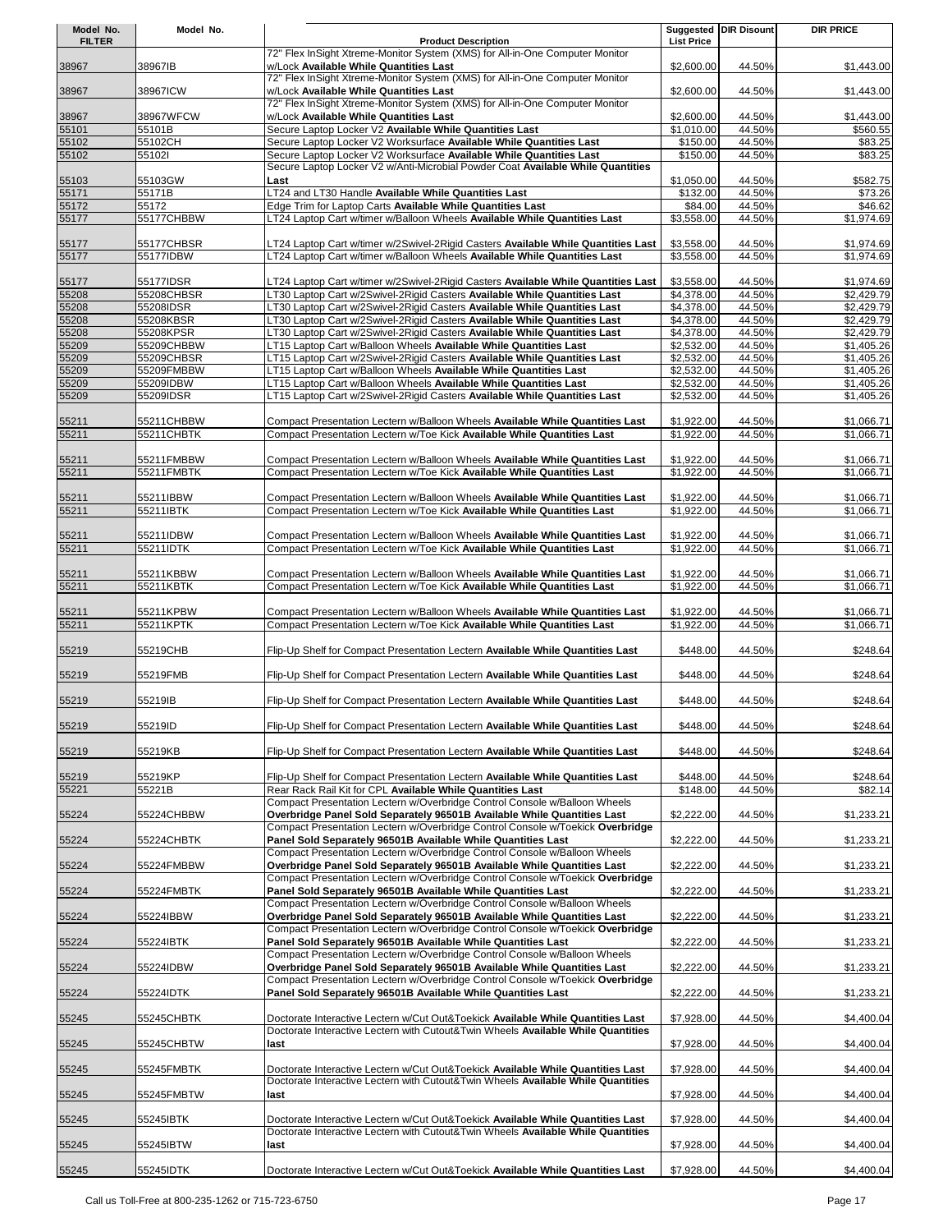| Model No.      | Model No.                |                                                                                                                                                                     |                                   | <b>Suggested DIR Disount</b> | DIR PRICE                |
|----------------|--------------------------|---------------------------------------------------------------------------------------------------------------------------------------------------------------------|-----------------------------------|------------------------------|--------------------------|
| <b>FILTER</b>  |                          | <b>Product Description</b><br>72" Flex InSight Xtreme-Monitor System (XMS) for All-in-One Computer Monitor                                                          | <b>List Price</b>                 |                              |                          |
| 38967          | 38967IB                  | w/Lock Available While Quantities Last                                                                                                                              | \$2,600.00                        | 44.50%                       | \$1,443.00               |
| 38967          | 38967ICW                 | 72" Flex InSight Xtreme-Monitor System (XMS) for All-in-One Computer Monitor<br>w/Lock Available While Quantities Last                                              | \$2,600.00                        | 44.50%                       | \$1,443.00               |
|                |                          | 72" Flex InSight Xtreme-Monitor System (XMS) for All-in-One Computer Monitor                                                                                        |                                   |                              |                          |
| 38967<br>55101 | 38967WFCW<br>55101B      | w/Lock Available While Quantities Last<br>Secure Laptop Locker V2 Available While Quantities Last                                                                   | \$2,600.00<br>\$1,010.00          | 44.50%<br>44.50%             | \$1,443.00<br>\$560.55   |
| 55102          | 55102CH                  | Secure Laptop Locker V2 Worksurface Available While Quantities Last                                                                                                 | \$150.00                          | 44.50%                       | \$83.25                  |
| 55102          | 55102l                   | Secure Laptop Locker V2 Worksurface Available While Quantities Last                                                                                                 | \$150.00                          | 44.50%                       | \$83.25                  |
| 55103          | 55103GW                  | Secure Laptop Locker V2 w/Anti-Microbial Powder Coat Available While Quantities<br>Last                                                                             | \$1,050.00                        | 44.50%                       | \$582.75                 |
| 55171          | 55171B                   | LT24 and LT30 Handle Available While Quantities Last                                                                                                                | \$132.00                          | 44.50%                       | \$73.26                  |
| 55172<br>55177 | 55172<br>55177CHBBW      | Edge Trim for Laptop Carts Available While Quantities Last<br>LT24 Laptop Cart w/timer w/Balloon Wheels Available While Quantities Last                             | \$84.00<br>$\overline{$3,558.00}$ | 44.50%<br>44.50%             | \$46.62<br>\$1.974.69    |
|                |                          |                                                                                                                                                                     |                                   |                              |                          |
| 55177          | 55177CHBSR               | LT24 Laptop Cart w/timer w/2Swivel-2Rigid Casters Available While Quantities Last                                                                                   | \$3,558.00                        | 44.50%                       | \$1,974.69               |
| 55177          | 55177IDBW                | LT24 Laptop Cart w/timer w/Balloon Wheels Available While Quantities Last                                                                                           | \$3,558.00                        | 44.50%                       | \$1,974.69               |
| 55177          | 55177IDSR                | LT24 Laptop Cart w/timer w/2Swivel-2Rigid Casters Available While Quantities Last                                                                                   | \$3,558.00                        | 44.50%                       | \$1,974.69               |
| 55208<br>55208 | 55208CHBSR<br>55208IDSR  | LT30 Laptop Cart w/2Swivel-2Rigid Casters Available While Quantities Last<br>LT30 Laptop Cart w/2Swivel-2Rigid Casters Available While Quantities Last              | \$4,378.00<br>\$4,378.00          | 44.50%<br>44.50%             | \$2,429.79<br>\$2,429.79 |
| 55208          | 55208KBSR                | LT30 Laptop Cart w/2Swivel-2Rigid Casters Available While Quantities Last                                                                                           | \$4,378.00                        | 44.50%                       | \$2,429.79               |
| 55208          | 55208KPSR                | LT30 Laptop Cart w/2Swivel-2Rigid Casters Available While Quantities Last                                                                                           | \$4,378.00                        | 44.50%                       | \$2,429.79               |
| 55209          | 55209CHBBW               | LT15 Laptop Cart w/Balloon Wheels Available While Quantities Last                                                                                                   | \$2,532.00                        | 44.50%                       | \$1,405.26<br>\$1,405.26 |
| 55209<br>55209 | 55209CHBSR<br>55209FMBBW | LT15 Laptop Cart w/2Swivel-2Rigid Casters Available While Quantities Last<br>LT15 Laptop Cart w/Balloon Wheels Available While Quantities Last                      | \$2,532.00<br>\$2,532.00          | 44.50%<br>44.50%             | \$1,405.26               |
| 55209          | 55209IDBW                | LT15 Laptop Cart w/Balloon Wheels Available While Quantities Last                                                                                                   | \$2,532.00                        | 44.50%                       | \$1,405.26               |
| 55209          | 55209IDSR                | LT15 Laptop Cart w/2Swivel-2Rigid Casters Available While Quantities Last                                                                                           | \$2,532.00                        | 44.50%                       | \$1,405.26               |
| 55211          | 55211CHBBW               | Compact Presentation Lectern w/Balloon Wheels Available While Quantities Last                                                                                       | \$1,922.00                        | 44.50%                       | \$1,066.71               |
| 55211          | 55211CHBTK               | Compact Presentation Lectern w/Toe Kick Available While Quantities Last                                                                                             | \$1,922.00                        | 44.50%                       | \$1,066.71               |
| 55211          | 55211FMBBW               | Compact Presentation Lectern w/Balloon Wheels Available While Quantities Last                                                                                       | \$1,922.00                        | 44.50%                       | \$1,066.71               |
| 55211          | 55211FMBTK               | Compact Presentation Lectern w/Toe Kick Available While Quantities Last                                                                                             | \$1,922.00                        | 44.50%                       | \$1,066.71               |
|                |                          |                                                                                                                                                                     |                                   |                              |                          |
| 55211<br>55211 | 55211IBBW<br>55211IBTK   | Compact Presentation Lectern w/Balloon Wheels Available While Quantities Last<br>Compact Presentation Lectern w/Toe Kick Available While Quantities Last            | \$1,922.00<br>\$1,922.00          | 44.50%<br>44.50%             | \$1,066.71<br>\$1,066.71 |
|                |                          |                                                                                                                                                                     |                                   |                              |                          |
| 55211          | 55211IDBW                | Compact Presentation Lectern w/Balloon Wheels Available While Quantities Last                                                                                       | \$1,922.00                        | 44.50%                       | \$1,066.71               |
| 55211          | 55211IDTK                | Compact Presentation Lectern w/Toe Kick Available While Quantities Last                                                                                             | \$1,922.00                        | 44.50%                       | \$1,066.71               |
| 55211          | 55211KBBW                | Compact Presentation Lectern w/Balloon Wheels Available While Quantities Last                                                                                       | \$1,922.00                        | 44.50%                       | \$1,066.71               |
| 55211          | 55211KBTK                | Compact Presentation Lectern w/Toe Kick Available While Quantities Last                                                                                             | \$1,922.00                        | 44.50%                       | \$1,066.71               |
| 55211          | 55211KPBW                | Compact Presentation Lectern w/Balloon Wheels Available While Quantities Last                                                                                       | \$1,922.00                        | 44.50%                       | \$1,066.71               |
| 55211          | 55211KPTK                | Compact Presentation Lectern w/Toe Kick Available While Quantities Last                                                                                             | \$1,922.00                        | 44.50%                       | \$1.066.71               |
| 55219          | 55219CHB                 | Flip-Up Shelf for Compact Presentation Lectern Available While Quantities Last                                                                                      | \$448.00                          | 44.50%                       | \$248.64                 |
|                |                          |                                                                                                                                                                     |                                   |                              |                          |
| 55219          | 55219FMB                 | Flip-Up Shelf for Compact Presentation Lectern Available While Quantities Last                                                                                      | \$448.00                          | 44.50%                       | \$248.64                 |
| 55219          | 55219IB                  | Flip-Up Shelf for Compact Presentation Lectern Available While Quantities Last                                                                                      | \$448.00                          | 44.50%                       | \$248.64                 |
| 55219          | 55219ID                  | Flip-Up Shelf for Compact Presentation Lectern Available While Quantities Last                                                                                      | \$448.00                          | 44.50%                       | \$248.64                 |
|                |                          |                                                                                                                                                                     |                                   |                              |                          |
| 55219          | 55219KB                  | Flip-Up Shelf for Compact Presentation Lectern Available While Quantities Last                                                                                      | \$448.00                          | 44.50%                       | \$248.64                 |
| 55219          | 55219KP                  | Flip-Up Shelf for Compact Presentation Lectern Available While Quantities Last                                                                                      | \$448.00                          | 44.50%                       | \$248.64                 |
| 55221          | 55221B                   | Rear Rack Rail Kit for CPL Available While Quantities Last                                                                                                          | \$148.00                          | 44.50%                       | \$82.14                  |
|                |                          | Compact Presentation Lectern w/Overbridge Control Console w/Balloon Wheels                                                                                          |                                   |                              |                          |
| 55224          | 55224CHBBW               | Overbridge Panel Sold Separately 96501B Available While Quantities Last<br>Compact Presentation Lectern w/Overbridge Control Console w/Toekick Overbridge           | \$2,222.00                        | 44.50%                       | \$1,233.21               |
| 55224          | 55224CHBTK               | Panel Sold Separately 96501B Available While Quantities Last                                                                                                        | \$2,222.00                        | 44.50%                       | \$1,233.21               |
| 55224          | 55224FMBBW               | Compact Presentation Lectern w/Overbridge Control Console w/Balloon Wheels<br>Overbridge Panel Sold Separately 96501B Available While Quantities Last               | \$2,222.00                        | 44.50%                       | \$1,233.21               |
|                |                          | Compact Presentation Lectern w/Overbridge Control Console w/Toekick Overbridge                                                                                      |                                   |                              |                          |
| 55224          | 55224FMBTK               | Panel Sold Separately 96501B Available While Quantities Last<br>Compact Presentation Lectern w/Overbridge Control Console w/Balloon Wheels                          | \$2,222.00                        | 44.50%                       | \$1,233.21               |
| 55224          | 55224IBBW                | Overbridge Panel Sold Separately 96501B Available While Quantities Last                                                                                             | \$2,222.00                        | 44.50%                       | \$1,233.21               |
|                |                          | Compact Presentation Lectern w/Overbridge Control Console w/Toekick Overbridge                                                                                      |                                   |                              |                          |
| 55224          | 55224IBTK                | Panel Sold Separately 96501B Available While Quantities Last<br>Compact Presentation Lectern w/Overbridge Control Console w/Balloon Wheels                          | \$2,222.00                        | 44.50%                       | \$1,233.21               |
| 55224          | 55224IDBW                | Overbridge Panel Sold Separately 96501B Available While Quantities Last                                                                                             | \$2,222.00                        | 44.50%                       | \$1,233.21               |
| 55224          | 55224IDTK                | Compact Presentation Lectern w/Overbridge Control Console w/Toekick Overbridge<br>Panel Sold Separately 96501B Available While Quantities Last                      | \$2,222.00                        | 44.50%                       | \$1,233.21               |
|                |                          |                                                                                                                                                                     |                                   |                              |                          |
| 55245          | 55245CHBTK               | Doctorate Interactive Lectern w/Cut Out&Toekick Available While Quantities Last                                                                                     | \$7,928.00                        | 44.50%                       | \$4,400.04               |
| 55245          | 55245CHBTW               | Doctorate Interactive Lectern with Cutout&Twin Wheels Available While Quantities<br>last                                                                            | \$7,928.00                        | 44.50%                       | \$4,400.04               |
|                |                          |                                                                                                                                                                     |                                   |                              |                          |
| 55245          | 55245FMBTK               | Doctorate Interactive Lectern w/Cut Out&Toekick Available While Quantities Last<br>Doctorate Interactive Lectern with Cutout&Twin Wheels Available While Quantities | \$7,928.00                        | 44.50%                       | \$4,400.04               |
| 55245          | 55245FMBTW               | last                                                                                                                                                                | \$7,928.00                        | 44.50%                       | \$4,400.04               |
|                |                          |                                                                                                                                                                     |                                   |                              |                          |
| 55245          | 55245IBTK                | Doctorate Interactive Lectern w/Cut Out&Toekick Available While Quantities Last<br>Doctorate Interactive Lectern with Cutout&Twin Wheels Available While Quantities | \$7,928.00                        | 44.50%                       | \$4,400.04               |
| 55245          | 55245IBTW                | last                                                                                                                                                                | \$7,928.00                        | 44.50%                       | \$4,400.04               |
|                |                          |                                                                                                                                                                     |                                   |                              |                          |
| 55245          | 55245IDTK                | Doctorate Interactive Lectern w/Cut Out&Toekick Available While Quantities Last                                                                                     | \$7,928.00                        | 44.50%                       | \$4,400.04               |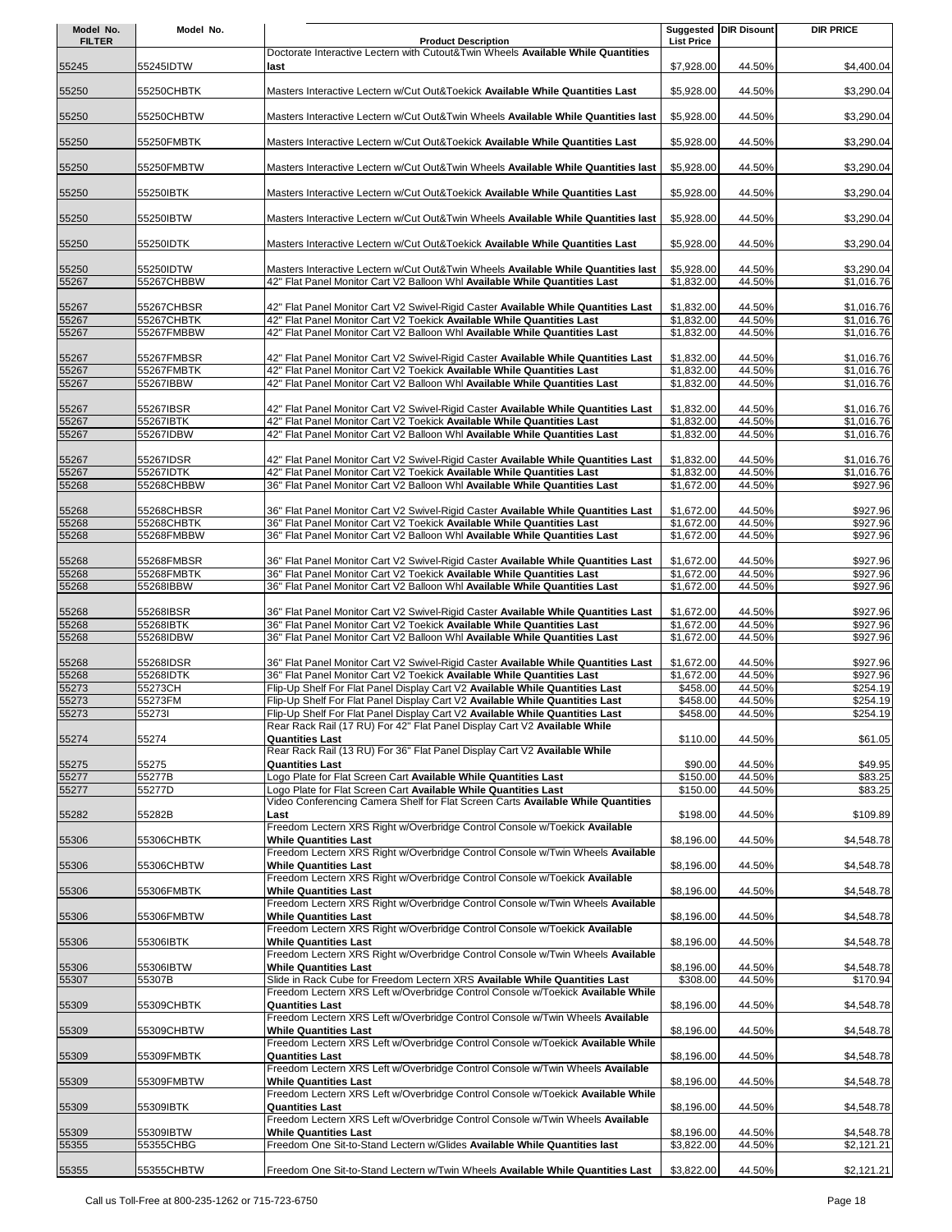| Model No.      | Model No.                |                                                                                                                                                              |                          | <b>Suggested DIR Disount</b> | <b>DIR PRICE</b>         |
|----------------|--------------------------|--------------------------------------------------------------------------------------------------------------------------------------------------------------|--------------------------|------------------------------|--------------------------|
| <b>FILTER</b>  |                          | <b>Product Description</b>                                                                                                                                   | <b>List Price</b>        |                              |                          |
|                |                          | Doctorate Interactive Lectern with Cutout&Twin Wheels Available While Quantities                                                                             |                          |                              |                          |
| 55245          | 55245IDTW                | last                                                                                                                                                         | \$7,928.00               | 44.50%                       | \$4,400.04               |
| 55250          | 55250CHBTK               | Masters Interactive Lectern w/Cut Out&Toekick Available While Quantities Last                                                                                | \$5,928.00               | 44.50%                       | \$3,290.04               |
|                |                          |                                                                                                                                                              |                          |                              |                          |
| 55250          | 55250CHBTW               | Masters Interactive Lectern w/Cut Out&Twin Wheels Available While Quantities last                                                                            | \$5,928.00               | 44.50%                       | \$3,290.04               |
| 55250          | 55250FMBTK               | Masters Interactive Lectern w/Cut Out&Toekick Available While Quantities Last                                                                                | \$5,928.00               | 44.50%                       | \$3,290.04               |
|                |                          |                                                                                                                                                              |                          |                              |                          |
| 55250          | 55250FMBTW               | Masters Interactive Lectern w/Cut Out&Twin Wheels Available While Quantities last                                                                            | \$5,928.00               | 44.50%                       | \$3,290.04               |
|                | 55250IBTK                |                                                                                                                                                              |                          | 44.50%                       |                          |
| 55250          |                          | Masters Interactive Lectern w/Cut Out&Toekick Available While Quantities Last                                                                                | \$5,928.00               |                              | \$3,290.04               |
| 55250          | 55250IBTW                | Masters Interactive Lectern w/Cut Out&Twin Wheels Available While Quantities last                                                                            | \$5,928.00               | 44.50%                       | \$3,290.04               |
|                |                          |                                                                                                                                                              |                          |                              |                          |
| 55250          | 55250IDTK                | Masters Interactive Lectern w/Cut Out&Toekick Available While Quantities Last                                                                                | \$5,928.00               | 44.50%                       | \$3,290.04               |
| 55250          | 55250IDTW                | Masters Interactive Lectern w/Cut Out&Twin Wheels Available While Quantities last                                                                            | \$5,928.00               | 44.50%                       | \$3,290.04               |
| 55267          | 55267CHBBW               | 42" Flat Panel Monitor Cart V2 Balloon Whl Available While Quantities Last                                                                                   | \$1,832.00               | 44.50%                       | \$1,016.76               |
|                |                          |                                                                                                                                                              |                          |                              |                          |
| 55267<br>55267 | 55267CHBSR<br>55267CHBTK | 42" Flat Panel Monitor Cart V2 Swivel-Rigid Caster Available While Quantities Last<br>42" Flat Panel Monitor Cart V2 Toekick Available While Quantities Last | \$1,832.00<br>\$1,832.00 | 44.50%<br>44.50%             | \$1,016.76<br>\$1,016.76 |
| 55267          | 55267FMBBW               | 42" Flat Panel Monitor Cart V2 Balloon Whl Available While Quantities Last                                                                                   | \$1,832.00               | 44.50%                       | \$1,016.76               |
|                |                          |                                                                                                                                                              |                          |                              |                          |
| 55267          | 55267FMBSR               | 42" Flat Panel Monitor Cart V2 Swivel-Rigid Caster Available While Quantities Last                                                                           | \$1,832.00               | 44.50%                       | \$1,016.76               |
| 55267          | 55267FMBTK               | 42" Flat Panel Monitor Cart V2 Toekick Available While Quantities Last                                                                                       | \$1,832.00               | 44.50%                       | \$1,016.76               |
| 55267          | 55267IBBW                | 42" Flat Panel Monitor Cart V2 Balloon Whl Available While Quantities Last                                                                                   | \$1,832.00               | 44.50%                       | \$1,016.76               |
| 55267          | 55267IBSR                | 42" Flat Panel Monitor Cart V2 Swivel-Rigid Caster Available While Quantities Last                                                                           | \$1,832.00               | 44.50%                       | \$1,016.76               |
| 55267          | 55267IBTK                | 42" Flat Panel Monitor Cart V2 Toekick Available While Quantities Last                                                                                       | \$1,832.00               | 44.50%                       | \$1,016.76               |
| 55267          | 55267IDBW                | 42" Flat Panel Monitor Cart V2 Balloon Whl Available While Quantities Last                                                                                   | \$1,832.00               | 44.50%                       | \$1,016.76               |
|                |                          |                                                                                                                                                              |                          |                              |                          |
| 55267          | 55267IDSR                | 42" Flat Panel Monitor Cart V2 Swivel-Rigid Caster Available While Quantities Last                                                                           | \$1,832.00               | 44.50%                       | \$1,016.76               |
| 55267          | 55267IDTK<br>55268CHBBW  | 42" Flat Panel Monitor Cart V2 Toekick Available While Quantities Last<br>36" Flat Panel Monitor Cart V2 Balloon Whl Available While Quantities Last         | \$1,832.00<br>\$1,672.00 | 44.50%<br>44.50%             | \$1,016.76<br>\$927.96   |
| 55268          |                          |                                                                                                                                                              |                          |                              |                          |
| 55268          | 55268CHBSR               | 36" Flat Panel Monitor Cart V2 Swivel-Rigid Caster Available While Quantities Last                                                                           | \$1,672.00               | 44.50%                       | \$927.96                 |
| 55268          | 55268CHBTK               | 36" Flat Panel Monitor Cart V2 Toekick Available While Quantities Last                                                                                       | \$1,672.00               | 44.50%                       | \$927.96                 |
| 55268          | 55268FMBBW               | 36" Flat Panel Monitor Cart V2 Balloon Whl Available While Quantities Last                                                                                   | \$1,672.00               | 44.50%                       | \$927.96                 |
| 55268          | 55268FMBSR               | 36" Flat Panel Monitor Cart V2 Swivel-Rigid Caster Available While Quantities Last                                                                           | \$1,672.00               | 44.50%                       | \$927.96                 |
| 55268          | 55268FMBTK               | 36" Flat Panel Monitor Cart V2 Toekick Available While Quantities Last                                                                                       | \$1,672.00               | 44.50%                       | \$927.96                 |
| 55268          | 55268IBBW                | 36" Flat Panel Monitor Cart V2 Balloon Whl Available While Quantities Last                                                                                   | \$1,672.00               | 44.50%                       | \$927.96                 |
|                |                          |                                                                                                                                                              |                          |                              |                          |
| 55268          | 55268IBSR                | 36" Flat Panel Monitor Cart V2 Swivel-Rigid Caster Available While Quantities Last                                                                           | \$1,672.00               | 44.50%                       | \$927.96                 |
| 55268          | 55268IBTK                | 36" Flat Panel Monitor Cart V2 Toekick Available While Quantities Last<br>36" Flat Panel Monitor Cart V2 Balloon Whl Available While Quantities Last         | \$1,672.00               | 44.50%                       | \$927.96                 |
| 55268          | 55268IDBW                |                                                                                                                                                              | \$1,672.00               | 44.50%                       | \$927.96                 |
| 55268          | 55268IDSR                | 36" Flat Panel Monitor Cart V2 Swivel-Rigid Caster Available While Quantities Last                                                                           | \$1,672.00               | 44.50%                       | \$927.96                 |
| 55268          | 55268IDTK                | 36" Flat Panel Monitor Cart V2 Toekick Available While Quantities Last                                                                                       | \$1,672.00               | 44.50%                       | \$927.96                 |
| 55273          | 55273CH                  | Flip-Up Shelf For Flat Panel Display Cart V2 Available While Quantities Last                                                                                 | \$458.00                 | 44.50%                       | \$254.19                 |
| 55273          | 55273FM                  | Flip-Up Shelf For Flat Panel Display Cart V2 Available While Quantities Last                                                                                 | \$458.00                 | 44.50%                       | \$254.19                 |
| 55273          | 552731                   | Flip-Up Shelf For Flat Panel Display Cart V2 Available While Quantities Last<br>Rear Rack Rail (17 RU) For 42" Flat Panel Display Cart V2 Available While    | \$458.00                 | 44.50%                       | \$254.19                 |
| 55274          | 55274                    | <b>Quantities Last</b>                                                                                                                                       | \$110.00                 | 44.50%                       | \$61.05                  |
|                |                          | Rear Rack Rail (13 RU) For 36" Flat Panel Display Cart V2 Available While                                                                                    |                          |                              |                          |
| 55275          | 55275                    | <b>Quantities Last</b>                                                                                                                                       | \$90.00                  | 44.50%                       | \$49.95                  |
| 55277          | 55277B                   | Logo Plate for Flat Screen Cart Available While Quantities Last                                                                                              | \$150.00                 | 44.50%                       | \$83.25                  |
| 55277          | 55277D                   | Logo Plate for Flat Screen Cart Available While Quantities Last<br>Video Conferencing Camera Shelf for Flat Screen Carts Available While Quantities          | \$150.00                 | 44.50%                       | \$83.25                  |
| 55282          | 55282B                   | Last                                                                                                                                                         | \$198.00                 | 44.50%                       | \$109.89                 |
|                |                          | Freedom Lectern XRS Right w/Overbridge Control Console w/Toekick Available                                                                                   |                          |                              |                          |
| 55306          | 55306CHBTK               | <b>While Quantities Last</b>                                                                                                                                 | \$8,196.00               | 44.50%                       | \$4,548.78               |
|                |                          | Freedom Lectern XRS Right w/Overbridge Control Console w/Twin Wheels Available<br><b>While Quantities Last</b>                                               |                          |                              |                          |
| 55306          | 55306CHBTW               | Freedom Lectern XRS Right w/Overbridge Control Console w/Toekick Available                                                                                   | \$8,196.00               | 44.50%                       | \$4,548.78               |
| 55306          | 55306FMBTK               | <b>While Quantities Last</b>                                                                                                                                 | \$8,196.00               | 44.50%                       | \$4,548.78               |
|                |                          | Freedom Lectern XRS Right w/Overbridge Control Console w/Twin Wheels Available                                                                               |                          |                              |                          |
| 55306          | 55306FMBTW               | <b>While Quantities Last</b>                                                                                                                                 | \$8,196.00               | 44.50%                       | \$4,548.78               |
| 55306          | 55306IBTK                | Freedom Lectern XRS Right w/Overbridge Control Console w/Toekick Available<br><b>While Quantities Last</b>                                                   | \$8,196.00               | 44.50%                       | \$4,548.78               |
|                |                          | Freedom Lectern XRS Right w/Overbridge Control Console w/Twin Wheels Available                                                                               |                          |                              |                          |
| 55306          | 55306IBTW                | <b>While Quantities Last</b>                                                                                                                                 | \$8,196.00               | 44.50%                       | \$4,548.78               |
| 55307          | 55307B                   | Slide in Rack Cube for Freedom Lectern XRS Available While Quantities Last                                                                                   | \$308.00                 | 44.50%                       | \$170.94                 |
|                |                          | Freedom Lectern XRS Left w/Overbridge Control Console w/Toekick Available While                                                                              |                          |                              |                          |
| 55309          | 55309CHBTK               | <b>Quantities Last</b><br>Freedom Lectern XRS Left w/Overbridge Control Console w/Twin Wheels Available                                                      | \$8,196.00               | 44.50%                       | \$4,548.78               |
| 55309          | 55309CHBTW               | <b>While Quantities Last</b>                                                                                                                                 | \$8,196.00               | 44.50%                       | \$4,548.78               |
|                |                          | Freedom Lectern XRS Left w/Overbridge Control Console w/Toekick Available While                                                                              |                          |                              |                          |
| 55309          | 55309FMBTK               | <b>Quantities Last</b>                                                                                                                                       | \$8,196.00               | 44.50%                       | \$4,548.78               |
|                |                          | Freedom Lectern XRS Left w/Overbridge Control Console w/Twin Wheels Available                                                                                |                          |                              |                          |
| 55309          | 55309FMBTW               | <b>While Quantities Last</b><br>Freedom Lectern XRS Left w/Overbridge Control Console w/Toekick Available While                                              | \$8,196.00               | 44.50%                       | \$4,548.78               |
| 55309          | 55309IBTK                | <b>Quantities Last</b>                                                                                                                                       | \$8,196.00               | 44.50%                       | \$4,548.78               |
|                |                          | Freedom Lectern XRS Left w/Overbridge Control Console w/Twin Wheels Available                                                                                |                          |                              |                          |
| 55309          | 55309IBTW                | <b>While Quantities Last</b>                                                                                                                                 | \$8,196.00               | 44.50%                       | \$4,548.78               |
| 55355          | 55355CHBG                | Freedom One Sit-to-Stand Lectern w/Glides Available While Quantities last                                                                                    | \$3,822.00               | 44.50%                       | \$2,121.21               |
| 55355          | 55355CHBTW               | Freedom One Sit-to-Stand Lectern w/Twin Wheels Available While Quantities Last                                                                               | \$3,822.00               | 44.50%                       | \$2,121.21               |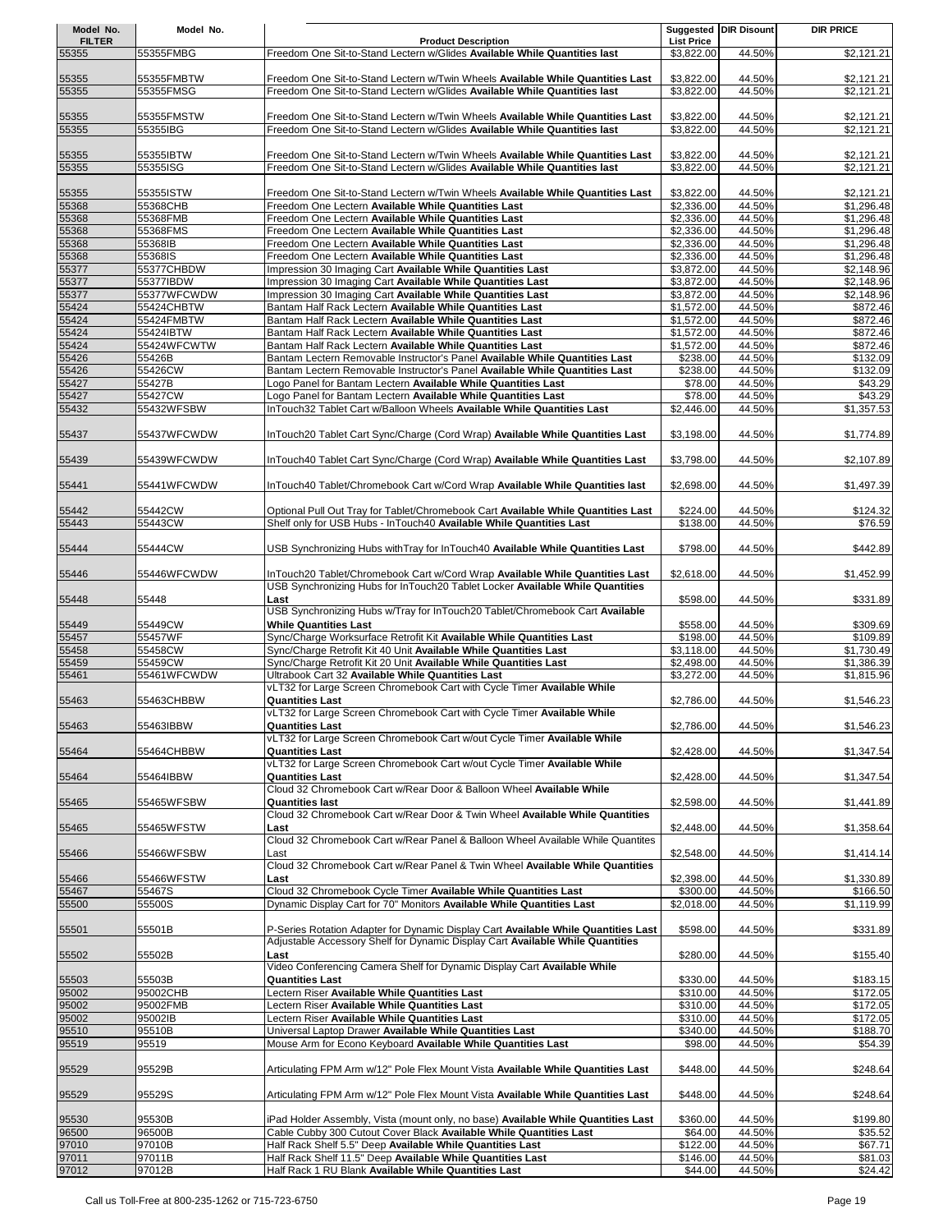| Model No.              | Model No.                 |                                                                                                                                                          |                                 | <b>Suggested DIR Disount</b> | <b>DIR PRICE</b>         |
|------------------------|---------------------------|----------------------------------------------------------------------------------------------------------------------------------------------------------|---------------------------------|------------------------------|--------------------------|
| <b>FILTER</b><br>55355 | 55355FMBG                 | <b>Product Description</b><br>Freedom One Sit-to-Stand Lectern w/Glides Available While Quantities last                                                  | <b>List Price</b><br>\$3,822.00 | 44.50%                       | \$2,121.21               |
| 55355                  | 55355FMBTW                | Freedom One Sit-to-Stand Lectern w/Twin Wheels Available While Quantities Last                                                                           | \$3,822.00                      | 44.50%                       | \$2,121.21               |
| 55355                  | 55355FMSG                 | Freedom One Sit-to-Stand Lectern w/Glides Available While Quantities last                                                                                | \$3,822.00                      | 44.50%                       | \$2,121.21               |
| 55355                  | 55355FMSTW                | Freedom One Sit-to-Stand Lectern w/Twin Wheels Available While Quantities Last                                                                           | \$3,822.00                      | 44.50%                       | \$2,121.21               |
| 55355                  | 55355IBG                  | Freedom One Sit-to-Stand Lectern w/Glides Available While Quantities last                                                                                | \$3,822.00                      | 44.50%                       | \$2,121.21               |
| 55355                  | 55355IBTW                 | Freedom One Sit-to-Stand Lectern w/Twin Wheels Available While Quantities Last                                                                           | \$3,822.00                      | 44.50%                       | \$2,121.21               |
| 55355                  | 55355ISG                  | Freedom One Sit-to-Stand Lectern w/Glides Available While Quantities last                                                                                | \$3,822.00                      | 44.50%                       | \$2,121.21               |
| 55355                  | 55355ISTW                 | Freedom One Sit-to-Stand Lectern w/Twin Wheels Available While Quantities Last                                                                           | \$3,822.00                      | 44.50%                       | \$2,121.21               |
| 55368<br>55368         | 55368CHB<br>55368FMB      | Freedom One Lectern Available While Quantities Last<br>Freedom One Lectern Available While Quantities Last                                               | \$2,336.00<br>\$2,336.00        | 44.50%<br>44.50%             | \$1,296.48<br>\$1,296.48 |
| 55368                  | 55368FMS                  | Freedom One Lectern Available While Quantities Last                                                                                                      | \$2,336.00                      | 44.50%                       | \$1,296.48               |
| 55368                  | 55368IB                   | Freedom One Lectern Available While Quantities Last                                                                                                      | \$2,336.00                      | 44.50%                       | \$1,296.48               |
| 55368<br>55377         | 55368IS<br>55377CHBDW     | Freedom One Lectern Available While Quantities Last<br>Impression 30 Imaging Cart Available While Quantities Last                                        | \$2,336.00<br>\$3,872.00        | 44.50%<br>44.50%             | \$1,296.48<br>\$2,148.96 |
| 55377                  | 55377IBDW                 | Impression 30 Imaging Cart Available While Quantities Last                                                                                               | \$3,872.00                      | 44.50%                       | \$2,148.96               |
| 55377<br>55424         | 55377WFCWDW<br>55424CHBTW | Impression 30 Imaging Cart Available While Quantities Last<br>Bantam Half Rack Lectern Available While Quantities Last                                   | \$3,872.00<br>\$1,572.00        | 44.50%<br>44.50%             | \$2,148.96<br>\$872.46   |
| 55424                  | 55424FMBTW                | Bantam Half Rack Lectern Available While Quantities Last                                                                                                 | \$1,572.00                      | 44.50%                       | \$872.46                 |
| 55424                  | 55424IBTW                 | Bantam Half Rack Lectern Available While Quantities Last                                                                                                 | \$1,572.00                      | 44.50%                       | \$872.46                 |
| 55424<br>55426         | 55424WFCWTW<br>55426B     | Bantam Half Rack Lectern Available While Quantities Last<br>Bantam Lectern Removable Instructor's Panel Available While Quantities Last                  | \$1,572.00<br>\$238.00          | 44.50%<br>44.50%             | \$872.46<br>\$132.09     |
| 55426                  | 55426CW                   | Bantam Lectern Removable Instructor's Panel Available While Quantities Last                                                                              | \$238.00                        | 44.50%                       | \$132.09                 |
| 55427                  | 55427B                    | Logo Panel for Bantam Lectern Available While Quantities Last                                                                                            | \$78.00                         | 44.50%                       | \$43.29                  |
| 55427<br>55432         | 55427CW<br>55432WFSBW     | Logo Panel for Bantam Lectern Available While Quantities Last<br>InTouch32 Tablet Cart w/Balloon Wheels Available While Quantities Last                  | \$78.00<br>\$2,446.00           | 44.50%<br>44.50%             | \$43.29<br>\$1,357.53    |
|                        |                           |                                                                                                                                                          |                                 |                              |                          |
| 55437                  | 55437WFCWDW               | InTouch20 Tablet Cart Sync/Charge (Cord Wrap) Available While Quantities Last                                                                            | \$3,198.00                      | 44.50%                       | \$1,774.89               |
| 55439                  | 55439WFCWDW               | InTouch40 Tablet Cart Sync/Charge (Cord Wrap) Available While Quantities Last                                                                            | \$3,798.00                      | 44.50%                       | \$2,107.89               |
| 55441                  | 55441WFCWDW               | InTouch40 Tablet/Chromebook Cart w/Cord Wrap Available While Quantities last                                                                             | \$2,698.00                      | 44.50%                       | \$1,497.39               |
|                        |                           |                                                                                                                                                          |                                 |                              |                          |
| 55442<br>55443         | 55442CW<br>55443CW        | Optional Pull Out Tray for Tablet/Chromebook Cart Available While Quantities Last<br>Shelf only for USB Hubs - InTouch40 Available While Quantities Last | \$224.00<br>\$138.00            | 44.50%<br>44.50%             | \$124.32<br>\$76.59      |
|                        |                           |                                                                                                                                                          |                                 |                              |                          |
| 55444                  | 55444CW                   | USB Synchronizing Hubs with Tray for In Touch 40 Available While Quantities Last                                                                         | \$798.00                        | 44.50%                       | \$442.89                 |
| 55446                  | 55446WFCWDW               | InTouch20 Tablet/Chromebook Cart w/Cord Wrap Available While Quantities Last                                                                             | \$2,618.00                      | 44.50%                       | \$1,452.99               |
| 55448                  | 55448                     | USB Synchronizing Hubs for InTouch20 Tablet Locker Available While Quantities<br>Last                                                                    | \$598.00                        | 44.50%                       | \$331.89                 |
|                        |                           | USB Synchronizing Hubs w/Tray for InTouch20 Tablet/Chromebook Cart Available                                                                             |                                 |                              |                          |
| 55449<br>55457         | 55449CW<br>55457WF        | <b>While Quantities Last</b><br>Sync/Charge Worksurface Retrofit Kit Available While Quantities Last                                                     | \$558.00<br>\$198.00            | 44.50%<br>44.50%             | \$309.69<br>\$109.89     |
| 55458                  | 55458CW                   | Sync/Charge Retrofit Kit 40 Unit Available While Quantities Last                                                                                         | \$3,118.00                      | 44.50%                       | \$1,730.49               |
| 55459                  | 55459CW                   | Sync/Charge Retrofit Kit 20 Unit Available While Quantities Last                                                                                         | \$2,498.00                      | 44.50%                       | \$1,386.39               |
| 55461                  | 55461WFCWDW               | Ultrabook Cart 32 Available While Quantities Last<br>vLT32 for Large Screen Chromebook Cart with Cycle Timer Available While                             | \$3,272.00                      | 44.50%                       | \$1,815.96               |
| 55463                  | 55463CHBBW                | <b>Quantities Last</b>                                                                                                                                   | \$2,786.00                      | 44.50%                       | \$1,546.23               |
| 55463                  | 55463IBBW                 | vLT32 for Large Screen Chromebook Cart with Cycle Timer Available While<br><b>Quantities Last</b>                                                        | \$2,786.00                      | 44.50%                       | \$1,546.23               |
|                        |                           | vLT32 for Large Screen Chromebook Cart w/out Cycle Timer Available While                                                                                 |                                 |                              |                          |
| 55464                  | 55464CHBBW                | <b>Quantities Last</b><br>vLT32 for Large Screen Chromebook Cart w/out Cycle Timer Available While                                                       | \$2,428.00                      | 44.50%                       | \$1,347.54               |
| 55464                  | 55464IBBW                 | <b>Quantities Last</b><br>Cloud 32 Chromebook Cart w/Rear Door & Balloon Wheel Available While                                                           | \$2,428.00                      | 44.50%                       | \$1,347.54               |
| 55465                  | 55465WFSBW                | <b>Quantities last</b>                                                                                                                                   | \$2,598.00                      | 44.50%                       | \$1,441.89               |
| 55465                  | 55465WFSTW                | Cloud 32 Chromebook Cart w/Rear Door & Twin Wheel Available While Quantities<br>Last                                                                     | \$2,448.00                      | 44.50%                       | \$1,358.64               |
|                        |                           | Cloud 32 Chromebook Cart w/Rear Panel & Balloon Wheel Available While Quantites                                                                          |                                 |                              |                          |
| 55466                  | 55466WFSBW                | Last<br>Cloud 32 Chromebook Cart w/Rear Panel & Twin Wheel Available While Quantities                                                                    | \$2,548.00                      | 44.50%                       | \$1,414.14               |
| 55466                  | 55466WFSTW                | Last                                                                                                                                                     | \$2,398.00                      | 44.50%                       | \$1,330.89               |
| 55467                  | 55467S                    | Cloud 32 Chromebook Cycle Timer Available While Quantities Last                                                                                          | \$300.00                        | 44.50%                       | \$166.50                 |
| 55500                  | 55500S                    | Dynamic Display Cart for 70" Monitors Available While Quantities Last                                                                                    | \$2,018.00                      | 44.50%                       | \$1,119.99               |
| 55501                  | 55501B                    | P-Series Rotation Adapter for Dynamic Display Cart Available While Quantities Last                                                                       | \$598.00                        | 44.50%                       | \$331.89                 |
| 55502                  | 55502B                    | Adjustable Accessory Shelf for Dynamic Display Cart Available While Quantities<br>Last                                                                   | \$280.00                        | 44.50%                       | \$155.40                 |
|                        |                           | Video Conferencing Camera Shelf for Dynamic Display Cart Available While                                                                                 |                                 |                              |                          |
| 55503<br>95002         | 55503B<br>95002CHB        | <b>Quantities Last</b><br>Lectern Riser Available While Quantities Last                                                                                  | \$330.00<br>\$310.00            | 44.50%<br>44.50%             | \$183.15<br>\$172.05     |
| 95002                  | 95002FMB                  | Lectern Riser Available While Quantities Last                                                                                                            | \$310.00                        | 44.50%                       | \$172.05                 |
| 95002                  | 95002IB                   | Lectern Riser Available While Quantities Last                                                                                                            | \$310.00                        | 44.50%                       | \$172.05                 |
| 95510<br>95519         | 95510B<br>95519           | Universal Laptop Drawer Available While Quantities Last<br>Mouse Arm for Econo Keyboard Available While Quantities Last                                  | \$340.00<br>\$98.00             | 44.50%<br>44.50%             | \$188.70<br>\$54.39      |
|                        |                           |                                                                                                                                                          |                                 |                              |                          |
| 95529                  | 95529B                    | Articulating FPM Arm w/12" Pole Flex Mount Vista Available While Quantities Last                                                                         | \$448.00                        | 44.50%                       | \$248.64                 |
| 95529                  | 95529S                    | Articulating FPM Arm w/12" Pole Flex Mount Vista Available While Quantities Last                                                                         | \$448.00                        | 44.50%                       | \$248.64                 |
| 95530                  | 95530B                    | iPad Holder Assembly, Vista (mount only, no base) Available While Quantities Last                                                                        | \$360.00                        | 44.50%                       | \$199.80                 |
| 96500                  | 96500B                    | Cable Cubby 300 Cutout Cover Black Available While Quantities Last                                                                                       | \$64.00                         | 44.50%                       | \$35.52                  |
| 97010<br>97011         | 97010B<br>97011B          | Half Rack Shelf 5.5" Deep Available While Quantities Last<br>Half Rack Shelf 11.5" Deep Available While Quantities Last                                  | \$122.00<br>\$146.00            | 44.50%<br>44.50%             | \$67.71<br>\$81.03       |
| 97012                  | 97012B                    | Half Rack 1 RU Blank Available While Quantities Last                                                                                                     | \$44.00                         | 44.50%                       | \$24.42                  |
|                        |                           |                                                                                                                                                          |                                 |                              |                          |